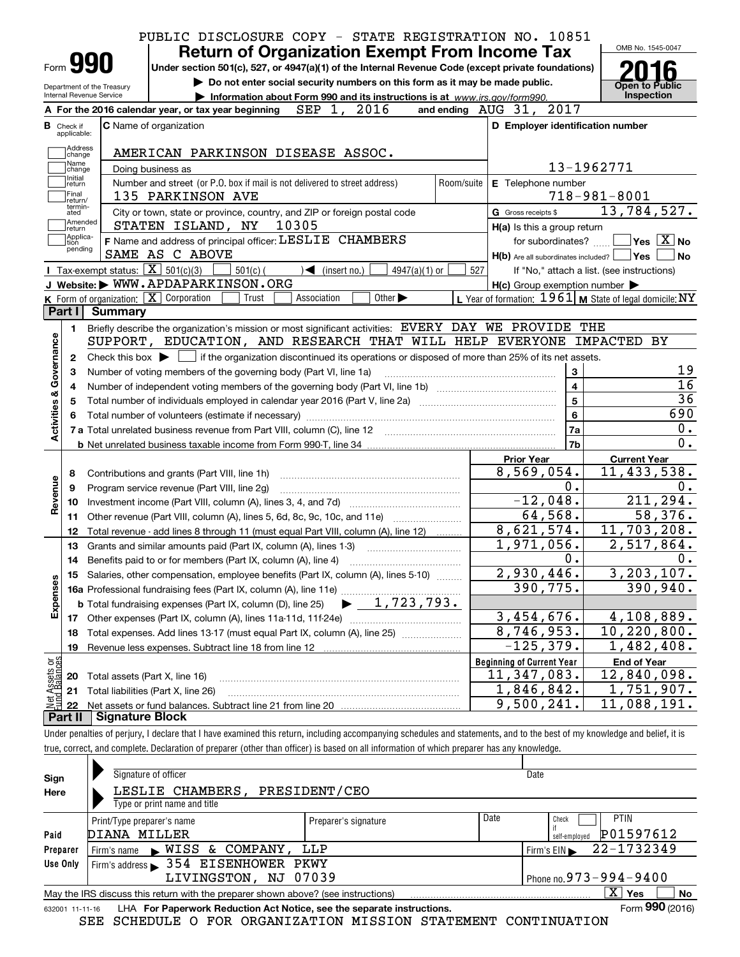|                                      | PUBLIC DISCLOSURE COPY - STATE REGISTRATION NO. 10851                                                                                               |                             |            |                                                     |                                                                                                                                                                     |
|--------------------------------------|-----------------------------------------------------------------------------------------------------------------------------------------------------|-----------------------------|------------|-----------------------------------------------------|---------------------------------------------------------------------------------------------------------------------------------------------------------------------|
|                                      | <b>Return of Organization Exempt From Income Tax</b>                                                                                                |                             |            |                                                     | OMB No. 1545-0047                                                                                                                                                   |
| Form <b>990</b>                      | Under section 501(c), 527, or 4947(a)(1) of the Internal Revenue Code (except private foundations)                                                  |                             |            |                                                     |                                                                                                                                                                     |
| Department of the Treasury           | Do not enter social security numbers on this form as it may be made public.                                                                         |                             |            |                                                     | Open to Public                                                                                                                                                      |
| Internal Revenue Service             | Information about Form 990 and its instructions is at www.irs.gov/form990.                                                                          |                             |            |                                                     | Inspection                                                                                                                                                          |
|                                      | A For the 2016 calendar year, or tax year beginning $SEP$ 1, 2016                                                                                   |                             |            | and ending AUG 31, 2017                             |                                                                                                                                                                     |
| <b>B</b> Check if<br>applicable:     | <b>C</b> Name of organization                                                                                                                       |                             |            | D Employer identification number                    |                                                                                                                                                                     |
| Address                              |                                                                                                                                                     |                             |            |                                                     |                                                                                                                                                                     |
| change<br>Name                       | AMERICAN PARKINSON DISEASE ASSOC.                                                                                                                   |                             |            |                                                     |                                                                                                                                                                     |
| change<br>Initial                    | Doing business as                                                                                                                                   |                             |            |                                                     | 13-1962771                                                                                                                                                          |
| return<br>Final                      | Number and street (or P.O. box if mail is not delivered to street address)                                                                          |                             | Room/suite | E Telephone number                                  |                                                                                                                                                                     |
| return/<br>termin-                   | 135 PARKINSON AVE                                                                                                                                   |                             |            |                                                     | $718 - 981 - 8001$                                                                                                                                                  |
| ated<br>Amended                      | City or town, state or province, country, and ZIP or foreign postal code<br>10305                                                                   |                             |            | G Gross receipts \$                                 | 13,784,527.                                                                                                                                                         |
| return<br>Applica-                   | STATEN ISLAND, NY                                                                                                                                   |                             |            | H(a) Is this a group return                         | $\overline{\ }$ Yes $\overline{\rm X}$ No                                                                                                                           |
| tion<br>pending                      | F Name and address of principal officer: LESLIE CHAMBERS<br>SAME AS C ABOVE                                                                         |                             |            | for subordinates?                                   |                                                                                                                                                                     |
|                                      | <b>I</b> Tax-exempt status: $\overline{X}$ 501(c)(3)<br>$501(c)$ (                                                                                  | 4947(a)(1) or               |            | H(b) Are all subordinates included?   Yes           | l No                                                                                                                                                                |
|                                      | $\sqrt{\frac{1}{1}}$ (insert no.)<br>J Website: WWW.APDAPARKINSON.ORG                                                                               |                             | 527        |                                                     | If "No," attach a list. (see instructions)                                                                                                                          |
|                                      | K Form of organization: X Corporation<br>Trust<br>Association                                                                                       | Other $\blacktriangleright$ |            | $H(c)$ Group exemption number $\blacktriangleright$ | L Year of formation: $1961$ M State of legal domicile: NY                                                                                                           |
| Part I                               | Summary                                                                                                                                             |                             |            |                                                     |                                                                                                                                                                     |
|                                      | Briefly describe the organization's mission or most significant activities: EVERY DAY WE PROVIDE THE                                                |                             |            |                                                     |                                                                                                                                                                     |
| 1.                                   | SUPPORT, EDUCATION, AND RESEARCH THAT WILL HELP EVERYONE IMPACTED BY                                                                                |                             |            |                                                     |                                                                                                                                                                     |
| 2                                    | Check this box $\blacktriangleright$ $\blacksquare$ if the organization discontinued its operations or disposed of more than 25% of its net assets. |                             |            |                                                     |                                                                                                                                                                     |
| З                                    | Number of voting members of the governing body (Part VI, line 1a)                                                                                   |                             |            | 3                                                   | 19                                                                                                                                                                  |
| 4                                    |                                                                                                                                                     |                             |            | $\overline{4}$                                      | $\overline{16}$                                                                                                                                                     |
|                                      |                                                                                                                                                     |                             |            | $\overline{5}$                                      | $\overline{36}$                                                                                                                                                     |
|                                      |                                                                                                                                                     |                             |            | $6\phantom{a}$                                      | 690                                                                                                                                                                 |
| Activities & Governance              |                                                                                                                                                     |                             |            | 7a                                                  | 0.                                                                                                                                                                  |
|                                      |                                                                                                                                                     |                             |            | 7b                                                  | $\overline{0}$ .                                                                                                                                                    |
|                                      |                                                                                                                                                     |                             |            | <b>Prior Year</b>                                   | <b>Current Year</b>                                                                                                                                                 |
| 8                                    |                                                                                                                                                     |                             |            | 8,569,054.                                          | 11,433,538.                                                                                                                                                         |
| Revenue<br>9                         | Program service revenue (Part VIII, line 2g)                                                                                                        |                             |            | 0.                                                  | 0.                                                                                                                                                                  |
| 10                                   |                                                                                                                                                     |                             |            | $-12,048.$                                          |                                                                                                                                                                     |
| 11                                   | Other revenue (Part VIII, column (A), lines 5, 6d, 8c, 9c, 10c, and 11e)                                                                            |                             |            |                                                     |                                                                                                                                                                     |
| 12                                   | Total revenue - add lines 8 through 11 (must equal Part VIII, column (A), line 12)                                                                  |                             |            |                                                     |                                                                                                                                                                     |
|                                      | Grants and similar amounts paid (Part IX, column (A), lines 1-3)                                                                                    |                             |            | 64,568.<br>8,621,574.                               |                                                                                                                                                                     |
| 13                                   |                                                                                                                                                     |                             |            |                                                     |                                                                                                                                                                     |
| 14                                   |                                                                                                                                                     |                             |            | 1,971,056.<br>0.                                    |                                                                                                                                                                     |
|                                      | Benefits paid to or for members (Part IX, column (A), line 4)                                                                                       |                             |            |                                                     |                                                                                                                                                                     |
|                                      | 15 Salaries, other compensation, employee benefits (Part IX, column (A), lines 5-10)                                                                |                             |            | 2,930,446.<br>390,775.                              |                                                                                                                                                                     |
|                                      |                                                                                                                                                     |                             |            |                                                     |                                                                                                                                                                     |
|                                      |                                                                                                                                                     |                             |            | 3,454,676.                                          |                                                                                                                                                                     |
| 18                                   |                                                                                                                                                     |                             |            | 8,746,953.                                          |                                                                                                                                                                     |
| Expenses<br>19                       | Total expenses. Add lines 13-17 (must equal Part IX, column (A), line 25)                                                                           |                             |            | $-125,379.$                                         |                                                                                                                                                                     |
|                                      |                                                                                                                                                     |                             |            | <b>Beginning of Current Year</b>                    |                                                                                                                                                                     |
| 20                                   |                                                                                                                                                     |                             |            | 11,347,083.                                         | 211,294.<br>58,376.<br>11,703,208.<br>2,517,864.<br>0.<br>3,203,107.<br>390, 940.<br>4,108,889.<br>10, 220, 800.<br>1,482,408.<br><b>End of Year</b><br>12,840,098. |
| 21                                   | Total assets (Part X, line 16)<br>Total liabilities (Part X, line 26)                                                                               |                             |            |                                                     | 1,751,907.                                                                                                                                                          |
| Net Assets or<br>Eund Balances<br>22 |                                                                                                                                                     |                             |            | 1,846,842.<br>9,500,241.                            | 11,088,191.                                                                                                                                                         |

true, correct, and complete. Declaration of preparer (other than officer) is based on all information of which preparer has any knowledge.

| Sign            | Signature of officer                                                              |                      |                            | Date                             |
|-----------------|-----------------------------------------------------------------------------------|----------------------|----------------------------|----------------------------------|
| Here            | PRESIDENT/CEO<br>LESLIE CHAMBERS,                                                 |                      |                            |                                  |
|                 | Type or print name and title                                                      |                      |                            |                                  |
|                 | Print/Type preparer's name                                                        | Preparer's signature | Date                       | <b>PTIN</b><br>Check             |
| Paid            | DIANA MILLER                                                                      |                      | P01597612<br>self-emploved |                                  |
| Preparer        | NISS & COMPANY,<br>Firm's name                                                    | LLP                  |                            | 22-1732349<br>Firm's $EIN$       |
| Use Only        | Firm's address > 354 EISENHOWER PKWY                                              |                      |                            |                                  |
|                 | LIVINGSTON, NJ 07039                                                              |                      |                            | Phone no. $973 - 994 - 9400$     |
|                 | May the IRS discuss this return with the preparer shown above? (see instructions) |                      |                            | $\mathbf{X}$<br>Yes<br><b>No</b> |
| 632001 11-11-16 | LHA For Paperwork Reduction Act Notice, see the separate instructions.            |                      |                            | Form 990 (2016)                  |

SEE SCHEDULE O FOR ORGANIZATION MISSION STATEMENT CONTINUATION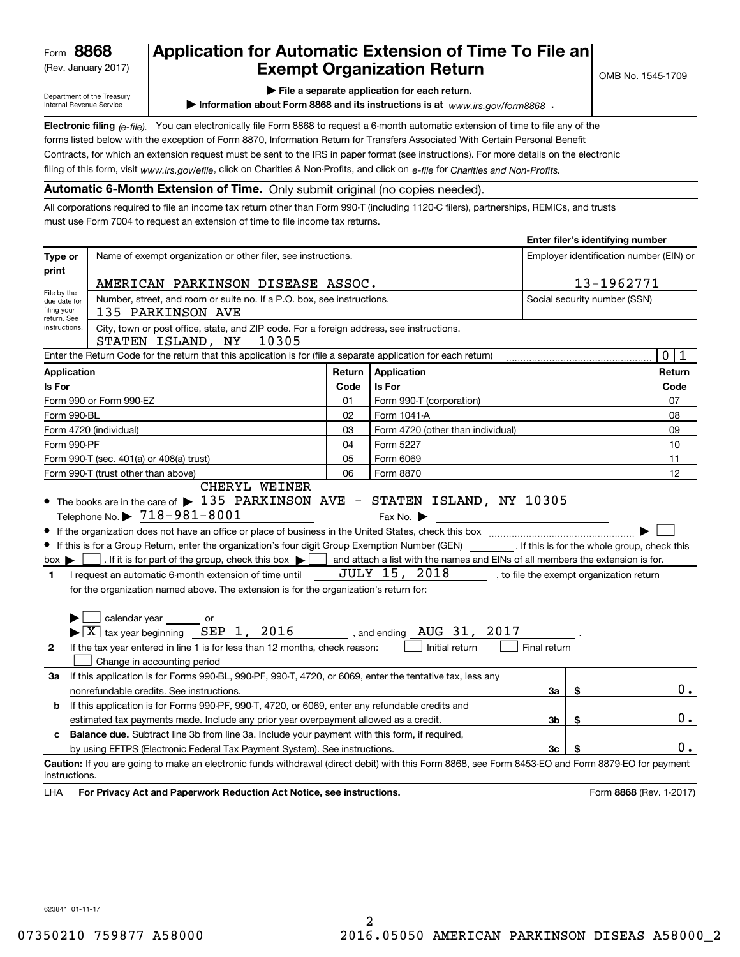(Rev. January 2017)

# **Application for Automatic Extension of Time To File an Exempt Organization Return**

**Enter filer's identifying number**

Department of the Treasury Internal Revenue Service

**| File a separate application for each return.**

▶ Information about Form 8868 and its instructions is at www.irs.gov/form8868 **.** 

**Electronic filing** (e-file). You can electronically file Form 8868 to request a 6-month automatic extension of time to file any of the filing of this form, visit <sub>WWW.irs.gov/efile, click on Charities & Non-Profits, and click on e-file for *Charities and Non-Profits.*</sub> forms listed below with the exception of Form 8870, Information Return for Transfers Associated With Certain Personal Benefit Contracts, for which an extension request must be sent to the IRS in paper format (see instructions). For more details on the electronic

**Automatic 6-Month Extension of Time.** Only submit original (no copies needed).

All corporations required to file an income tax return other than Form 990-T (including 1120-C filers), partnerships, REMICs, and trusts must use Form 7004 to request an extension of time to file income tax returns.

|                                                  |                                                                                                                                                                                                                                                                                                                                                                                                                                                                                                                                                                                               |        |                                                                                                                                                           |                              | Enter mer s identifying number |                                         |
|--------------------------------------------------|-----------------------------------------------------------------------------------------------------------------------------------------------------------------------------------------------------------------------------------------------------------------------------------------------------------------------------------------------------------------------------------------------------------------------------------------------------------------------------------------------------------------------------------------------------------------------------------------------|--------|-----------------------------------------------------------------------------------------------------------------------------------------------------------|------------------------------|--------------------------------|-----------------------------------------|
| Type or                                          | Name of exempt organization or other filer, see instructions.                                                                                                                                                                                                                                                                                                                                                                                                                                                                                                                                 |        |                                                                                                                                                           |                              |                                | Employer identification number (EIN) or |
| print                                            |                                                                                                                                                                                                                                                                                                                                                                                                                                                                                                                                                                                               |        |                                                                                                                                                           |                              |                                |                                         |
| File by the                                      | AMERICAN PARKINSON DISEASE ASSOC.                                                                                                                                                                                                                                                                                                                                                                                                                                                                                                                                                             |        |                                                                                                                                                           |                              | 13-1962771                     |                                         |
| due date for<br>filing your<br>return. See       | Number, street, and room or suite no. If a P.O. box, see instructions.<br>135 PARKINSON AVE                                                                                                                                                                                                                                                                                                                                                                                                                                                                                                   |        |                                                                                                                                                           | Social security number (SSN) |                                |                                         |
| instructions.                                    | City, town or post office, state, and ZIP code. For a foreign address, see instructions.<br>STATEN ISLAND, NY<br>10305                                                                                                                                                                                                                                                                                                                                                                                                                                                                        |        |                                                                                                                                                           |                              |                                |                                         |
|                                                  | Enter the Return Code for the return that this application is for (file a separate application for each return)                                                                                                                                                                                                                                                                                                                                                                                                                                                                               |        |                                                                                                                                                           |                              |                                | $\mathbf 0$<br>1                        |
| <b>Application</b>                               |                                                                                                                                                                                                                                                                                                                                                                                                                                                                                                                                                                                               | Return | Application                                                                                                                                               |                              |                                | Return                                  |
| Is For                                           |                                                                                                                                                                                                                                                                                                                                                                                                                                                                                                                                                                                               | Code   | Is For                                                                                                                                                    |                              |                                | Code                                    |
|                                                  | Form 990 or Form 990-EZ                                                                                                                                                                                                                                                                                                                                                                                                                                                                                                                                                                       | 01     | Form 990-T (corporation)                                                                                                                                  |                              |                                | 07                                      |
| Form 990-BL                                      |                                                                                                                                                                                                                                                                                                                                                                                                                                                                                                                                                                                               | 02     | Form 1041-A                                                                                                                                               |                              |                                | 08                                      |
|                                                  | Form 4720 (individual)                                                                                                                                                                                                                                                                                                                                                                                                                                                                                                                                                                        | 03     | Form 4720 (other than individual)                                                                                                                         |                              |                                | 09                                      |
| Form 990-PF                                      |                                                                                                                                                                                                                                                                                                                                                                                                                                                                                                                                                                                               | 04     | Form 5227                                                                                                                                                 |                              |                                | 10                                      |
|                                                  | Form 990-T (sec. 401(a) or 408(a) trust)                                                                                                                                                                                                                                                                                                                                                                                                                                                                                                                                                      | 05     | Form 6069                                                                                                                                                 |                              |                                | 11                                      |
|                                                  | Form 990-T (trust other than above)                                                                                                                                                                                                                                                                                                                                                                                                                                                                                                                                                           | 06     | Form 8870                                                                                                                                                 |                              |                                | 12                                      |
| $box \blacktriangleright$  <br>1<br>$\mathbf{2}$ | If this is for a Group Return, enter the organization's four digit Group Exemption Number (GEN) [f this is for the whole group, check this<br>. If it is for part of the group, check this box $\blacktriangleright$<br>I request an automatic 6-month extension of time until<br>for the organization named above. The extension is for the organization's return for:<br>$\Box$ calendar year $\_\_$ or<br>$\blacktriangleright$ $\boxed{\text{X}}$ tax year beginning SEP 1, 2016 , and ending AUG 31, 2017<br>If the tax year entered in line 1 is for less than 12 months, check reason: |        | and attach a list with the names and EINs of all members the extension is for.<br>JULY 15, 2018, to file the exempt organization return<br>Initial return | Final return                 |                                |                                         |
|                                                  | Change in accounting period                                                                                                                                                                                                                                                                                                                                                                                                                                                                                                                                                                   |        |                                                                                                                                                           |                              |                                |                                         |
| За                                               | If this application is for Forms 990-BL, 990-PF, 990-T, 4720, or 6069, enter the tentative tax, less any                                                                                                                                                                                                                                                                                                                                                                                                                                                                                      |        |                                                                                                                                                           |                              |                                | $0$ .                                   |
|                                                  | nonrefundable credits. See instructions.                                                                                                                                                                                                                                                                                                                                                                                                                                                                                                                                                      |        |                                                                                                                                                           | За                           | \$                             |                                         |
| b                                                | If this application is for Forms 990-PF, 990-T, 4720, or 6069, enter any refundable credits and                                                                                                                                                                                                                                                                                                                                                                                                                                                                                               |        |                                                                                                                                                           |                              |                                |                                         |
|                                                  | estimated tax payments made. Include any prior year overpayment allowed as a credit.                                                                                                                                                                                                                                                                                                                                                                                                                                                                                                          |        |                                                                                                                                                           | 3b                           | \$                             | 0.                                      |
| c                                                | Balance due. Subtract line 3b from line 3a. Include your payment with this form, if required,                                                                                                                                                                                                                                                                                                                                                                                                                                                                                                 |        |                                                                                                                                                           |                              |                                | 0.                                      |
|                                                  | by using EFTPS (Electronic Federal Tax Payment System). See instructions.                                                                                                                                                                                                                                                                                                                                                                                                                                                                                                                     |        |                                                                                                                                                           | 3c                           |                                |                                         |
| instructions.                                    | Caution: If you are going to make an electronic funds withdrawal (direct debit) with this Form 8868, see Form 8453-EO and Form 8879-EO for payment                                                                                                                                                                                                                                                                                                                                                                                                                                            |        |                                                                                                                                                           |                              |                                |                                         |
| LHA                                              | For Privacy Act and Paperwork Reduction Act Notice, see instructions.                                                                                                                                                                                                                                                                                                                                                                                                                                                                                                                         |        |                                                                                                                                                           |                              |                                | Form 8868 (Rev. 1-2017)                 |

623841 01-11-17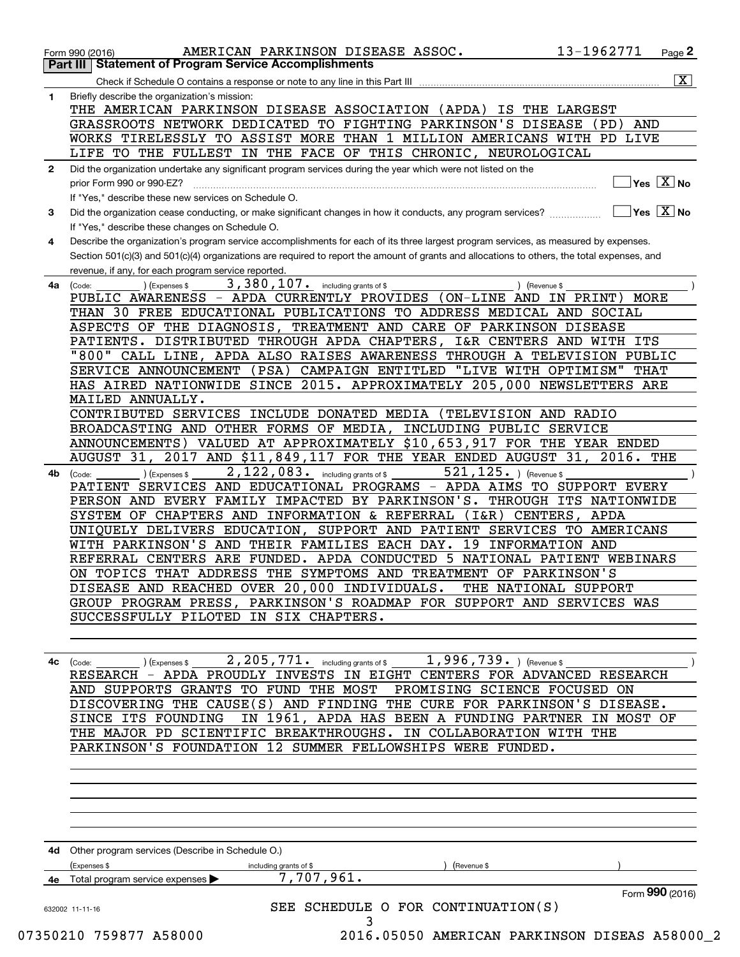| 1  | Briefly describe the organization's mission:                                                                                                           |
|----|--------------------------------------------------------------------------------------------------------------------------------------------------------|
|    | THE AMERICAN PARKINSON DISEASE ASSOCIATION (APDA) IS THE LARGEST                                                                                       |
|    | GRASSROOTS NETWORK DEDICATED TO FIGHTING PARKINSON'S DISEASE<br>(PD)<br>AND                                                                            |
|    | WORKS TIRELESSLY TO ASSIST MORE THAN 1 MILLION AMERICANS WITH PD LIVE<br>LIFE TO THE FULLEST IN THE FACE OF THIS CHRONIC, NEUROLOGICAL                 |
| 2  | Did the organization undertake any significant program services during the year which were not listed on the                                           |
|    | $Yes \quad X$ No<br>prior Form 990 or 990-EZ?                                                                                                          |
|    | If "Yes," describe these new services on Schedule O.                                                                                                   |
| 3  | $\sqrt{}$ Yes $\sqrt{}$ X $\sqrt{}$ No<br>Did the organization cease conducting, or make significant changes in how it conducts, any program services? |
|    | If "Yes," describe these changes on Schedule O.                                                                                                        |
| 4  | Describe the organization's program service accomplishments for each of its three largest program services, as measured by expenses.                   |
|    | Section 501(c)(3) and 501(c)(4) organizations are required to report the amount of grants and allocations to others, the total expenses, and           |
|    | revenue, if any, for each program service reported.                                                                                                    |
| 4a | 3, 380, 107. including grants of \$<br>) (Revenue \$<br>(Expenses \$<br>(Code:                                                                         |
|    | PUBLIC AWARENESS - APDA CURRENTLY PROVIDES (ON-LINE AND IN PRINT)<br>MORE                                                                              |
|    | THAN 30 FREE EDUCATIONAL PUBLICATIONS TO ADDRESS MEDICAL AND SOCIAL                                                                                    |
|    | ASPECTS OF THE DIAGNOSIS, TREATMENT AND CARE OF PARKINSON DISEASE                                                                                      |
|    | PATIENTS. DISTRIBUTED THROUGH APDA CHAPTERS, I&R CENTERS AND WITH ITS                                                                                  |
|    | "800" CALL LINE, APDA ALSO RAISES AWARENESS THROUGH A TELEVISION PUBLIC<br>CAMPAIGN ENTITLED "LIVE WITH OPTIMISM" THAT                                 |
|    | SERVICE ANNOUNCEMENT (PSA)<br>HAS AIRED NATIONWIDE SINCE 2015. APPROXIMATELY 205,000 NEWSLETTERS ARE                                                   |
|    | MAILED ANNUALLY.                                                                                                                                       |
|    | CONTRIBUTED SERVICES INCLUDE DONATED MEDIA (TELEVISION AND RADIO                                                                                       |
|    | BROADCASTING AND OTHER FORMS OF MEDIA, INCLUDING PUBLIC SERVICE                                                                                        |
|    | ANNOUNCEMENTS) VALUED AT APPROXIMATELY \$10,653,917 FOR THE YEAR ENDED                                                                                 |
|    | AUGUST 31, 2017 AND \$11,849,117 FOR THE YEAR ENDED AUGUST 31, 2016. THE                                                                               |
| 4b | 2, 122, 083. including grants of \$<br>$521, 125.$ ) (Revenue \$<br>) (Expenses \$<br>(Code:                                                           |
|    | PATIENT SERVICES AND EDUCATIONAL PROGRAMS - APDA AIMS TO SUPPORT EVERY                                                                                 |
|    | PERSON AND EVERY FAMILY IMPACTED BY PARKINSON'S. THROUGH ITS NATIONWIDE                                                                                |
|    | SYSTEM OF CHAPTERS AND INFORMATION & REFERRAL<br>(I&R) CENTERS, APDA                                                                                   |
|    | UNIQUELY DELIVERS EDUCATION, SUPPORT AND PATIENT SERVICES TO AMERICANS                                                                                 |
|    | WITH PARKINSON'S AND THEIR FAMILIES EACH DAY.<br>19 INFORMATION AND<br>REFERRAL CENTERS ARE FUNDED. APDA CONDUCTED 5 NATIONAL PATIENT WEBINARS         |
|    | ON TOPICS THAT ADDRESS THE SYMPTOMS AND TREATMENT OF PARKINSON'S                                                                                       |
|    | DISEASE AND REACHED OVER 20,000 INDIVIDUALS.<br>THE NATIONAL SUPPORT                                                                                   |
|    | GROUP PROGRAM PRESS, PARKINSON'S ROADMAP FOR SUPPORT AND SERVICES WAS                                                                                  |
|    | SUCCESSFULLY PILOTED IN SIX CHAPTERS.                                                                                                                  |
|    |                                                                                                                                                        |
|    |                                                                                                                                                        |
| 4c | 2, 205, 771. including grants of \$1, 996, 739. ) (Revenue \$<br>) (Expenses \$<br>(Code:                                                              |
|    | RESEARCH - APDA PROUDLY INVESTS IN EIGHT CENTERS FOR ADVANCED RESEARCH                                                                                 |
|    | AND SUPPORTS GRANTS TO FUND THE MOST PROMISING SCIENCE FOCUSED ON                                                                                      |
|    | DISCOVERING THE CAUSE(S) AND FINDING THE CURE FOR PARKINSON'S DISEASE.                                                                                 |
|    | IN 1961, APDA HAS BEEN A FUNDING PARTNER IN MOST OF<br>SINCE ITS FOUNDING                                                                              |
|    | THE MAJOR PD SCIENTIFIC BREAKTHROUGHS. IN COLLABORATION WITH THE                                                                                       |
|    | PARKINSON'S FOUNDATION 12 SUMMER FELLOWSHIPS WERE FUNDED.                                                                                              |
|    |                                                                                                                                                        |
|    |                                                                                                                                                        |
|    |                                                                                                                                                        |
|    |                                                                                                                                                        |
|    |                                                                                                                                                        |
|    | 4d Other program services (Describe in Schedule O.)                                                                                                    |
|    | (Expenses \$<br>Revenue \$<br>including grants of \$                                                                                                   |
|    | 7,707,961.<br>4e Total program service expenses                                                                                                        |
|    | Form 990 (2016)                                                                                                                                        |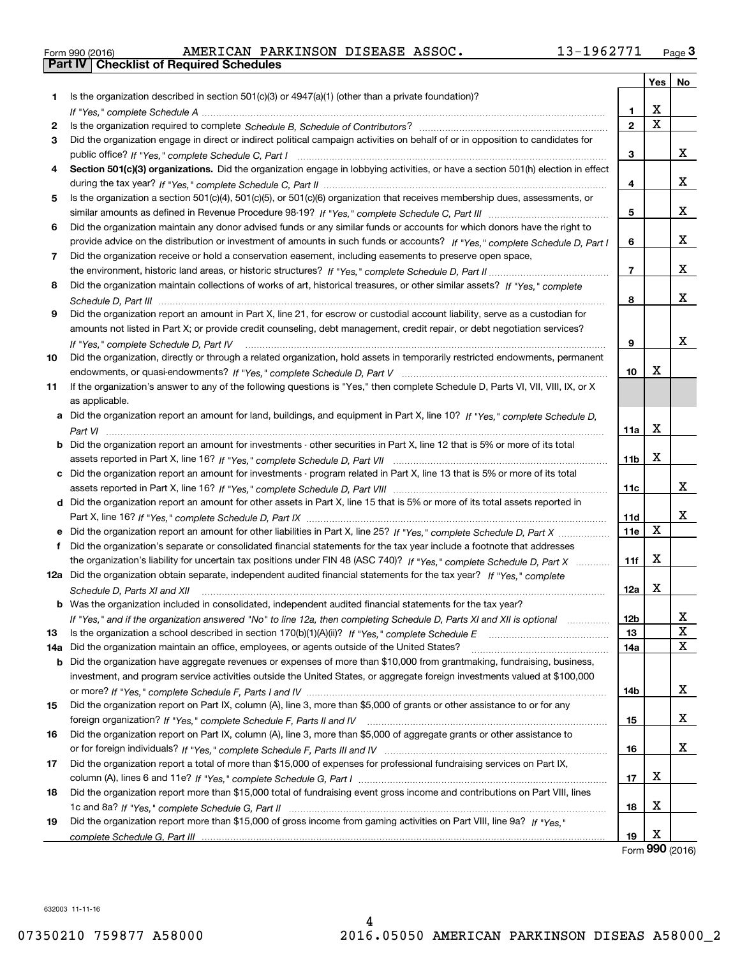| Form 990 (2016) |  |  |
|-----------------|--|--|

|     |                                                                                                                                                                         |                 | Yes         | No                      |
|-----|-------------------------------------------------------------------------------------------------------------------------------------------------------------------------|-----------------|-------------|-------------------------|
| 1.  | Is the organization described in section $501(c)(3)$ or $4947(a)(1)$ (other than a private foundation)?                                                                 |                 |             |                         |
|     |                                                                                                                                                                         | 1.              | x           |                         |
| 2   |                                                                                                                                                                         | $\overline{2}$  | $\mathbf X$ |                         |
| 3   | Did the organization engage in direct or indirect political campaign activities on behalf of or in opposition to candidates for                                         |                 |             |                         |
|     |                                                                                                                                                                         | 3               |             | X                       |
| 4   | Section 501(c)(3) organizations. Did the organization engage in lobbying activities, or have a section 501(h) election in effect                                        |                 |             |                         |
|     |                                                                                                                                                                         | 4               |             | x                       |
| 5   | Is the organization a section 501(c)(4), 501(c)(5), or 501(c)(6) organization that receives membership dues, assessments, or                                            |                 |             |                         |
|     |                                                                                                                                                                         | 5               |             | x                       |
| 6   | Did the organization maintain any donor advised funds or any similar funds or accounts for which donors have the right to                                               |                 |             |                         |
|     | provide advice on the distribution or investment of amounts in such funds or accounts? If "Yes," complete Schedule D, Part I                                            | 6               |             | x                       |
| 7   | Did the organization receive or hold a conservation easement, including easements to preserve open space,                                                               |                 |             |                         |
|     |                                                                                                                                                                         | $\overline{7}$  |             | x                       |
| 8   | Did the organization maintain collections of works of art, historical treasures, or other similar assets? If "Yes," complete                                            |                 |             |                         |
|     |                                                                                                                                                                         | 8               |             | x                       |
| 9   | Did the organization report an amount in Part X, line 21, for escrow or custodial account liability, serve as a custodian for                                           |                 |             |                         |
|     | amounts not listed in Part X; or provide credit counseling, debt management, credit repair, or debt negotiation services?                                               |                 |             |                         |
|     |                                                                                                                                                                         | 9               |             | x                       |
| 10  | If "Yes," complete Schedule D, Part IV<br>Did the organization, directly or through a related organization, hold assets in temporarily restricted endowments, permanent |                 |             |                         |
|     |                                                                                                                                                                         | 10              | X           |                         |
| 11  | If the organization's answer to any of the following questions is "Yes," then complete Schedule D, Parts VI, VII, VIII, IX, or X                                        |                 |             |                         |
|     | as applicable.                                                                                                                                                          |                 |             |                         |
|     | a Did the organization report an amount for land, buildings, and equipment in Part X, line 10? If "Yes," complete Schedule D,                                           |                 |             |                         |
|     |                                                                                                                                                                         | 11a             | х           |                         |
|     | <b>b</b> Did the organization report an amount for investments - other securities in Part X, line 12 that is 5% or more of its total                                    |                 |             |                         |
|     |                                                                                                                                                                         | 11 <sub>b</sub> | X           |                         |
|     | c Did the organization report an amount for investments - program related in Part X, line 13 that is 5% or more of its total                                            |                 |             |                         |
|     |                                                                                                                                                                         | 11c             |             | x                       |
|     | d Did the organization report an amount for other assets in Part X, line 15 that is 5% or more of its total assets reported in                                          |                 |             |                         |
|     |                                                                                                                                                                         | 11d             |             | x                       |
|     |                                                                                                                                                                         | 11e             | X           |                         |
| f   | Did the organization's separate or consolidated financial statements for the tax year include a footnote that addresses                                                 |                 |             |                         |
|     | the organization's liability for uncertain tax positions under FIN 48 (ASC 740)? If "Yes," complete Schedule D, Part X                                                  | 11f             | X           |                         |
|     | 12a Did the organization obtain separate, independent audited financial statements for the tax year? If "Yes," complete                                                 |                 |             |                         |
|     | Schedule D, Parts XI and XII                                                                                                                                            | 12a             | х           |                         |
|     | <b>b</b> Was the organization included in consolidated, independent audited financial statements for the tax year?                                                      |                 |             |                         |
|     | If "Yes," and if the organization answered "No" to line 12a, then completing Schedule D, Parts XI and XII is optional manum                                             | 12 <sub>b</sub> |             | x                       |
| 13  |                                                                                                                                                                         | 13              |             | $\overline{\textbf{X}}$ |
| 14a | Did the organization maintain an office, employees, or agents outside of the United States?                                                                             | 14a             |             | X                       |
| b   | Did the organization have aggregate revenues or expenses of more than \$10,000 from grantmaking, fundraising, business,                                                 |                 |             |                         |
|     | investment, and program service activities outside the United States, or aggregate foreign investments valued at \$100,000                                              |                 |             |                         |
|     |                                                                                                                                                                         | 14b             |             | X                       |
| 15  | Did the organization report on Part IX, column (A), line 3, more than \$5,000 of grants or other assistance to or for any                                               |                 |             |                         |
|     |                                                                                                                                                                         | 15              |             | X                       |
| 16  | Did the organization report on Part IX, column (A), line 3, more than \$5,000 of aggregate grants or other assistance to                                                |                 |             |                         |
|     |                                                                                                                                                                         | 16              |             | x                       |
| 17  | Did the organization report a total of more than \$15,000 of expenses for professional fundraising services on Part IX,                                                 |                 |             |                         |
|     |                                                                                                                                                                         | 17              | X           |                         |
| 18  | Did the organization report more than \$15,000 total of fundraising event gross income and contributions on Part VIII, lines                                            |                 |             |                         |
|     |                                                                                                                                                                         | 18              | X           |                         |
| 19  | Did the organization report more than \$15,000 of gross income from gaming activities on Part VIII, line 9a? If "Yes."                                                  |                 |             |                         |
|     |                                                                                                                                                                         | 19              | х           |                         |

632003 11-11-16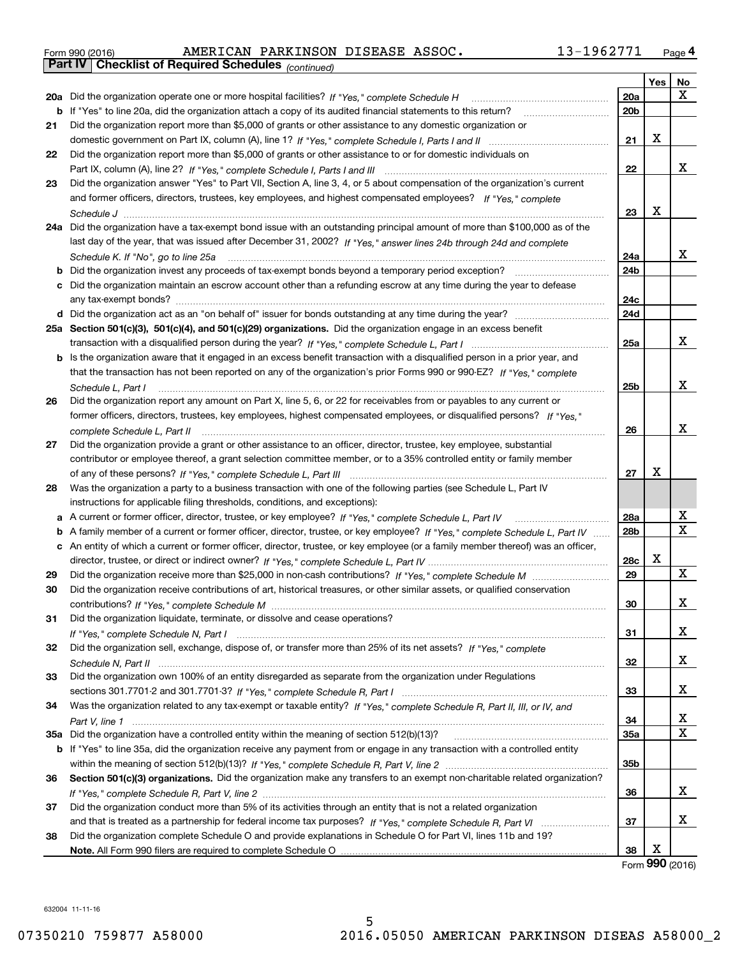| Form 990 (2016) |                                                              | AMERICAN PARKINSON DISEASE ASSOC. |  | 13-1962771 | Page 4 |
|-----------------|--------------------------------------------------------------|-----------------------------------|--|------------|--------|
|                 | <b>Part IV   Checklist of Required Schedules (continued)</b> |                                   |  |            |        |

|    | <b>Part IV</b>   Griecklist of Required Scriedules $_{(continued)}$                                                               |                 |            |             |
|----|-----------------------------------------------------------------------------------------------------------------------------------|-----------------|------------|-------------|
|    |                                                                                                                                   |                 | <b>Yes</b> | No          |
|    | 20a Did the organization operate one or more hospital facilities? If "Yes," complete Schedule H                                   | 20a             |            | x           |
| b  | If "Yes" to line 20a, did the organization attach a copy of its audited financial statements to this return?                      | 20 <sub>b</sub> |            |             |
| 21 | Did the organization report more than \$5,000 of grants or other assistance to any domestic organization or                       |                 |            |             |
|    |                                                                                                                                   | 21              | X          |             |
| 22 | Did the organization report more than \$5,000 of grants or other assistance to or for domestic individuals on                     |                 |            |             |
|    |                                                                                                                                   | 22              |            | х           |
| 23 | Did the organization answer "Yes" to Part VII, Section A, line 3, 4, or 5 about compensation of the organization's current        |                 |            |             |
|    | and former officers, directors, trustees, key employees, and highest compensated employees? If "Yes," complete                    |                 |            |             |
|    |                                                                                                                                   | 23              | X          |             |
|    | 24a Did the organization have a tax-exempt bond issue with an outstanding principal amount of more than \$100,000 as of the       |                 |            |             |
|    | last day of the year, that was issued after December 31, 2002? If "Yes," answer lines 24b through 24d and complete                |                 |            |             |
|    | Schedule K. If "No", go to line 25a                                                                                               | 24a             |            | х           |
| b  | Did the organization invest any proceeds of tax-exempt bonds beyond a temporary period exception?                                 | 24 <sub>b</sub> |            |             |
| c  | Did the organization maintain an escrow account other than a refunding escrow at any time during the year to defease              |                 |            |             |
|    | any tax-exempt bonds?                                                                                                             | 24c             |            |             |
|    | d Did the organization act as an "on behalf of" issuer for bonds outstanding at any time during the year?                         | 24d             |            |             |
|    | 25a Section 501(c)(3), 501(c)(4), and 501(c)(29) organizations. Did the organization engage in an excess benefit                  |                 |            |             |
|    |                                                                                                                                   | 25a             |            | x           |
|    | b Is the organization aware that it engaged in an excess benefit transaction with a disqualified person in a prior year, and      |                 |            |             |
|    | that the transaction has not been reported on any of the organization's prior Forms 990 or 990-EZ? If "Yes," complete             |                 |            |             |
|    | Schedule L, Part I                                                                                                                | 25b             |            | х           |
| 26 | Did the organization report any amount on Part X, line 5, 6, or 22 for receivables from or payables to any current or             |                 |            |             |
|    | former officers, directors, trustees, key employees, highest compensated employees, or disqualified persons? If "Yes."            |                 |            |             |
|    |                                                                                                                                   | 26              |            | х           |
| 27 | Did the organization provide a grant or other assistance to an officer, director, trustee, key employee, substantial              |                 |            |             |
|    | contributor or employee thereof, a grant selection committee member, or to a 35% controlled entity or family member               |                 |            |             |
|    |                                                                                                                                   | 27              | X          |             |
| 28 |                                                                                                                                   |                 |            |             |
|    | Was the organization a party to a business transaction with one of the following parties (see Schedule L, Part IV                 |                 |            |             |
|    | instructions for applicable filing thresholds, conditions, and exceptions):                                                       |                 |            | х           |
|    | a A current or former officer, director, trustee, or key employee? If "Yes," complete Schedule L, Part IV                         | 28a             |            | $\mathbf X$ |
| b  | A family member of a current or former officer, director, trustee, or key employee? If "Yes," complete Schedule L, Part IV        | 28 <sub>b</sub> |            |             |
|    | c An entity of which a current or former officer, director, trustee, or key employee (or a family member thereof) was an officer, |                 | x          |             |
|    |                                                                                                                                   | 28c             |            | X.          |
| 29 |                                                                                                                                   | 29              |            |             |
| 30 | Did the organization receive contributions of art, historical treasures, or other similar assets, or qualified conservation       |                 |            |             |
|    |                                                                                                                                   | 30              |            | х           |
| 31 | Did the organization liquidate, terminate, or dissolve and cease operations?                                                      |                 |            |             |
|    |                                                                                                                                   | 31              |            | x           |
| 32 | Did the organization sell, exchange, dispose of, or transfer more than 25% of its net assets? If "Yes," complete                  |                 |            |             |
|    |                                                                                                                                   | 32              |            | x           |
| 33 | Did the organization own 100% of an entity disregarded as separate from the organization under Regulations                        |                 |            |             |
|    |                                                                                                                                   | 33              |            | x           |
| 34 | Was the organization related to any tax-exempt or taxable entity? If "Yes," complete Schedule R, Part II, III, or IV, and         |                 |            |             |
|    |                                                                                                                                   | 34              |            | х           |
|    |                                                                                                                                   | <b>35a</b>      |            | х           |
|    | b If "Yes" to line 35a, did the organization receive any payment from or engage in any transaction with a controlled entity       |                 |            |             |
|    |                                                                                                                                   | 35b             |            |             |
| 36 | Section 501(c)(3) organizations. Did the organization make any transfers to an exempt non-charitable related organization?        |                 |            |             |
|    |                                                                                                                                   | 36              |            | х           |
| 37 | Did the organization conduct more than 5% of its activities through an entity that is not a related organization                  |                 |            |             |
|    |                                                                                                                                   | 37              |            | х           |
| 38 | Did the organization complete Schedule O and provide explanations in Schedule O for Part VI, lines 11b and 19?                    |                 |            |             |
|    |                                                                                                                                   | 38              | х          |             |

632004 11-11-16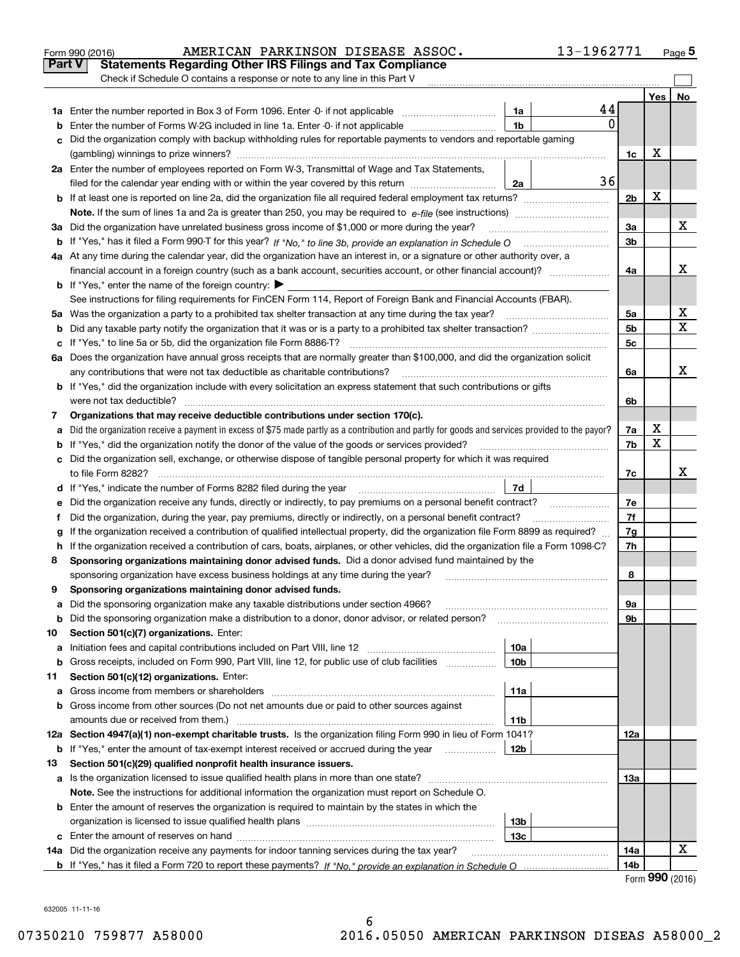|        | AMERICAN PARKINSON DISEASE ASSOC.<br>Form 990 (2016)                                                                                            |                 | 13-1962771   |                |     | Page 5 |
|--------|-------------------------------------------------------------------------------------------------------------------------------------------------|-----------------|--------------|----------------|-----|--------|
| Part V | <b>Statements Regarding Other IRS Filings and Tax Compliance</b>                                                                                |                 |              |                |     |        |
|        | Check if Schedule O contains a response or note to any line in this Part V                                                                      |                 |              |                |     |        |
|        |                                                                                                                                                 |                 |              |                | Yes | No     |
|        |                                                                                                                                                 | 1a              | 44           |                |     |        |
| b      | Enter the number of Forms W-2G included in line 1a. Enter -0- if not applicable                                                                 | 1 <sub>b</sub>  | $\mathbf{0}$ |                |     |        |
| c      | Did the organization comply with backup withholding rules for reportable payments to vendors and reportable gaming                              |                 |              |                |     |        |
|        |                                                                                                                                                 |                 |              | 1c             | х   |        |
|        | 2a Enter the number of employees reported on Form W-3, Transmittal of Wage and Tax Statements,                                                  |                 |              |                |     |        |
|        | filed for the calendar year ending with or within the year covered by this return                                                               | 2a              | 36           |                |     |        |
|        |                                                                                                                                                 |                 |              | 2 <sub>b</sub> | х   |        |
|        |                                                                                                                                                 |                 |              |                |     |        |
|        | 3a Did the organization have unrelated business gross income of \$1,000 or more during the year?                                                |                 |              | 3a             |     | х      |
|        |                                                                                                                                                 |                 |              | 3b             |     |        |
|        | 4a At any time during the calendar year, did the organization have an interest in, or a signature or other authority over, a                    |                 |              |                |     |        |
|        | financial account in a foreign country (such as a bank account, securities account, or other financial account)?                                |                 |              | 4a             |     | x      |
|        | <b>b</b> If "Yes," enter the name of the foreign country: $\blacktriangleright$                                                                 |                 |              |                |     |        |
|        | See instructions for filing requirements for FinCEN Form 114, Report of Foreign Bank and Financial Accounts (FBAR).                             |                 |              |                |     |        |
|        |                                                                                                                                                 |                 |              | 5a             |     | х      |
| b      |                                                                                                                                                 |                 |              | 5 <sub>b</sub> |     | х      |
| с      |                                                                                                                                                 |                 |              | 5c             |     |        |
|        | 6a Does the organization have annual gross receipts that are normally greater than \$100,000, and did the organization solicit                  |                 |              |                |     |        |
|        |                                                                                                                                                 |                 |              | 6a             |     | x      |
|        | <b>b</b> If "Yes," did the organization include with every solicitation an express statement that such contributions or gifts                   |                 |              |                |     |        |
|        |                                                                                                                                                 |                 |              | 6b             |     |        |
| 7      | Organizations that may receive deductible contributions under section 170(c).                                                                   |                 |              |                |     |        |
| a      | Did the organization receive a payment in excess of \$75 made partly as a contribution and partly for goods and services provided to the payor? |                 |              | 7a             | х   |        |
|        | <b>b</b> If "Yes," did the organization notify the donor of the value of the goods or services provided?                                        |                 |              | 7b             | X   |        |
|        | c Did the organization sell, exchange, or otherwise dispose of tangible personal property for which it was required                             |                 |              |                |     |        |
|        |                                                                                                                                                 |                 |              | 7c             |     | x      |
|        | d If "Yes," indicate the number of Forms 8282 filed during the year [11,111] The Section of Holder and The Year                                 | 7d              |              |                |     |        |
| е      |                                                                                                                                                 |                 |              | 7e             |     |        |
| f      | Did the organization, during the year, pay premiums, directly or indirectly, on a personal benefit contract?                                    |                 |              | 7f             |     |        |
| g      | If the organization received a contribution of qualified intellectual property, did the organization file Form 8899 as required?                |                 |              | 7g             |     |        |
|        | h If the organization received a contribution of cars, boats, airplanes, or other vehicles, did the organization file a Form 1098-C?            |                 |              | 7h             |     |        |
| 8      | Sponsoring organizations maintaining donor advised funds. Did a donor advised fund maintained by the                                            |                 |              |                |     |        |
|        | sponsoring organization have excess business holdings at any time during the year?                                                              |                 |              | 8              |     |        |
|        | Sponsoring organizations maintaining donor advised funds.                                                                                       |                 |              |                |     |        |
| a      | Did the sponsoring organization make any taxable distributions under section 4966?                                                              |                 |              | 9а             |     |        |
| b      | Did the sponsoring organization make a distribution to a donor, donor advisor, or related person?                                               |                 |              | 9b             |     |        |
| 10     | Section 501(c)(7) organizations. Enter:                                                                                                         |                 |              |                |     |        |
| а      | Initiation fees and capital contributions included on Part VIII, line 12 <i>manuarrouus</i> manuations of the lates                             | 10a             |              |                |     |        |
| b      | Gross receipts, included on Form 990, Part VIII, line 12, for public use of club facilities                                                     | 10 <sub>b</sub> |              |                |     |        |
| 11     | Section 501(c)(12) organizations. Enter:                                                                                                        |                 |              |                |     |        |
| a      | Gross income from members or shareholders                                                                                                       | 11a             |              |                |     |        |
|        | b Gross income from other sources (Do not net amounts due or paid to other sources against                                                      |                 |              |                |     |        |
|        | amounts due or received from them.)                                                                                                             | 11b             |              |                |     |        |
|        | 12a Section 4947(a)(1) non-exempt charitable trusts. Is the organization filing Form 990 in lieu of Form 1041?                                  |                 |              | 12a            |     |        |
|        | <b>b</b> If "Yes," enter the amount of tax-exempt interest received or accrued during the year <i>manument</i> of                               | 12b             |              |                |     |        |
| 13     | Section 501(c)(29) qualified nonprofit health insurance issuers.                                                                                |                 |              |                |     |        |
| a      | Is the organization licensed to issue qualified health plans in more than one state?                                                            |                 |              | 13а            |     |        |
|        | Note. See the instructions for additional information the organization must report on Schedule O.                                               |                 |              |                |     |        |
|        | <b>b</b> Enter the amount of reserves the organization is required to maintain by the states in which the                                       |                 |              |                |     |        |
|        | organization is licensed to issue qualified health plans <i>communically contained in the series</i>                                            | 13 <sub>b</sub> |              |                |     |        |
|        |                                                                                                                                                 | 13c             |              |                |     |        |
|        | 14a Did the organization receive any payments for indoor tanning services during the tax year?                                                  |                 |              | 14a            |     | x      |
|        |                                                                                                                                                 |                 |              | 14b            |     |        |

632005 11-11-16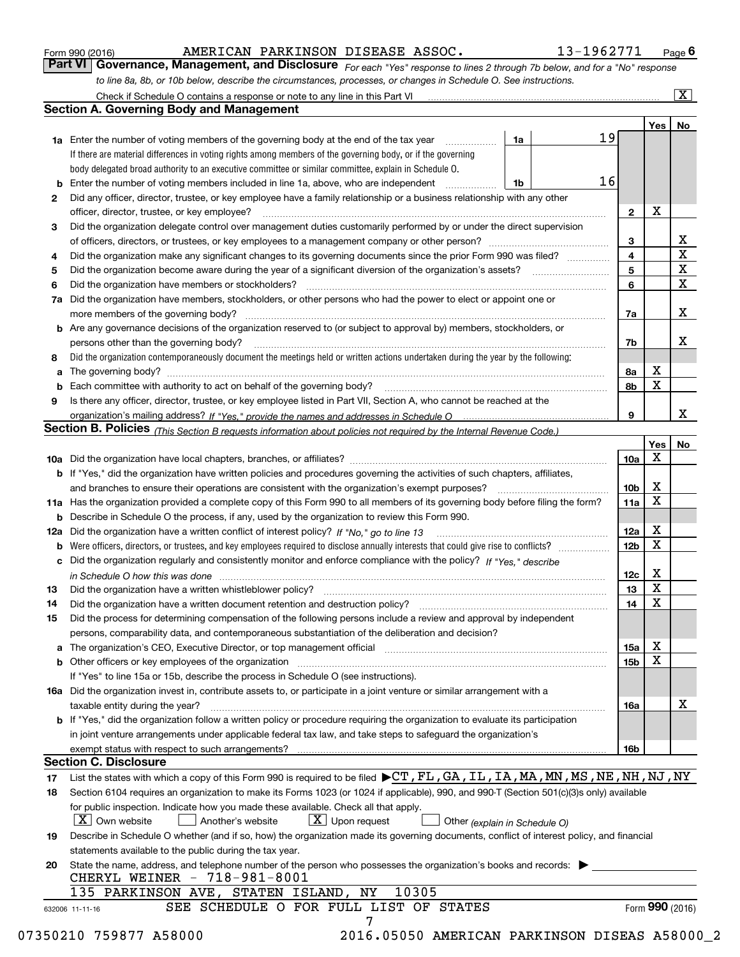| Form 990 (2016) |  |  |
|-----------------|--|--|
|                 |  |  |

### AMERICAN PARKINSON DISEASE ASSOC. 13-1962771

*For each "Yes" response to lines 2 through 7b below, and for a "No" response to line 8a, 8b, or 10b below, describe the circumstances, processes, or changes in Schedule O. See instructions.* Form 990 (2016) **COMBART ANGERIGAN PARKINSON DISEASE ASSOC.** 13-1962771 Page 6<br>**Part VI Governance, Management, and Disclosure** For each "Yes" response to lines 2 through 7b below, and for a "No" response

|    |                                                                                                                                                                               |    |    |                         | Yes             | No                      |
|----|-------------------------------------------------------------------------------------------------------------------------------------------------------------------------------|----|----|-------------------------|-----------------|-------------------------|
|    | <b>1a</b> Enter the number of voting members of the governing body at the end of the tax year                                                                                 | 1a | 19 |                         |                 |                         |
|    | If there are material differences in voting rights among members of the governing body, or if the governing                                                                   |    |    |                         |                 |                         |
|    | body delegated broad authority to an executive committee or similar committee, explain in Schedule O.                                                                         |    |    |                         |                 |                         |
|    | <b>b</b> Enter the number of voting members included in line 1a, above, who are independent <i>manumum</i>                                                                    | 1b | 16 |                         |                 |                         |
| 2  | Did any officer, director, trustee, or key employee have a family relationship or a business relationship with any other                                                      |    |    |                         |                 |                         |
|    | officer, director, trustee, or key employee?                                                                                                                                  |    |    | $\mathbf{2}$            | X               |                         |
| 3  | Did the organization delegate control over management duties customarily performed by or under the direct supervision                                                         |    |    |                         |                 |                         |
|    |                                                                                                                                                                               |    |    | 3                       |                 | X                       |
| 4  | Did the organization make any significant changes to its governing documents since the prior Form 990 was filed?                                                              |    |    | $\overline{\mathbf{4}}$ |                 | $\overline{\mathbf{x}}$ |
| 5  |                                                                                                                                                                               |    |    | 5                       |                 | $\mathbf X$             |
| 6  |                                                                                                                                                                               |    |    | 6                       |                 | $\mathbf x$             |
|    | 7a Did the organization have members, stockholders, or other persons who had the power to elect or appoint one or                                                             |    |    |                         |                 |                         |
|    |                                                                                                                                                                               |    |    | 7a                      |                 | x                       |
|    | <b>b</b> Are any governance decisions of the organization reserved to (or subject to approval by) members, stockholders, or                                                   |    |    |                         |                 |                         |
|    | persons other than the governing body?                                                                                                                                        |    |    | 7b                      |                 | х                       |
|    |                                                                                                                                                                               |    |    |                         |                 |                         |
| 8  | Did the organization contemporaneously document the meetings held or written actions undertaken during the year by the following:                                             |    |    |                         | X               |                         |
| a  |                                                                                                                                                                               |    |    | 8a                      | X               |                         |
|    |                                                                                                                                                                               |    |    | 8b                      |                 |                         |
| 9  | Is there any officer, director, trustee, or key employee listed in Part VII, Section A, who cannot be reached at the                                                          |    |    |                         |                 |                         |
|    |                                                                                                                                                                               |    |    | 9                       |                 | х                       |
|    | Section B. Policies (This Section B requests information about policies not required by the Internal Revenue Code.)                                                           |    |    |                         |                 |                         |
|    |                                                                                                                                                                               |    |    |                         | Yes             | No                      |
|    |                                                                                                                                                                               |    |    | 10a                     | Χ               |                         |
|    | <b>b</b> If "Yes," did the organization have written policies and procedures governing the activities of such chapters, affiliates,                                           |    |    |                         |                 |                         |
|    |                                                                                                                                                                               |    |    | 10 <sub>b</sub>         | Х               |                         |
|    | 11a Has the organization provided a complete copy of this Form 990 to all members of its governing body before filing the form?                                               |    |    | 11a                     | X               |                         |
|    | <b>b</b> Describe in Schedule O the process, if any, used by the organization to review this Form 990.                                                                        |    |    |                         |                 |                         |
|    |                                                                                                                                                                               |    |    | 12a                     | X               |                         |
| b  |                                                                                                                                                                               |    |    | 12b                     | X               |                         |
|    | c Did the organization regularly and consistently monitor and enforce compliance with the policy? If "Yes," describe                                                          |    |    |                         |                 |                         |
|    | in Schedule O how this was done manufactured and continuum control of the Schedule O how this was done manufactured and continuum control of the Schedule O how this was done |    |    | 12c                     | х               |                         |
| 13 |                                                                                                                                                                               |    |    | 13                      | X               |                         |
| 14 | Did the organization have a written document retention and destruction policy? manufactured and the organization have a written document retention and destruction policy?    |    |    | 14                      | X               |                         |
| 15 | Did the process for determining compensation of the following persons include a review and approval by independent                                                            |    |    |                         |                 |                         |
|    | persons, comparability data, and contemporaneous substantiation of the deliberation and decision?                                                                             |    |    |                         |                 |                         |
|    |                                                                                                                                                                               |    |    | 15a                     | X               |                         |
|    |                                                                                                                                                                               |    |    | 15b                     | X               |                         |
|    | If "Yes" to line 15a or 15b, describe the process in Schedule O (see instructions).                                                                                           |    |    |                         |                 |                         |
|    | 16a Did the organization invest in, contribute assets to, or participate in a joint venture or similar arrangement with a                                                     |    |    |                         |                 |                         |
|    | taxable entity during the year?                                                                                                                                               |    |    | 16a                     |                 | X                       |
|    | b If "Yes," did the organization follow a written policy or procedure requiring the organization to evaluate its participation                                                |    |    |                         |                 |                         |
|    | in joint venture arrangements under applicable federal tax law, and take steps to safeguard the organization's                                                                |    |    |                         |                 |                         |
|    | exempt status with respect to such arrangements?                                                                                                                              |    |    | 16b                     |                 |                         |
|    | <b>Section C. Disclosure</b>                                                                                                                                                  |    |    |                         |                 |                         |
| 17 | List the states with which a copy of this Form 990 is required to be filed $\blacktriangleright$ CT, FL, GA, IL, IA, MA, MN, MS, NE, NH, NJ, NY                               |    |    |                         |                 |                         |
| 18 | Section 6104 requires an organization to make its Forms 1023 (or 1024 if applicable), 990, and 990-T (Section 501(c)(3)s only) available                                      |    |    |                         |                 |                         |
|    | for public inspection. Indicate how you made these available. Check all that apply.                                                                                           |    |    |                         |                 |                         |
|    | $\lfloor X \rfloor$ Own website<br>$X$ Upon request<br>Another's website                                                                                                      |    |    |                         |                 |                         |
|    | Other (explain in Schedule O)                                                                                                                                                 |    |    |                         |                 |                         |
| 19 | Describe in Schedule O whether (and if so, how) the organization made its governing documents, conflict of interest policy, and financial                                     |    |    |                         |                 |                         |
|    | statements available to the public during the tax year.                                                                                                                       |    |    |                         |                 |                         |
| 20 | State the name, address, and telephone number of the person who possesses the organization's books and records:<br>CHERYL WEINER - 718-981-8001                               |    |    |                         |                 |                         |
|    | 10305<br>135 PARKINSON AVE, STATEN ISLAND, NY                                                                                                                                 |    |    |                         |                 |                         |
|    | SEE SCHEDULE O FOR FULL LIST OF STATES<br>632006 11-11-16                                                                                                                     |    |    |                         | Form 990 (2016) |                         |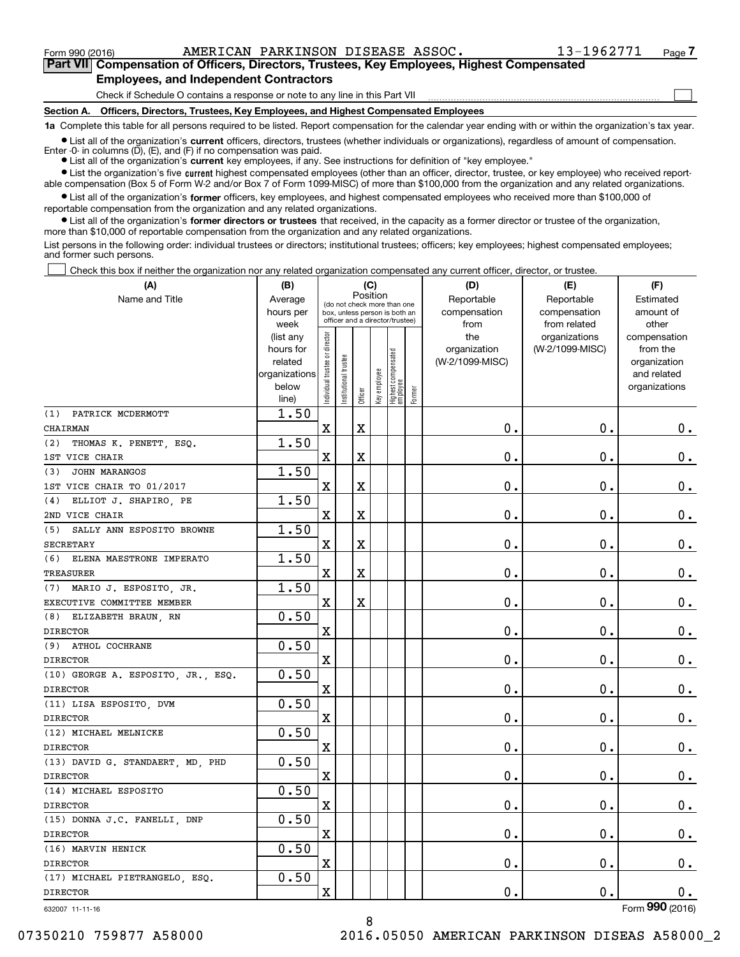$\mathcal{L}^{\text{max}}$ 

**7Part VII Compensation of Officers, Directors, Trustees, Key Employees, Highest Compensated Employees, and Independent Contractors**

Check if Schedule O contains a response or note to any line in this Part VII

**Section A. Officers, Directors, Trustees, Key Employees, and Highest Compensated Employees**

**1a**  Complete this table for all persons required to be listed. Report compensation for the calendar year ending with or within the organization's tax year.

**•** List all of the organization's current officers, directors, trustees (whether individuals or organizations), regardless of amount of compensation. Enter -0- in columns  $(D)$ ,  $(E)$ , and  $(F)$  if no compensation was paid.

● List all of the organization's **current** key employees, if any. See instructions for definition of "key employee."

**•** List the organization's five current highest compensated employees (other than an officer, director, trustee, or key employee) who received reportable compensation (Box 5 of Form W-2 and/or Box 7 of Form 1099-MISC) of more than \$100,000 from the organization and any related organizations.

 $\bullet$  List all of the organization's **former** officers, key employees, and highest compensated employees who received more than \$100,000 of reportable compensation from the organization and any related organizations.

**•** List all of the organization's former directors or trustees that received, in the capacity as a former director or trustee of the organization, more than \$10,000 of reportable compensation from the organization and any related organizations.

List persons in the following order: individual trustees or directors; institutional trustees; officers; key employees; highest compensated employees; and former such persons.

Check this box if neither the organization nor any related organization compensated any current officer, director, or trustee.  $\mathcal{L}^{\text{max}}$ 

| (A)                                | (B)                    |                                |                       |                         | (C)          |                                                                  |        | (D)                             | (E)                              | (F)                      |
|------------------------------------|------------------------|--------------------------------|-----------------------|-------------------------|--------------|------------------------------------------------------------------|--------|---------------------------------|----------------------------------|--------------------------|
| Name and Title                     | Average                |                                |                       |                         | Position     | (do not check more than one                                      |        | Reportable                      | Reportable                       | Estimated                |
|                                    | hours per              |                                |                       |                         |              | box, unless person is both an<br>officer and a director/trustee) |        | compensation                    | compensation                     | amount of                |
|                                    | week                   |                                |                       |                         |              |                                                                  |        | from                            | from related                     | other                    |
|                                    | (list any<br>hours for | Individual trustee or director |                       |                         |              |                                                                  |        | the                             | organizations<br>(W-2/1099-MISC) | compensation<br>from the |
|                                    | related                |                                |                       |                         |              |                                                                  |        | organization<br>(W-2/1099-MISC) |                                  | organization             |
|                                    | organizations          |                                |                       |                         |              |                                                                  |        |                                 |                                  | and related              |
|                                    | below                  |                                | Institutional trustee |                         |              |                                                                  |        |                                 |                                  | organizations            |
|                                    | line)                  |                                |                       | Officer                 | Key employee | Highest compensated<br>  employee                                | Former |                                 |                                  |                          |
| PATRICK MCDERMOTT<br>(1)           | 1.50                   |                                |                       |                         |              |                                                                  |        |                                 |                                  |                          |
| <b>CHAIRMAN</b>                    |                        | $\mathbf X$                    |                       | $\overline{\textbf{X}}$ |              |                                                                  |        | 0.                              | $\mathbf 0$ .                    | 0.                       |
| THOMAS K. PENETT, ESQ.<br>(2)      | 1.50                   |                                |                       |                         |              |                                                                  |        |                                 |                                  |                          |
| 1ST VICE CHAIR                     |                        | X                              |                       | X                       |              |                                                                  |        | 0.                              | 0.                               | 0.                       |
| JOHN MARANGOS<br>(3)               | 1.50                   |                                |                       |                         |              |                                                                  |        |                                 |                                  |                          |
| 1ST VICE CHAIR TO 01/2017          |                        | $\mathbf X$                    |                       | $\rm X$                 |              |                                                                  |        | 0.                              | $\mathbf 0$ .                    | $\mathbf 0$ .            |
| ELLIOT J. SHAPIRO, PE<br>(4)       | 1.50                   |                                |                       |                         |              |                                                                  |        |                                 |                                  |                          |
| 2ND VICE CHAIR                     |                        | $\mathbf X$                    |                       | $\overline{\textbf{X}}$ |              |                                                                  |        | 0.                              | 0.                               | 0.                       |
| (5) SALLY ANN ESPOSITO BROWNE      | 1.50                   |                                |                       |                         |              |                                                                  |        |                                 |                                  |                          |
| <b>SECRETARY</b>                   |                        | $\mathbf X$                    |                       | X                       |              |                                                                  |        | 0.                              | $\mathbf 0$ .                    | $0_{.}$                  |
| (6) ELENA MAESTRONE IMPERATO       | 1.50                   |                                |                       |                         |              |                                                                  |        |                                 |                                  |                          |
| TREASURER                          |                        | X                              |                       | X                       |              |                                                                  |        | 0.                              | 0.                               | $\mathbf 0$ .            |
| (7) MARIO J. ESPOSITO, JR.         | 1.50                   |                                |                       |                         |              |                                                                  |        |                                 |                                  |                          |
| EXECUTIVE COMMITTEE MEMBER         |                        | $\mathbf X$                    |                       | $\overline{\mathbf{X}}$ |              |                                                                  |        | 0.                              | $\mathbf 0$ .                    | $\mathbf 0$ .            |
| (8) ELIZABETH BRAUN, RN            | 0.50                   |                                |                       |                         |              |                                                                  |        |                                 |                                  |                          |
| <b>DIRECTOR</b>                    |                        | X                              |                       |                         |              |                                                                  |        | 0.                              | $\mathbf 0$ .                    | $0_{.}$                  |
| (9) ATHOL COCHRANE                 | 0.50                   |                                |                       |                         |              |                                                                  |        |                                 |                                  |                          |
| <b>DIRECTOR</b>                    |                        | $\rm X$                        |                       |                         |              |                                                                  |        | 0.                              | $\mathbf 0$ .                    | $\mathbf 0$ .            |
| (10) GEORGE A. ESPOSITO, JR., ESQ. | 0.50                   |                                |                       |                         |              |                                                                  |        |                                 |                                  |                          |
| <b>DIRECTOR</b>                    |                        | X                              |                       |                         |              |                                                                  |        | $\mathbf 0$ .                   | $\mathbf 0$ .                    | 0.                       |
| (11) LISA ESPOSITO, DVM            | 0.50                   |                                |                       |                         |              |                                                                  |        |                                 |                                  |                          |
| <b>DIRECTOR</b>                    |                        | $\mathbf X$                    |                       |                         |              |                                                                  |        | 0.                              | 0.                               | $0_{.}$                  |
| (12) MICHAEL MELNICKE              | 0.50                   |                                |                       |                         |              |                                                                  |        |                                 |                                  |                          |
| <b>DIRECTOR</b>                    |                        | $\rm X$                        |                       |                         |              |                                                                  |        | 0.                              | $\mathbf 0$ .                    | $\mathbf 0$ .            |
| (13) DAVID G. STANDAERT, MD, PHD   | 0.50                   |                                |                       |                         |              |                                                                  |        |                                 |                                  |                          |
| <b>DIRECTOR</b>                    |                        | $\mathbf X$                    |                       |                         |              |                                                                  |        | 0.                              | 0.                               | $\mathbf 0$ .            |
| (14) MICHAEL ESPOSITO              | 0.50                   |                                |                       |                         |              |                                                                  |        |                                 |                                  |                          |
| <b>DIRECTOR</b>                    |                        | $\mathbf X$                    |                       |                         |              |                                                                  |        | 0.                              | $\mathbf 0$ .                    | $\mathbf 0$ .            |
| (15) DONNA J.C. FANELLI, DNP       | 0.50                   |                                |                       |                         |              |                                                                  |        |                                 |                                  |                          |
| <b>DIRECTOR</b>                    |                        | X                              |                       |                         |              |                                                                  |        | 0.                              | 0.                               | 0.                       |
| (16) MARVIN HENICK                 | 0.50                   |                                |                       |                         |              |                                                                  |        |                                 |                                  |                          |
| <b>DIRECTOR</b>                    |                        | X                              |                       |                         |              |                                                                  |        | $0$ .                           | $\mathbf 0$ .                    | 0.                       |
| (17) MICHAEL PIETRANGELO, ESQ.     | 0.50                   |                                |                       |                         |              |                                                                  |        |                                 |                                  |                          |
| <b>DIRECTOR</b>                    |                        | $\mathbf X$                    |                       |                         |              |                                                                  |        | 0.                              | $\mathbf 0$ .                    | 0.<br>$\overline{2}$     |

632007 11-11-16

Form (2016) **990**

07350210 759877 A58000 2016.05050 AMERICAN PARKINSON DISEAS A58000\_2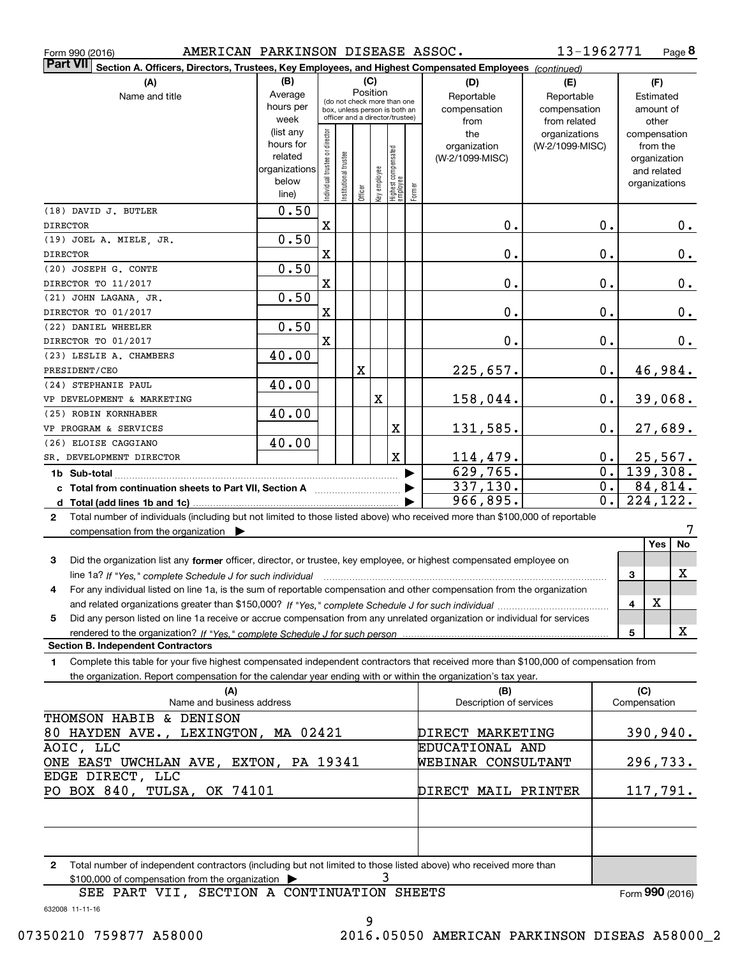|  | Form 990 (2016) |
|--|-----------------|
|  |                 |

Form 990 (2016) AMERICAN PARKINSON DISEASE ASSOC 13-1962771 Page **8** 

| Part VII<br>Section A. Officers, Directors, Trustees, Key Employees, and Highest Compensated Employees (continued)                           |                        |                               |                                 |                 |                     |                                  |        |                                 |                 |                           |              |                          |          |
|----------------------------------------------------------------------------------------------------------------------------------------------|------------------------|-------------------------------|---------------------------------|-----------------|---------------------|----------------------------------|--------|---------------------------------|-----------------|---------------------------|--------------|--------------------------|----------|
| (A)                                                                                                                                          | (B)                    |                               |                                 |                 | (C)                 |                                  |        | (D)                             | (E)             | (F)                       |              |                          |          |
| Name and title                                                                                                                               | Average                |                               | (do not check more than one     |                 | Position            |                                  |        | Reportable                      | Reportable      | Estimated                 |              |                          |          |
|                                                                                                                                              | hours per              |                               | box, unless person is both an   |                 |                     |                                  |        | compensation<br>compensation    |                 | amount of                 |              |                          |          |
|                                                                                                                                              | week                   |                               | officer and a director/trustee) |                 |                     |                                  |        | from                            | from related    |                           |              | other                    |          |
|                                                                                                                                              | (list any<br>hours for |                               |                                 |                 |                     |                                  |        | the                             | organizations   |                           |              | compensation             |          |
|                                                                                                                                              | related                |                               |                                 |                 |                     |                                  |        | organization<br>(W-2/1099-MISC) | (W-2/1099-MISC) |                           |              | from the<br>organization |          |
|                                                                                                                                              | organizations          |                               |                                 |                 |                     |                                  |        |                                 |                 |                           |              | and related              |          |
|                                                                                                                                              | below                  | ndividual trustee or director | nstitutional trustee            |                 | Key employee        |                                  |        |                                 |                 |                           |              | organizations            |          |
|                                                                                                                                              | line)                  |                               |                                 | Officer         |                     | Highest compensated<br> employee | Former |                                 |                 |                           |              |                          |          |
| (18) DAVID J. BUTLER                                                                                                                         | 0.50                   |                               |                                 |                 |                     |                                  |        |                                 |                 |                           |              |                          |          |
| <b>DIRECTOR</b>                                                                                                                              |                        | $\mathbf X$                   |                                 |                 |                     |                                  |        | $\mathbf 0$ .                   |                 | 0.                        |              |                          | 0.       |
| (19) JOEL A. MIELE, JR.                                                                                                                      | 0.50                   |                               |                                 |                 |                     |                                  |        |                                 |                 |                           |              |                          |          |
| <b>DIRECTOR</b>                                                                                                                              |                        | X                             |                                 |                 |                     |                                  |        | $\mathbf 0$ .                   |                 | 0.                        |              |                          | $0_{.}$  |
| (20) JOSEPH G. CONTE                                                                                                                         | 0.50                   |                               |                                 |                 |                     |                                  |        |                                 |                 |                           |              |                          |          |
| DIRECTOR TO 11/2017<br>(21) JOHN LAGANA, JR.                                                                                                 | 0.50                   | X                             |                                 |                 |                     |                                  |        | $\mathbf 0$ .                   |                 | 0.                        |              |                          | $0_{.}$  |
| DIRECTOR TO 01/2017                                                                                                                          |                        | X                             |                                 |                 |                     |                                  |        | 0.                              |                 | 0.                        |              |                          | 0.       |
| (22) DANIEL WHEELER                                                                                                                          | 0.50                   |                               |                                 |                 |                     |                                  |        |                                 |                 |                           |              |                          |          |
| DIRECTOR TO 01/2017                                                                                                                          |                        | X                             |                                 |                 |                     |                                  |        | $0$ .                           |                 | 0.                        |              |                          | 0.       |
| (23) LESLIE A. CHAMBERS                                                                                                                      | 40.00                  |                               |                                 |                 |                     |                                  |        |                                 |                 |                           |              |                          |          |
| PRESIDENT/CEO                                                                                                                                |                        |                               |                                 | X               |                     |                                  |        | 225,657.                        |                 | $0$ .                     |              |                          | 46,984.  |
| (24) STEPHANIE PAUL                                                                                                                          | 40.00                  |                               |                                 |                 |                     |                                  |        |                                 |                 |                           |              |                          |          |
| VP DEVELOPMENT & MARKETING                                                                                                                   |                        |                               |                                 |                 | X                   |                                  |        | 158,044.                        |                 | $0$ .                     |              |                          | 39,068.  |
| (25) ROBIN KORNHABER                                                                                                                         | 40.00                  |                               |                                 |                 |                     |                                  |        |                                 |                 |                           |              |                          |          |
| VP PROGRAM & SERVICES                                                                                                                        |                        |                               |                                 |                 |                     | X                                |        | 131,585.                        |                 | $0$ .                     |              |                          | 27,689.  |
| (26) ELOISE CAGGIANO                                                                                                                         | 40.00                  |                               |                                 |                 |                     | $\mathbf X$                      |        |                                 |                 |                           |              |                          |          |
| SR. DEVELOPMENT DIRECTOR                                                                                                                     |                        |                               |                                 |                 |                     |                                  |        | 114,479.<br>629,765.            |                 | $0$ .<br>$0$ .            |              |                          | 25,567.  |
|                                                                                                                                              |                        |                               |                                 |                 |                     |                                  |        | 337,130.                        |                 | 139,308.<br>84,814.<br>0. |              |                          |          |
|                                                                                                                                              |                        |                               |                                 |                 |                     |                                  |        | 966,895.                        |                 | $0$ .                     |              |                          | 224,122. |
| Total number of individuals (including but not limited to those listed above) who received more than \$100,000 of reportable<br>$\mathbf{2}$ |                        |                               |                                 |                 |                     |                                  |        |                                 |                 |                           |              |                          |          |
| compensation from the organization                                                                                                           |                        |                               |                                 |                 |                     |                                  |        |                                 |                 |                           |              |                          | 7        |
|                                                                                                                                              |                        |                               |                                 |                 |                     |                                  |        |                                 |                 |                           |              | Yes                      | No       |
| 3<br>Did the organization list any former officer, director, or trustee, key employee, or highest compensated employee on                    |                        |                               |                                 |                 |                     |                                  |        |                                 |                 |                           |              |                          |          |
| line 1a? If "Yes," complete Schedule J for such individual manufactured contained and the Schedule J for such i                              |                        |                               |                                 |                 |                     |                                  |        |                                 |                 |                           | 3            |                          | х        |
| For any individual listed on line 1a, is the sum of reportable compensation and other compensation from the organization<br>4                |                        |                               |                                 |                 |                     |                                  |        |                                 |                 |                           |              |                          |          |
|                                                                                                                                              |                        |                               |                                 |                 |                     |                                  |        |                                 |                 |                           | 4            | $\mathbf X$              |          |
| Did any person listed on line 1a receive or accrue compensation from any unrelated organization or individual for services<br>5              |                        |                               |                                 |                 |                     |                                  |        |                                 |                 |                           |              |                          | X        |
| <b>Section B. Independent Contractors</b>                                                                                                    |                        |                               |                                 |                 |                     |                                  |        |                                 |                 |                           | 5            |                          |          |
| Complete this table for your five highest compensated independent contractors that received more than \$100,000 of compensation from<br>1    |                        |                               |                                 |                 |                     |                                  |        |                                 |                 |                           |              |                          |          |
| the organization. Report compensation for the calendar year ending with or within the organization's tax year.                               |                        |                               |                                 |                 |                     |                                  |        |                                 |                 |                           |              |                          |          |
| (A)                                                                                                                                          |                        |                               |                                 |                 |                     |                                  |        | (B)                             |                 |                           | (C)          |                          |          |
| Name and business address                                                                                                                    |                        |                               |                                 |                 |                     |                                  |        | Description of services         |                 |                           | Compensation |                          |          |
| THOMSON HABIB & DENISON                                                                                                                      |                        |                               |                                 |                 |                     |                                  |        |                                 |                 |                           |              |                          |          |
| 80 HAYDEN AVE., LEXINGTON, MA 02421                                                                                                          |                        |                               |                                 |                 | DIRECT MARKETING    |                                  |        |                                 |                 | 390,940.                  |              |                          |          |
| AOIC, LLC                                                                                                                                    |                        |                               |                                 | EDUCATIONAL AND |                     |                                  |        |                                 |                 |                           |              |                          |          |
| ONE EAST UWCHLAN AVE, EXTON, PA 19341                                                                                                        |                        |                               |                                 |                 |                     |                                  |        | WEBINAR CONSULTANT              |                 |                           |              |                          | 296,733. |
| EDGE DIRECT, LLC<br>PO BOX 840, TULSA, OK 74101                                                                                              |                        |                               |                                 |                 | DIRECT MAIL PRINTER |                                  |        |                                 |                 | 117,791.                  |              |                          |          |
|                                                                                                                                              |                        |                               |                                 |                 |                     |                                  |        |                                 |                 |                           |              |                          |          |
|                                                                                                                                              |                        |                               |                                 |                 |                     |                                  |        |                                 |                 |                           |              |                          |          |
|                                                                                                                                              |                        |                               |                                 |                 |                     |                                  |        |                                 |                 |                           |              |                          |          |
| Total number of independent contractors (including but not limited to those listed above) who received more than<br>2                        |                        |                               |                                 |                 |                     |                                  |        |                                 |                 |                           |              |                          |          |
| \$100,000 of compensation from the organization                                                                                              |                        |                               |                                 |                 |                     | 3                                |        |                                 |                 |                           |              |                          |          |

SEE PART VII, SECTION A CONTINUATION SHEETS

Form (2016) **990**

632008 11-11-16

9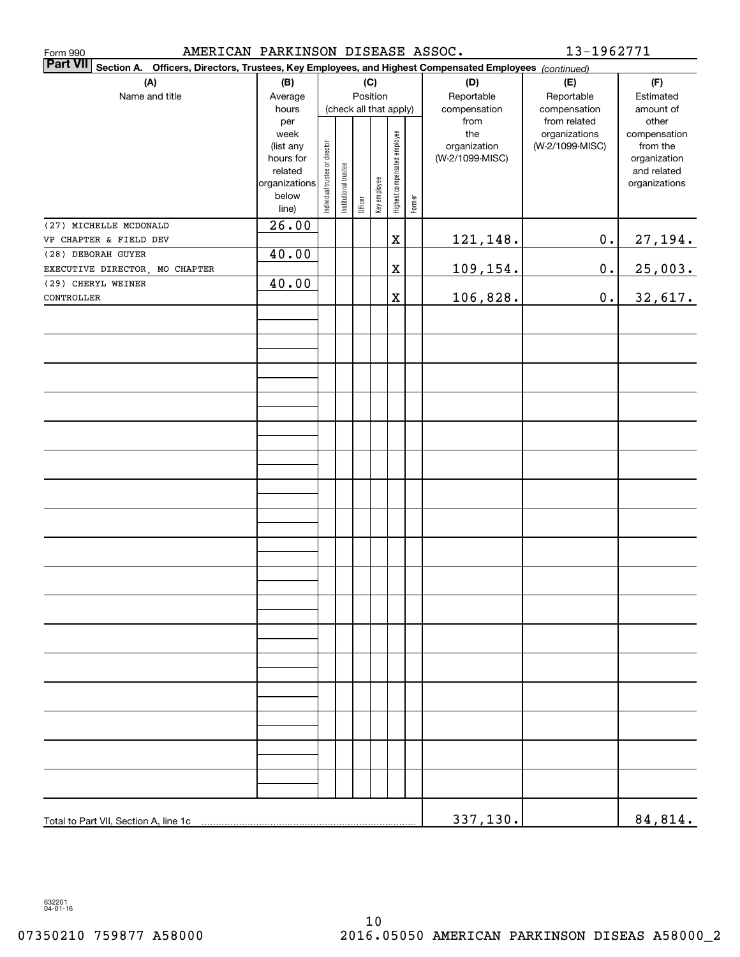| AMERICAN PARKINSON DISEASE ASSOC.<br>Form 990                                                                             |                                                                                     |                                |                       |          |              |                              |        |                                                | 13-1962771                                       |                                                                                   |
|---------------------------------------------------------------------------------------------------------------------------|-------------------------------------------------------------------------------------|--------------------------------|-----------------------|----------|--------------|------------------------------|--------|------------------------------------------------|--------------------------------------------------|-----------------------------------------------------------------------------------|
| <b>Part VII</b><br>Section A. Officers, Directors, Trustees, Key Employees, and Highest Compensated Employees (continued) |                                                                                     |                                |                       |          |              |                              |        |                                                |                                                  |                                                                                   |
| (A)<br>Name and title                                                                                                     | (B)<br>Average<br>hours                                                             |                                |                       | Position | (C)          | (check all that apply)       |        | (D)<br>Reportable<br>compensation              | (E)<br>Reportable<br>compensation                | (F)<br>Estimated<br>amount of                                                     |
|                                                                                                                           | per<br>week<br>(list any<br>hours for<br>related<br>organizations<br>below<br>line) | Individual trustee or director | Institutional trustee | Officer  | Key employee | Highest compensated employee | Former | from<br>the<br>organization<br>(W-2/1099-MISC) | from related<br>organizations<br>(W-2/1099-MISC) | other<br>compensation<br>from the<br>organization<br>and related<br>organizations |
| (27) MICHELLE MCDONALD<br>VP CHAPTER & FIELD DEV                                                                          | 26.00                                                                               |                                |                       |          |              | $\mathbf X$                  |        |                                                | $\mathbf 0$ .                                    |                                                                                   |
| (28) DEBORAH GUYER                                                                                                        | 40.00                                                                               |                                |                       |          |              |                              |        | 121,148.                                       |                                                  | 27,194.                                                                           |
| EXECUTIVE DIRECTOR, MO CHAPTER                                                                                            |                                                                                     |                                |                       |          |              | $\mathbf X$                  |        | 109,154.                                       | $\mathbf 0$ .                                    | 25,003.                                                                           |
| (29) CHERYL WEINER<br>CONTROLLER                                                                                          | 40.00                                                                               |                                |                       |          |              | $\mathbf X$                  |        | 106,828.                                       | $\mathbf 0$ .                                    | 32,617.                                                                           |
|                                                                                                                           |                                                                                     |                                |                       |          |              |                              |        |                                                |                                                  |                                                                                   |
|                                                                                                                           |                                                                                     |                                |                       |          |              |                              |        |                                                |                                                  |                                                                                   |
|                                                                                                                           |                                                                                     |                                |                       |          |              |                              |        |                                                |                                                  |                                                                                   |
|                                                                                                                           |                                                                                     |                                |                       |          |              |                              |        |                                                |                                                  |                                                                                   |
|                                                                                                                           |                                                                                     |                                |                       |          |              |                              |        |                                                |                                                  |                                                                                   |
|                                                                                                                           |                                                                                     |                                |                       |          |              |                              |        |                                                |                                                  |                                                                                   |
|                                                                                                                           |                                                                                     |                                |                       |          |              |                              |        |                                                |                                                  |                                                                                   |
|                                                                                                                           |                                                                                     |                                |                       |          |              |                              |        |                                                |                                                  |                                                                                   |
|                                                                                                                           |                                                                                     |                                |                       |          |              |                              |        |                                                |                                                  |                                                                                   |
|                                                                                                                           |                                                                                     |                                |                       |          |              |                              |        |                                                |                                                  |                                                                                   |
|                                                                                                                           |                                                                                     |                                |                       |          |              |                              |        |                                                |                                                  |                                                                                   |
|                                                                                                                           |                                                                                     |                                |                       |          |              |                              |        |                                                |                                                  |                                                                                   |
|                                                                                                                           |                                                                                     |                                |                       |          |              |                              |        |                                                |                                                  |                                                                                   |
|                                                                                                                           |                                                                                     |                                |                       |          |              |                              |        |                                                |                                                  |                                                                                   |
|                                                                                                                           |                                                                                     |                                |                       |          |              |                              |        |                                                |                                                  |                                                                                   |
|                                                                                                                           |                                                                                     |                                |                       |          |              |                              |        |                                                |                                                  |                                                                                   |
|                                                                                                                           |                                                                                     |                                |                       |          |              |                              |        |                                                |                                                  |                                                                                   |
| Total to Part VII, Section A, line 1c                                                                                     |                                                                                     |                                |                       |          |              |                              |        | 337,130.                                       |                                                  | 84,814.                                                                           |

632201 04-01-16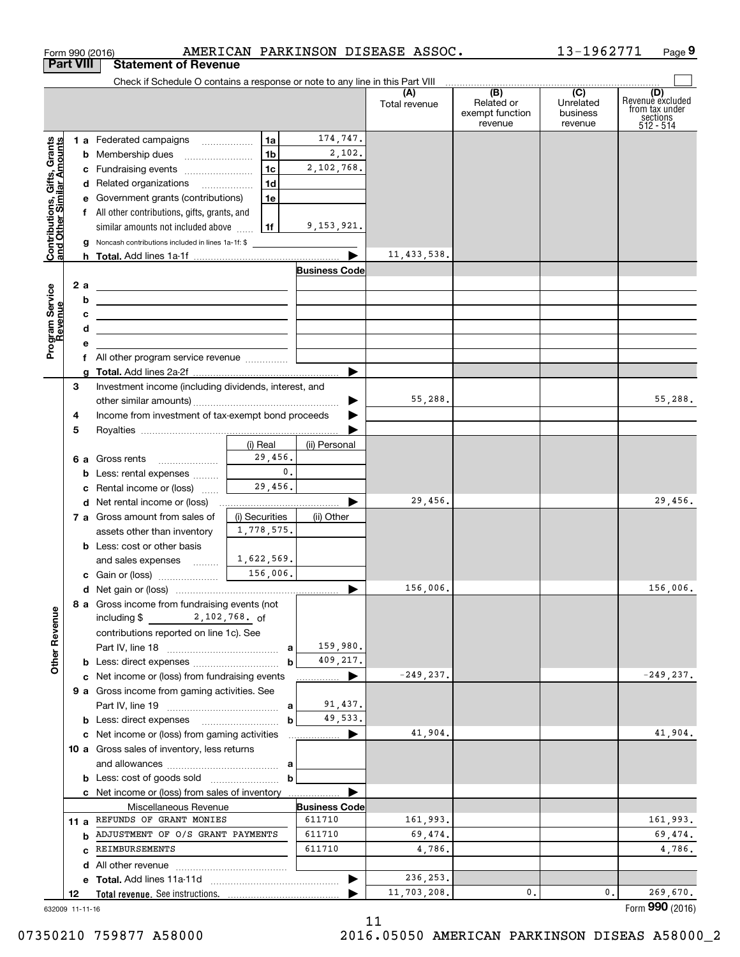|                                                           |                  | Form 990 (2016)                                                                                                        |                  |                      | AMERICAN PARKINSON DISEASE ASSOC. |                                                 | 13-1962771                              | Page 9                                                             |
|-----------------------------------------------------------|------------------|------------------------------------------------------------------------------------------------------------------------|------------------|----------------------|-----------------------------------|-------------------------------------------------|-----------------------------------------|--------------------------------------------------------------------|
|                                                           | <b>Part VIII</b> | <b>Statement of Revenue</b>                                                                                            |                  |                      |                                   |                                                 |                                         |                                                                    |
|                                                           |                  | Check if Schedule O contains a response or note to any line in this Part VIII                                          |                  |                      |                                   |                                                 |                                         |                                                                    |
|                                                           |                  |                                                                                                                        |                  |                      | (A)<br>Total revenue              | (B)<br>Related or<br>exempt function<br>revenue | (C)<br>Unrelated<br>business<br>revenue | (D)<br>Revenuè excluded<br>from tax under<br>sections<br>512 - 514 |
|                                                           |                  | 1 a Federated campaigns                                                                                                | 1a               | 174,747.             |                                   |                                                 |                                         |                                                                    |
| Contributions, Gifts, Grants<br>and Other Similar Amounts |                  | <b>b</b> Membership dues                                                                                               | 1 <sub>b</sub>   | 2,102.               |                                   |                                                 |                                         |                                                                    |
|                                                           |                  | c Fundraising events                                                                                                   | 1 <sub>c</sub>   | 2,102,768.           |                                   |                                                 |                                         |                                                                    |
|                                                           |                  | d Related organizations                                                                                                | 1d               |                      |                                   |                                                 |                                         |                                                                    |
|                                                           |                  | e Government grants (contributions)                                                                                    | 1e               |                      |                                   |                                                 |                                         |                                                                    |
|                                                           |                  | f All other contributions, gifts, grants, and                                                                          |                  |                      |                                   |                                                 |                                         |                                                                    |
|                                                           |                  | similar amounts not included above                                                                                     | 1f               | 9,153,921.           |                                   |                                                 |                                         |                                                                    |
|                                                           |                  | <b>g</b> Noncash contributions included in lines 1a-1f: \$                                                             |                  |                      |                                   |                                                 |                                         |                                                                    |
|                                                           |                  |                                                                                                                        |                  |                      | 11, 433, 538.                     |                                                 |                                         |                                                                    |
|                                                           |                  |                                                                                                                        |                  | <b>Business Code</b> |                                   |                                                 |                                         |                                                                    |
|                                                           | 2 a              | <u> 1989 - Johann Stoff, deutscher Stoffen und der Stoffen und der Stoffen und der Stoffen und der Stoffen und der</u> |                  |                      |                                   |                                                 |                                         |                                                                    |
|                                                           | b                | <u> 1989 - Johann Stein, fransk politik (d. 1989)</u>                                                                  |                  |                      |                                   |                                                 |                                         |                                                                    |
|                                                           | с                | <u> 1989 - Johann Harry Barn, mars ar breist fan de Fryske kommunent fan de ferstjerke fan de ferstjerke fan de f</u>  |                  |                      |                                   |                                                 |                                         |                                                                    |
|                                                           | d                | <u> 1989 - Johann Barbara, martxa alemaniar a</u>                                                                      |                  |                      |                                   |                                                 |                                         |                                                                    |
| Program Service<br>Revenue                                | е                | f All other program service revenue                                                                                    |                  |                      |                                   |                                                 |                                         |                                                                    |
|                                                           |                  |                                                                                                                        |                  | ▶                    |                                   |                                                 |                                         |                                                                    |
|                                                           | з                | Investment income (including dividends, interest, and                                                                  |                  |                      |                                   |                                                 |                                         |                                                                    |
|                                                           |                  |                                                                                                                        |                  |                      | 55,288.                           |                                                 |                                         | 55,288.                                                            |
|                                                           | 4                | Income from investment of tax-exempt bond proceeds                                                                     |                  |                      |                                   |                                                 |                                         |                                                                    |
|                                                           | 5                |                                                                                                                        |                  |                      |                                   |                                                 |                                         |                                                                    |
|                                                           |                  |                                                                                                                        | (i) Real         | (ii) Personal        |                                   |                                                 |                                         |                                                                    |
|                                                           |                  | <b>6 a</b> Gross rents<br>$\ldots \ldots \ldots \ldots \ldots$                                                         | 29,456.          |                      |                                   |                                                 |                                         |                                                                    |
|                                                           |                  | <b>b</b> Less: rental expenses                                                                                         | $\mathbf{0}$ .   |                      |                                   |                                                 |                                         |                                                                    |
|                                                           | c                | Rental income or (loss)                                                                                                | 29,456.          |                      |                                   |                                                 |                                         |                                                                    |
|                                                           |                  | d Net rental income or (loss)                                                                                          |                  |                      | 29,456.                           |                                                 |                                         | 29,456.                                                            |
|                                                           |                  | 7 a Gross amount from sales of                                                                                         | (i) Securities   | (ii) Other           |                                   |                                                 |                                         |                                                                    |
|                                                           |                  | assets other than inventory                                                                                            | 1,778,575.       |                      |                                   |                                                 |                                         |                                                                    |
|                                                           |                  | <b>b</b> Less: cost or other basis                                                                                     |                  |                      |                                   |                                                 |                                         |                                                                    |
|                                                           |                  | and sales expenses                                                                                                     | 1,622,569.       |                      |                                   |                                                 |                                         |                                                                    |
|                                                           |                  | c Gain or (loss)                                                                                                       | 156,006.         |                      |                                   |                                                 |                                         |                                                                    |
|                                                           |                  |                                                                                                                        |                  |                      | 156,006.                          |                                                 |                                         | 156,006.                                                           |
|                                                           |                  | 8 a Gross income from fundraising events (not                                                                          |                  |                      |                                   |                                                 |                                         |                                                                    |
| <b>Other Revenue</b>                                      |                  | including \$2,102,768. of                                                                                              |                  |                      |                                   |                                                 |                                         |                                                                    |
|                                                           |                  | contributions reported on line 1c). See                                                                                |                  | 159,980.             |                                   |                                                 |                                         |                                                                    |
|                                                           |                  | <b>b</b> Less: direct expenses                                                                                         | a<br>$\mathbf b$ | 409,217.             |                                   |                                                 |                                         |                                                                    |
|                                                           |                  | c Net income or (loss) from fundraising events                                                                         |                  |                      | $-249, 237.$                      |                                                 |                                         | $-249, 237.$                                                       |
|                                                           |                  | 9 a Gross income from gaming activities. See                                                                           |                  |                      |                                   |                                                 |                                         |                                                                    |
|                                                           |                  |                                                                                                                        | a                | 91,437.              |                                   |                                                 |                                         |                                                                    |
|                                                           |                  |                                                                                                                        | $\mathbf b$      | 49,533.              |                                   |                                                 |                                         |                                                                    |
|                                                           |                  | c Net income or (loss) from gaming activities                                                                          |                  | .                    | 41,904.                           |                                                 |                                         | 41,904.                                                            |
|                                                           |                  | 10 a Gross sales of inventory, less returns                                                                            |                  |                      |                                   |                                                 |                                         |                                                                    |
|                                                           |                  |                                                                                                                        |                  |                      |                                   |                                                 |                                         |                                                                    |
|                                                           |                  | <b>b</b> Less: cost of goods sold                                                                                      | b                |                      |                                   |                                                 |                                         |                                                                    |
|                                                           |                  | c Net income or (loss) from sales of inventory                                                                         |                  |                      |                                   |                                                 |                                         |                                                                    |
|                                                           |                  | Miscellaneous Revenue                                                                                                  |                  | <b>Business Code</b> |                                   |                                                 |                                         |                                                                    |
|                                                           | 11 a             | REFUNDS OF GRANT MONIES                                                                                                |                  | 611710               | 161,993.                          |                                                 |                                         | 161,993.                                                           |
|                                                           | b                | ADJUSTMENT OF O/S GRANT PAYMENTS                                                                                       |                  | 611710               | 69,474.                           |                                                 |                                         | 69,474.                                                            |
|                                                           | C                | REIMBURSEMENTS                                                                                                         |                  | 611710               | 4,786.                            |                                                 |                                         | 4,786.                                                             |
|                                                           |                  |                                                                                                                        |                  |                      |                                   |                                                 |                                         |                                                                    |
|                                                           |                  |                                                                                                                        |                  |                      | 236, 253.                         |                                                 |                                         |                                                                    |
|                                                           | 12               |                                                                                                                        |                  |                      | 11,703,208.                       | 0.                                              | 0.                                      | 269,670.                                                           |
| 632009 11-11-16                                           |                  |                                                                                                                        |                  |                      |                                   |                                                 |                                         | Form 990 (2016)                                                    |

632009 11-11-16

11

07350210 759877 A58000 2016.05050 AMERICAN PARKINSON DISEAS A58000\_2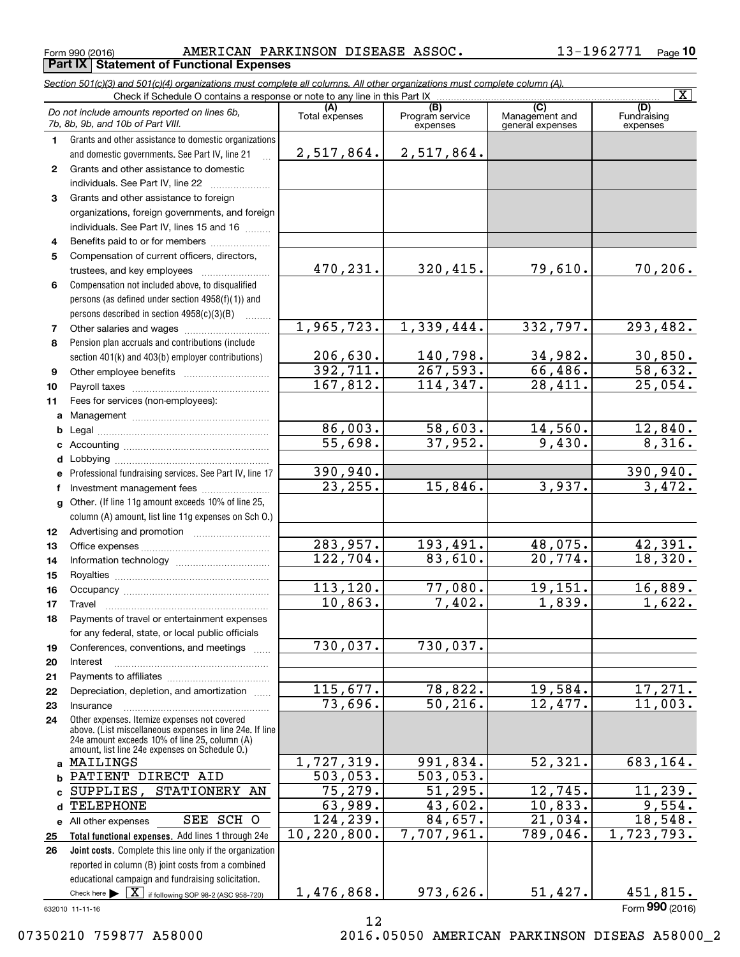Form 990 (2016) AMERICAN PARKINSON DISEASE ASSOC. 13-1962771 Page **Part IX Statement of Functional Expenses**

*Section 501(c)(3) and 501(c)(4) organizations must complete all columns. All other organizations must complete column (A).*

|              |                                                                                                           |                        |                                    |                                           | $\overline{\mathbf{x}}$        |
|--------------|-----------------------------------------------------------------------------------------------------------|------------------------|------------------------------------|-------------------------------------------|--------------------------------|
|              | Do not include amounts reported on lines 6b,<br>7b, 8b, 9b, and 10b of Part VIII.                         | (A)<br>Total expenses  | (B)<br>Program service<br>expenses | (C)<br>Management and<br>general expenses | (D)<br>Fundraising<br>expenses |
| 1.           | Grants and other assistance to domestic organizations                                                     |                        |                                    |                                           |                                |
|              | and domestic governments. See Part IV, line 21                                                            | 2,517,864.             | 2,517,864.                         |                                           |                                |
| $\mathbf{2}$ | Grants and other assistance to domestic                                                                   |                        |                                    |                                           |                                |
|              | individuals. See Part IV, line 22                                                                         |                        |                                    |                                           |                                |
| 3            | Grants and other assistance to foreign                                                                    |                        |                                    |                                           |                                |
|              | organizations, foreign governments, and foreign                                                           |                        |                                    |                                           |                                |
|              | individuals. See Part IV, lines 15 and 16                                                                 |                        |                                    |                                           |                                |
| 4            | Benefits paid to or for members                                                                           |                        |                                    |                                           |                                |
| 5            | Compensation of current officers, directors,                                                              |                        |                                    |                                           |                                |
|              | trustees, and key employees                                                                               | 470,231.               | 320, 415.                          | 79,610.                                   | 70, 206.                       |
| 6            | Compensation not included above, to disqualified                                                          |                        |                                    |                                           |                                |
|              | persons (as defined under section 4958(f)(1)) and                                                         |                        |                                    |                                           |                                |
|              | persons described in section 4958(c)(3)(B)                                                                |                        |                                    |                                           |                                |
| 7            |                                                                                                           | 1,965,723.             | 1,339,444.                         | 332,797.                                  | 293,482.                       |
| 8            | Pension plan accruals and contributions (include                                                          |                        |                                    |                                           |                                |
|              | section 401(k) and 403(b) employer contributions)                                                         | 206,630.               | 140,798.                           | 34,982.                                   | $\frac{30,850}{58,632}$        |
| 9            |                                                                                                           | 392, 711.              | 267,593.                           | 66,486.                                   |                                |
| 10           |                                                                                                           | 167,812.               | 114,347.                           | 28,411.                                   | $\overline{25,054}$ .          |
| 11           | Fees for services (non-employees):                                                                        |                        |                                    |                                           |                                |
| a            |                                                                                                           |                        |                                    |                                           |                                |
| b            |                                                                                                           | 86,003.                | 58,603.                            | 14,560.                                   | 12,840.                        |
| c            |                                                                                                           | 55,698.                | 37,952.                            | 9,430.                                    | 8,316.                         |
| d            |                                                                                                           |                        |                                    |                                           |                                |
| e            | Professional fundraising services. See Part IV, line 17                                                   | 390,940.<br>23, 255.   | 15,846.                            | 3,937.                                    | 390,940.<br>3,472.             |
| f            | Investment management fees                                                                                |                        |                                    |                                           |                                |
| g            | Other. (If line 11g amount exceeds 10% of line 25,                                                        |                        |                                    |                                           |                                |
|              | column (A) amount, list line 11g expenses on Sch O.)                                                      |                        |                                    |                                           |                                |
| 12           |                                                                                                           | $\overline{283,957}$ . | 193,491.                           | 48,075.                                   | 42,391.                        |
| 13           |                                                                                                           | 122, 704.              | 83,610.                            | 20,774.                                   | 18,320.                        |
| 14           |                                                                                                           |                        |                                    |                                           |                                |
| 15           |                                                                                                           | 113, 120.              | 77,080.                            | 19,151.                                   | 16,889.                        |
| 16           |                                                                                                           | 10,863.                | 7,402.                             | 1,839.                                    | $\overline{1,622}$ .           |
| 17<br>18     | Travel<br>Payments of travel or entertainment expenses                                                    |                        |                                    |                                           |                                |
|              | for any federal, state, or local public officials                                                         |                        |                                    |                                           |                                |
| 19           | Conferences, conventions, and meetings                                                                    | 730,037.               | 730,037.                           |                                           |                                |
| 20           | Interest                                                                                                  |                        |                                    |                                           |                                |
| 21           |                                                                                                           |                        |                                    |                                           |                                |
| 22           | Depreciation, depletion, and amortization                                                                 | 115,677.               | 78,822.                            | 19,584.                                   | 17,271.                        |
| 23           | Insurance                                                                                                 | 73,696.                | 50, 216.                           | 12,477.                                   | 11,003.                        |
| 24           | Other expenses. Itemize expenses not covered                                                              |                        |                                    |                                           |                                |
|              | above. (List miscellaneous expenses in line 24e. If line<br>24e amount exceeds 10% of line 25, column (A) |                        |                                    |                                           |                                |
|              | amount, list line 24e expenses on Schedule 0.)                                                            |                        |                                    |                                           |                                |
|              | a MAILINGS                                                                                                | 1,727,319.             | 991,834.                           | 52,321.                                   | 683,164.                       |
| b            | PATIENT DIRECT AID                                                                                        | $\overline{503,053}$ . | 503,053.                           |                                           |                                |
| c            | STATIONERY AN<br>SUPPLIES,                                                                                | 75,279.                | 51, 295.                           | 12,745.                                   | 11, 239.                       |
| d            | TELEPHONE                                                                                                 | 63,989.                | 43,602.                            | 10,833.                                   | 9,554.                         |
|              | SEE SCH O<br>e All other expenses                                                                         | 124,239.               | 84,657.                            | 21,034.                                   | 18,548.                        |
| 25           | Total functional expenses. Add lines 1 through 24e                                                        | 10, 220, 800.          | 7,707,961.                         | $\overline{789,046}$ .                    | 1,723,793.                     |
| 26           | Joint costs. Complete this line only if the organization                                                  |                        |                                    |                                           |                                |
|              | reported in column (B) joint costs from a combined                                                        |                        |                                    |                                           |                                |
|              | educational campaign and fundraising solicitation.                                                        |                        |                                    |                                           |                                |
|              | Check here $\blacktriangleright$ $\boxed{\textbf{X}}$ if following SOP 98-2 (ASC 958-720)                 | 1,476,868.             | 973,626.                           | 51,427.                                   | 451,815.                       |

632010 11-11-16

12

Form (2016) **990**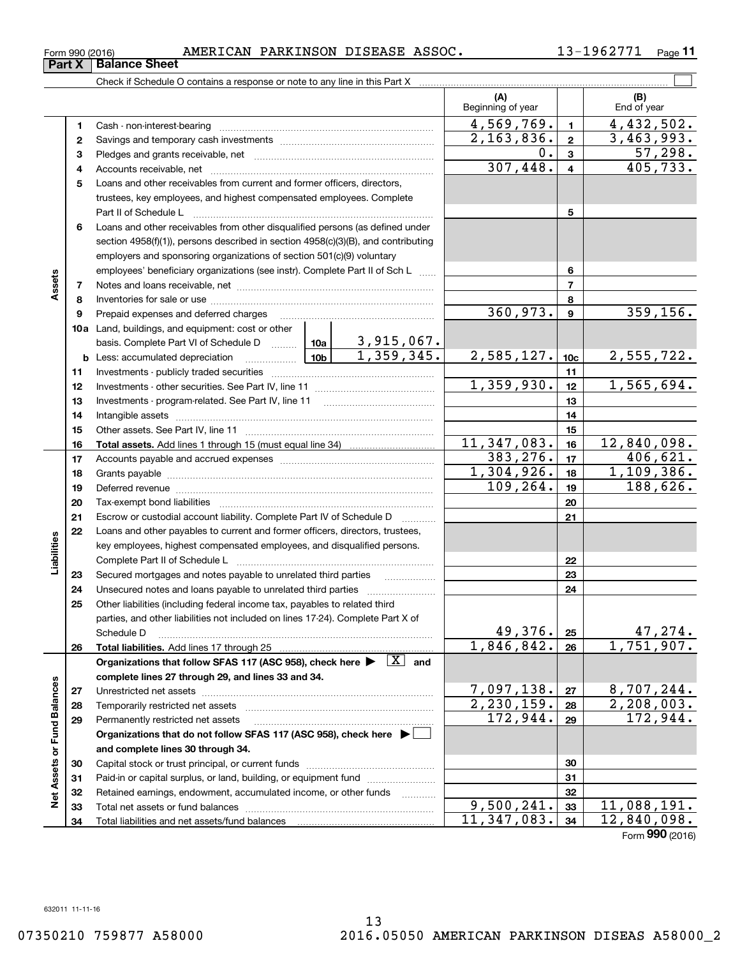| Form 990 (2016) |  | AMERICAN PARKINSON DISEASE ASSOC. |  |  | 1962771- | $P$ age |
|-----------------|--|-----------------------------------|--|--|----------|---------|
|-----------------|--|-----------------------------------|--|--|----------|---------|

|                             |    |                                                                                                                                                                                                                                                                                                                                                                                                                     |            | (A)<br>Beginning of year |                         | (B)<br>End of year         |
|-----------------------------|----|---------------------------------------------------------------------------------------------------------------------------------------------------------------------------------------------------------------------------------------------------------------------------------------------------------------------------------------------------------------------------------------------------------------------|------------|--------------------------|-------------------------|----------------------------|
|                             | 1  |                                                                                                                                                                                                                                                                                                                                                                                                                     |            | 4,569,769.               | $\blacksquare$          | $\overline{4,432},502.$    |
|                             | 2  |                                                                                                                                                                                                                                                                                                                                                                                                                     |            | $\overline{2,163,836}$ . | $\mathbf{2}$            | 3,463,993.                 |
|                             | з  |                                                                                                                                                                                                                                                                                                                                                                                                                     | 0.         | $\mathbf{3}$             | 57,298.                 |                            |
|                             | 4  |                                                                                                                                                                                                                                                                                                                                                                                                                     |            | 307,448.                 | $\overline{\mathbf{4}}$ | 405, 733.                  |
|                             | 5  | Loans and other receivables from current and former officers, directors,                                                                                                                                                                                                                                                                                                                                            |            |                          |                         |                            |
|                             |    | trustees, key employees, and highest compensated employees. Complete                                                                                                                                                                                                                                                                                                                                                |            |                          |                         |                            |
|                             |    |                                                                                                                                                                                                                                                                                                                                                                                                                     |            |                          | 5                       |                            |
|                             | 6  | Loans and other receivables from other disqualified persons (as defined under                                                                                                                                                                                                                                                                                                                                       |            |                          |                         |                            |
|                             |    | section 4958(f)(1)), persons described in section 4958(c)(3)(B), and contributing                                                                                                                                                                                                                                                                                                                                   |            |                          |                         |                            |
|                             |    | employers and sponsoring organizations of section 501(c)(9) voluntary                                                                                                                                                                                                                                                                                                                                               |            |                          |                         |                            |
|                             |    | employees' beneficiary organizations (see instr). Complete Part II of Sch L                                                                                                                                                                                                                                                                                                                                         |            |                          | 6                       |                            |
| Assets                      | 7  |                                                                                                                                                                                                                                                                                                                                                                                                                     |            |                          | $\overline{7}$          |                            |
|                             | 8  |                                                                                                                                                                                                                                                                                                                                                                                                                     |            |                          | 8                       |                            |
|                             | 9  | Prepaid expenses and deferred charges                                                                                                                                                                                                                                                                                                                                                                               |            | 360,973.                 | $\boldsymbol{9}$        | 359, 156.                  |
|                             |    | <b>10a</b> Land, buildings, and equipment: cost or other                                                                                                                                                                                                                                                                                                                                                            |            |                          |                         |                            |
|                             |    | basis. Complete Part VI of Schedule D  10a   3,915,067.                                                                                                                                                                                                                                                                                                                                                             |            |                          |                         |                            |
|                             |    | $\begin{array}{ccc} \begin{array}{ccc} \end{array} \end{array}$ $\begin{array}{ccc} \end{array}$ $\begin{array}{ccc} \end{array}$ $\begin{array}{ccc} \end{array}$ $\begin{array}{ccc} \end{array}$ $\begin{array}{ccc} \end{array}$ $\begin{array}{ccc} \end{array}$ $\begin{array}{ccc} \end{array}$ $\begin{array}{ccc} \end{array}$ $\begin{array}{ccc} \end{array}$<br><b>b</b> Less: accumulated depreciation | 1,359,345. | 2,585,127.               | 10 <sub>c</sub>         | 2,555,722.                 |
|                             | 11 |                                                                                                                                                                                                                                                                                                                                                                                                                     |            |                          | 11                      |                            |
|                             | 12 |                                                                                                                                                                                                                                                                                                                                                                                                                     |            | 1,359,930.               | 12                      | 1,565,694.                 |
|                             | 13 |                                                                                                                                                                                                                                                                                                                                                                                                                     |            |                          | 13                      |                            |
|                             | 14 |                                                                                                                                                                                                                                                                                                                                                                                                                     |            |                          | 14                      |                            |
|                             | 15 |                                                                                                                                                                                                                                                                                                                                                                                                                     |            |                          | 15                      |                            |
|                             | 16 |                                                                                                                                                                                                                                                                                                                                                                                                                     |            | 11,347,083.              | 16                      | 12,840,098.                |
|                             | 17 |                                                                                                                                                                                                                                                                                                                                                                                                                     |            | 383, 276.                | 17                      | 406,621.                   |
|                             | 18 |                                                                                                                                                                                                                                                                                                                                                                                                                     |            | 1,304,926.               | 18                      | 1,109,386.                 |
|                             | 19 | Deferred revenue material contracts and a contract of the contract of the contract of the contract of the contract of the contract of the contract of the contract of the contract of the contract of the contract of the cont                                                                                                                                                                                      |            | 109,264.                 | 19                      | 188,626.                   |
|                             | 20 |                                                                                                                                                                                                                                                                                                                                                                                                                     |            |                          | 20                      |                            |
|                             | 21 | Escrow or custodial account liability. Complete Part IV of Schedule D                                                                                                                                                                                                                                                                                                                                               |            |                          | 21                      |                            |
|                             | 22 | Loans and other payables to current and former officers, directors, trustees,                                                                                                                                                                                                                                                                                                                                       |            |                          |                         |                            |
| Liabilities                 |    | key employees, highest compensated employees, and disqualified persons.                                                                                                                                                                                                                                                                                                                                             |            |                          |                         |                            |
|                             |    |                                                                                                                                                                                                                                                                                                                                                                                                                     |            |                          | 22                      |                            |
|                             | 23 | Secured mortgages and notes payable to unrelated third parties                                                                                                                                                                                                                                                                                                                                                      |            |                          | 23                      |                            |
|                             | 24 |                                                                                                                                                                                                                                                                                                                                                                                                                     |            |                          | 24                      |                            |
|                             | 25 | Other liabilities (including federal income tax, payables to related third                                                                                                                                                                                                                                                                                                                                          |            |                          |                         |                            |
|                             |    | parties, and other liabilities not included on lines 17-24). Complete Part X of                                                                                                                                                                                                                                                                                                                                     |            |                          |                         |                            |
|                             |    | Schedule D                                                                                                                                                                                                                                                                                                                                                                                                          |            | 49,376.                  | 25                      | 47, 274.                   |
|                             | 26 |                                                                                                                                                                                                                                                                                                                                                                                                                     |            | 1,846,842.               | 26                      | 1,751,907.                 |
|                             |    | Organizations that follow SFAS 117 (ASC 958), check here $\blacktriangleright \begin{array}{ c } \hline X & \text{and} \end{array}$                                                                                                                                                                                                                                                                                 |            |                          |                         |                            |
|                             |    | complete lines 27 through 29, and lines 33 and 34.                                                                                                                                                                                                                                                                                                                                                                  |            |                          |                         |                            |
|                             | 27 |                                                                                                                                                                                                                                                                                                                                                                                                                     |            | 7,097,138.               | 27                      | 8,707,244.                 |
|                             | 28 |                                                                                                                                                                                                                                                                                                                                                                                                                     |            | $\overline{2,230,159}$ . | 28                      | $\overline{2}$ , 208, 003. |
|                             | 29 | Permanently restricted net assets                                                                                                                                                                                                                                                                                                                                                                                   | 172,944.   | 29                       | 172,944.                |                            |
|                             |    | Organizations that do not follow SFAS 117 (ASC 958), check here $\blacktriangleright$                                                                                                                                                                                                                                                                                                                               |            |                          |                         |                            |
|                             |    | and complete lines 30 through 34.                                                                                                                                                                                                                                                                                                                                                                                   |            |                          |                         |                            |
|                             | 30 |                                                                                                                                                                                                                                                                                                                                                                                                                     |            |                          | 30                      |                            |
|                             | 31 | Paid-in or capital surplus, or land, building, or equipment fund                                                                                                                                                                                                                                                                                                                                                    |            |                          | 31                      |                            |
| Net Assets or Fund Balances | 32 | Retained earnings, endowment, accumulated income, or other funds                                                                                                                                                                                                                                                                                                                                                    |            | 9,500,241.               | 32                      | 11,088,191.                |
|                             | 33 |                                                                                                                                                                                                                                                                                                                                                                                                                     |            | 11,347,083.              | 33<br>34                | 12,840,098.                |
|                             | 34 |                                                                                                                                                                                                                                                                                                                                                                                                                     |            |                          |                         |                            |

# **Part X Balance Sheet**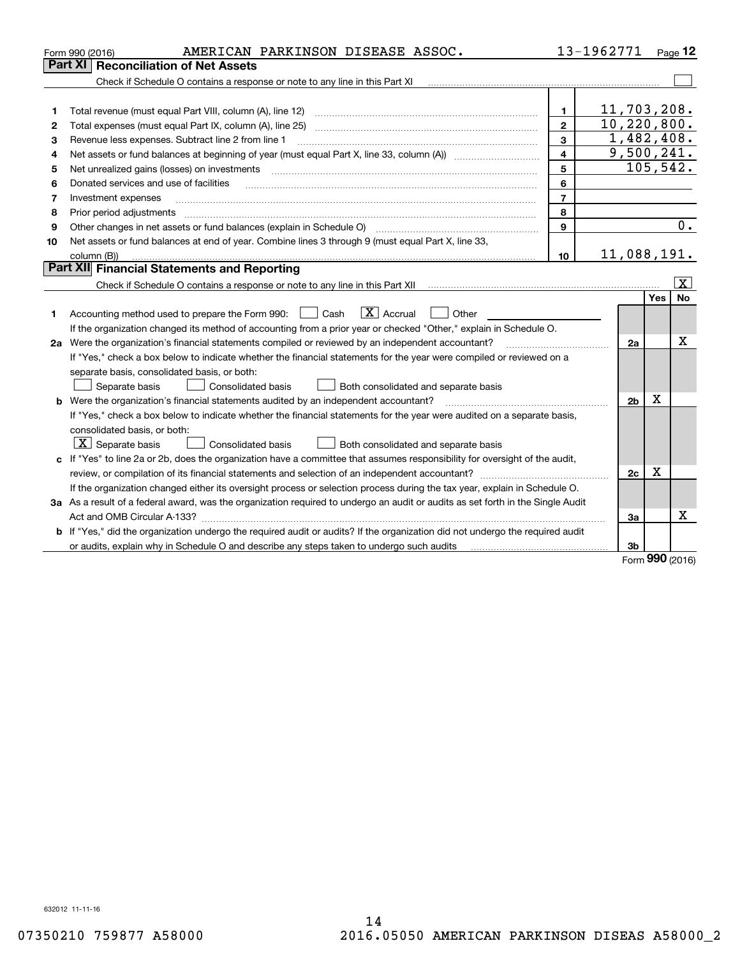|    | AMERICAN PARKINSON DISEASE ASSOC.<br>Form 990 (2016)                                                                            |                | 13-1962771 |                |         | Page $12$         |
|----|---------------------------------------------------------------------------------------------------------------------------------|----------------|------------|----------------|---------|-------------------|
|    | Part XI   Reconciliation of Net Assets                                                                                          |                |            |                |         |                   |
|    | Check if Schedule O contains a response or note to any line in this Part XI                                                     |                |            |                |         |                   |
|    |                                                                                                                                 |                |            |                |         |                   |
| 1  |                                                                                                                                 | 1              |            | 11,703,208.    |         |                   |
| 2  | Total expenses (must equal Part IX, column (A), line 25)                                                                        | $\mathbf{2}$   |            | 10, 220, 800.  |         |                   |
| 3  | Revenue less expenses. Subtract line 2 from line 1                                                                              | 3              |            | 1,482,408.     |         |                   |
| 4  |                                                                                                                                 | 4              |            | 9,500,241.     |         |                   |
| 5  | Net unrealized gains (losses) on investments                                                                                    | 5              |            |                |         | 105,542.          |
| 6  | Donated services and use of facilities                                                                                          | 6              |            |                |         |                   |
| 7  | Investment expenses                                                                                                             | $\overline{7}$ |            |                |         |                   |
| 8  | Prior period adjustments                                                                                                        | 8              |            |                |         |                   |
| 9  | Other changes in net assets or fund balances (explain in Schedule O)                                                            | 9              |            |                |         | 0.                |
| 10 | Net assets or fund balances at end of year. Combine lines 3 through 9 (must equal Part X, line 33,                              |                |            |                |         |                   |
|    | column (B))                                                                                                                     | 10             |            | 11,088,191.    |         |                   |
|    | Part XII Financial Statements and Reporting                                                                                     |                |            |                |         |                   |
|    |                                                                                                                                 |                |            |                |         | $\vert$ X $\vert$ |
|    |                                                                                                                                 |                |            |                | Yes     | <b>No</b>         |
| 1  | $\boxed{\mathbf{X}}$ Accrual<br>Accounting method used to prepare the Form 990: <u>[</u> Cash<br>Other                          |                |            |                |         |                   |
|    | If the organization changed its method of accounting from a prior year or checked "Other," explain in Schedule O.               |                |            |                |         |                   |
|    | 2a Were the organization's financial statements compiled or reviewed by an independent accountant?                              |                |            | 2a             |         | Χ                 |
|    | If "Yes," check a box below to indicate whether the financial statements for the year were compiled or reviewed on a            |                |            |                |         |                   |
|    | separate basis, consolidated basis, or both:                                                                                    |                |            |                |         |                   |
|    | Separate basis<br>Both consolidated and separate basis<br><b>Consolidated basis</b>                                             |                |            |                |         |                   |
|    | <b>b</b> Were the organization's financial statements audited by an independent accountant?                                     |                |            | 2 <sub>b</sub> | x       |                   |
|    | If "Yes," check a box below to indicate whether the financial statements for the year were audited on a separate basis,         |                |            |                |         |                   |
|    | consolidated basis, or both:                                                                                                    |                |            |                |         |                   |
|    | $ \mathbf{X} $ Separate basis<br>Consolidated basis<br>Both consolidated and separate basis                                     |                |            |                |         |                   |
|    | c If "Yes" to line 2a or 2b, does the organization have a committee that assumes responsibility for oversight of the audit,     |                |            |                |         |                   |
|    |                                                                                                                                 |                |            | 2c             | Х       |                   |
|    | If the organization changed either its oversight process or selection process during the tax year, explain in Schedule O.       |                |            |                |         |                   |
|    | 3a As a result of a federal award, was the organization required to undergo an audit or audits as set forth in the Single Audit |                |            |                |         |                   |
|    |                                                                                                                                 |                |            | 3a             |         | x                 |
|    | b If "Yes," did the organization undergo the required audit or audits? If the organization did not undergo the required audit   |                |            |                |         |                   |
|    |                                                                                                                                 |                |            | 3b             | $000 -$ |                   |
|    |                                                                                                                                 |                |            |                |         |                   |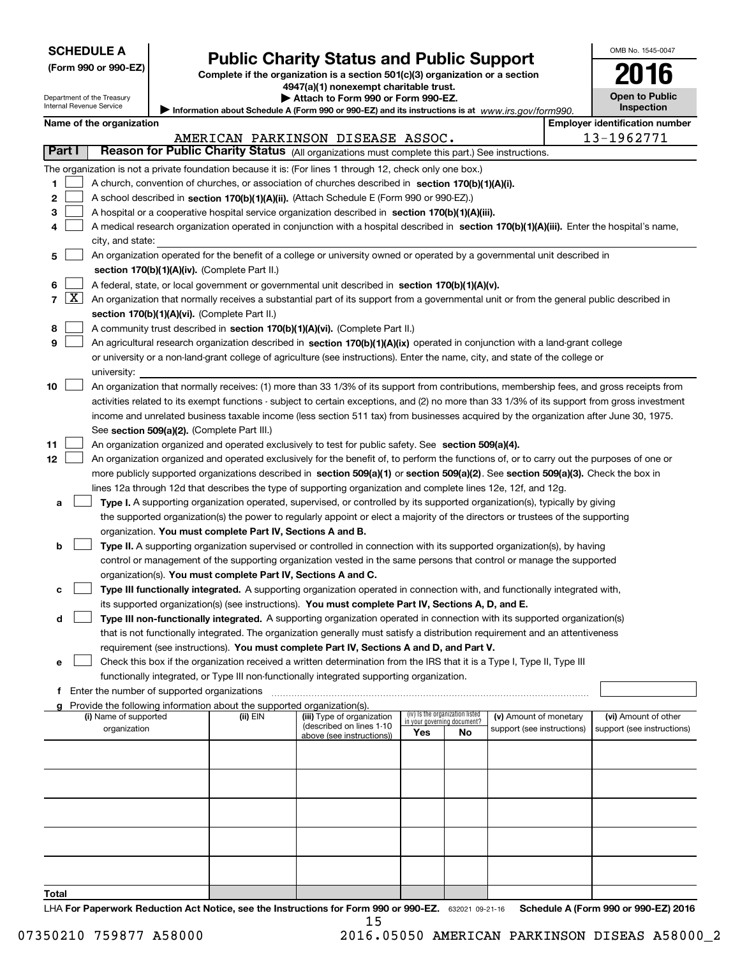| <b>SCHEDULE A</b> |
|-------------------|
|-------------------|

Department of the Treasury Internal Revenue Service

| (Form 990 or 990-EZ) |  |
|----------------------|--|
|----------------------|--|

# **Public Charity Status and Public Support**

**Complete if the organization is a section 501(c)(3) organization or a section 4947(a)(1) nonexempt charitable trust.**

| Attach to Form 990 or Form 990-EZ. |  |
|------------------------------------|--|
|------------------------------------|--|

Information about Schedule A (Form 990 or 990-EZ) and its instructions is at *www.irs.gov/form990.* 

OMB No. 1545-0047

**Open to Public Inspection**

**2016**

|  | Name of the organization |
|--|--------------------------|
|--|--------------------------|

|        |                                                                                                           | Name of the organization                                                                                                                      |            |                                   |                                 |    |                                                      |  | <b>Employer identification number</b> |  |
|--------|-----------------------------------------------------------------------------------------------------------|-----------------------------------------------------------------------------------------------------------------------------------------------|------------|-----------------------------------|---------------------------------|----|------------------------------------------------------|--|---------------------------------------|--|
| Part I |                                                                                                           | Reason for Public Charity Status (All organizations must complete this part.) See instructions.                                               |            | AMERICAN PARKINSON DISEASE ASSOC. |                                 |    |                                                      |  | 13-1962771                            |  |
|        |                                                                                                           |                                                                                                                                               |            |                                   |                                 |    |                                                      |  |                                       |  |
|        | The organization is not a private foundation because it is: (For lines 1 through 12, check only one box.) |                                                                                                                                               |            |                                   |                                 |    |                                                      |  |                                       |  |
| 1      |                                                                                                           | A church, convention of churches, or association of churches described in section 170(b)(1)(A)(i).                                            |            |                                   |                                 |    |                                                      |  |                                       |  |
| 2      |                                                                                                           | A school described in section 170(b)(1)(A)(ii). (Attach Schedule E (Form 990 or 990-EZ).)                                                     |            |                                   |                                 |    |                                                      |  |                                       |  |
| з      |                                                                                                           | A hospital or a cooperative hospital service organization described in section 170(b)(1)(A)(iii).                                             |            |                                   |                                 |    |                                                      |  |                                       |  |
| 4      |                                                                                                           | A medical research organization operated in conjunction with a hospital described in section 170(b)(1)(A)(iii). Enter the hospital's name,    |            |                                   |                                 |    |                                                      |  |                                       |  |
|        |                                                                                                           | city, and state:                                                                                                                              |            |                                   |                                 |    |                                                      |  |                                       |  |
| 5      |                                                                                                           | An organization operated for the benefit of a college or university owned or operated by a governmental unit described in                     |            |                                   |                                 |    |                                                      |  |                                       |  |
|        |                                                                                                           | section 170(b)(1)(A)(iv). (Complete Part II.)                                                                                                 |            |                                   |                                 |    |                                                      |  |                                       |  |
| 6      |                                                                                                           | A federal, state, or local government or governmental unit described in section 170(b)(1)(A)(v).                                              |            |                                   |                                 |    |                                                      |  |                                       |  |
|        | $7 \times$                                                                                                | An organization that normally receives a substantial part of its support from a governmental unit or from the general public described in     |            |                                   |                                 |    |                                                      |  |                                       |  |
|        |                                                                                                           | section 170(b)(1)(A)(vi). (Complete Part II.)                                                                                                 |            |                                   |                                 |    |                                                      |  |                                       |  |
| 8      |                                                                                                           | A community trust described in section 170(b)(1)(A)(vi). (Complete Part II.)                                                                  |            |                                   |                                 |    |                                                      |  |                                       |  |
| 9      |                                                                                                           | An agricultural research organization described in section 170(b)(1)(A)(ix) operated in conjunction with a land-grant college                 |            |                                   |                                 |    |                                                      |  |                                       |  |
|        |                                                                                                           | or university or a non-land-grant college of agriculture (see instructions). Enter the name, city, and state of the college or                |            |                                   |                                 |    |                                                      |  |                                       |  |
|        |                                                                                                           | university:                                                                                                                                   |            |                                   |                                 |    |                                                      |  |                                       |  |
| 10     |                                                                                                           | An organization that normally receives: (1) more than 33 1/3% of its support from contributions, membership fees, and gross receipts from     |            |                                   |                                 |    |                                                      |  |                                       |  |
|        |                                                                                                           | activities related to its exempt functions - subject to certain exceptions, and (2) no more than 33 1/3% of its support from gross investment |            |                                   |                                 |    |                                                      |  |                                       |  |
|        |                                                                                                           | income and unrelated business taxable income (less section 511 tax) from businesses acquired by the organization after June 30, 1975.         |            |                                   |                                 |    |                                                      |  |                                       |  |
|        |                                                                                                           | See section 509(a)(2). (Complete Part III.)                                                                                                   |            |                                   |                                 |    |                                                      |  |                                       |  |
| 11     |                                                                                                           | An organization organized and operated exclusively to test for public safety. See section 509(a)(4).                                          |            |                                   |                                 |    |                                                      |  |                                       |  |
| 12     |                                                                                                           | An organization organized and operated exclusively for the benefit of, to perform the functions of, or to carry out the purposes of one or    |            |                                   |                                 |    |                                                      |  |                                       |  |
|        |                                                                                                           | more publicly supported organizations described in section 509(a)(1) or section 509(a)(2). See section 509(a)(3). Check the box in            |            |                                   |                                 |    |                                                      |  |                                       |  |
|        |                                                                                                           | lines 12a through 12d that describes the type of supporting organization and complete lines 12e, 12f, and 12g.                                |            |                                   |                                 |    |                                                      |  |                                       |  |
| а      |                                                                                                           | Type I. A supporting organization operated, supervised, or controlled by its supported organization(s), typically by giving                   |            |                                   |                                 |    |                                                      |  |                                       |  |
|        |                                                                                                           | the supported organization(s) the power to regularly appoint or elect a majority of the directors or trustees of the supporting               |            |                                   |                                 |    |                                                      |  |                                       |  |
|        |                                                                                                           | organization. You must complete Part IV, Sections A and B.                                                                                    |            |                                   |                                 |    |                                                      |  |                                       |  |
| b      |                                                                                                           | Type II. A supporting organization supervised or controlled in connection with its supported organization(s), by having                       |            |                                   |                                 |    |                                                      |  |                                       |  |
|        |                                                                                                           | control or management of the supporting organization vested in the same persons that control or manage the supported                          |            |                                   |                                 |    |                                                      |  |                                       |  |
|        |                                                                                                           | organization(s). You must complete Part IV, Sections A and C.                                                                                 |            |                                   |                                 |    |                                                      |  |                                       |  |
| с      |                                                                                                           | Type III functionally integrated. A supporting organization operated in connection with, and functionally integrated with,                    |            |                                   |                                 |    |                                                      |  |                                       |  |
|        |                                                                                                           | its supported organization(s) (see instructions). You must complete Part IV, Sections A, D, and E.                                            |            |                                   |                                 |    |                                                      |  |                                       |  |
| d      |                                                                                                           | Type III non-functionally integrated. A supporting organization operated in connection with its supported organization(s)                     |            |                                   |                                 |    |                                                      |  |                                       |  |
|        |                                                                                                           | that is not functionally integrated. The organization generally must satisfy a distribution requirement and an attentiveness                  |            |                                   |                                 |    |                                                      |  |                                       |  |
|        |                                                                                                           | requirement (see instructions). You must complete Part IV, Sections A and D, and Part V.                                                      |            |                                   |                                 |    |                                                      |  |                                       |  |
|        |                                                                                                           | Check this box if the organization received a written determination from the IRS that it is a Type I, Type II, Type III                       |            |                                   |                                 |    |                                                      |  |                                       |  |
|        |                                                                                                           | functionally integrated, or Type III non-functionally integrated supporting organization.                                                     |            |                                   |                                 |    |                                                      |  |                                       |  |
|        |                                                                                                           | f Enter the number of supported organizations                                                                                                 |            |                                   |                                 |    |                                                      |  |                                       |  |
|        |                                                                                                           | g Provide the following information about the supported organization(s).<br>(i) Name of supported                                             | (ii) $EIN$ | (iii) Type of organization        | (iv) Is the organization listed |    |                                                      |  | (vi) Amount of other                  |  |
|        |                                                                                                           | organization                                                                                                                                  |            | (described on lines 1-10          | in your governing document?     |    | (v) Amount of monetary<br>support (see instructions) |  | support (see instructions)            |  |
|        |                                                                                                           |                                                                                                                                               |            | above (see instructions))         | Yes                             | No |                                                      |  |                                       |  |
|        |                                                                                                           |                                                                                                                                               |            |                                   |                                 |    |                                                      |  |                                       |  |
|        |                                                                                                           |                                                                                                                                               |            |                                   |                                 |    |                                                      |  |                                       |  |
|        |                                                                                                           |                                                                                                                                               |            |                                   |                                 |    |                                                      |  |                                       |  |
|        |                                                                                                           |                                                                                                                                               |            |                                   |                                 |    |                                                      |  |                                       |  |
|        |                                                                                                           |                                                                                                                                               |            |                                   |                                 |    |                                                      |  |                                       |  |
|        |                                                                                                           |                                                                                                                                               |            |                                   |                                 |    |                                                      |  |                                       |  |
|        |                                                                                                           |                                                                                                                                               |            |                                   |                                 |    |                                                      |  |                                       |  |
|        |                                                                                                           |                                                                                                                                               |            |                                   |                                 |    |                                                      |  |                                       |  |
|        |                                                                                                           |                                                                                                                                               |            |                                   |                                 |    |                                                      |  |                                       |  |
| Total  |                                                                                                           |                                                                                                                                               |            |                                   |                                 |    |                                                      |  |                                       |  |
|        |                                                                                                           |                                                                                                                                               |            |                                   |                                 |    |                                                      |  |                                       |  |

LHA For Paperwork Reduction Act Notice, see the Instructions for Form 990 or 990-EZ. 632021 09-21-16 Schedule A (Form 990 or 990-EZ) 2016

15 07350210 759877 A58000 2016.05050 AMERICAN PARKINSON DISEAS A58000\_2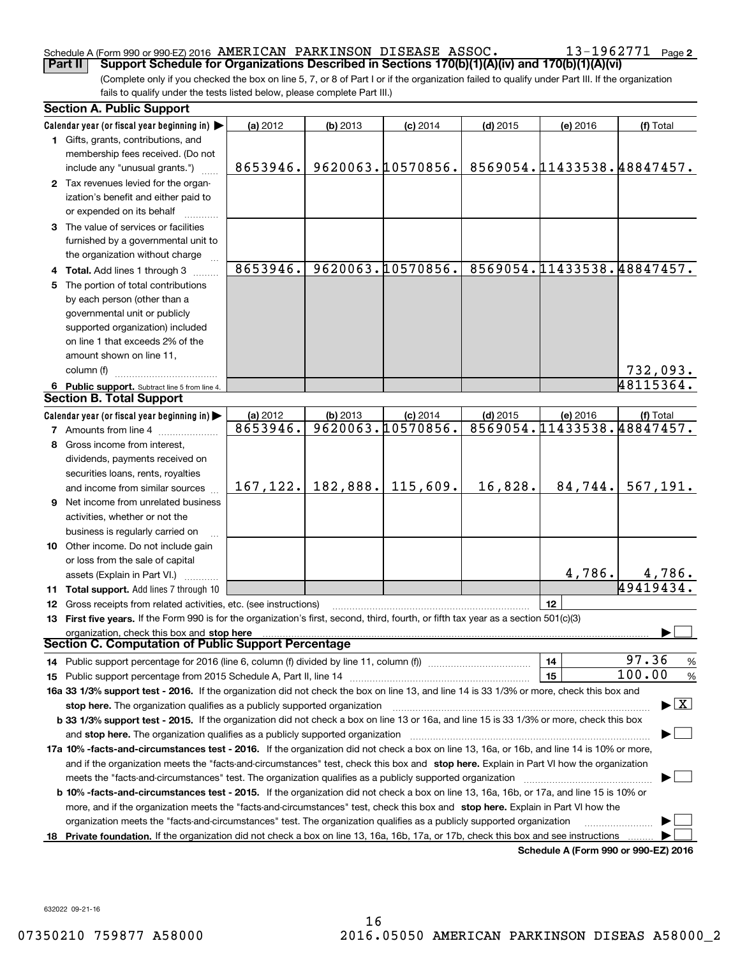### Schedule A (Form 990 or 990-EZ) 2016 Page AMERICAN PARKINSON DISEASE ASSOC. 13-1962771

(Complete only if you checked the box on line 5, 7, or 8 of Part I or if the organization failed to qualify under Part III. If the organization fails to qualify under the tests listed below, please complete Part III.) **Part II** | Support Schedule for Organizations Described in Sections 170(b)(1)(A)(iv) and 170(b)(1)(A)(vi)

|    | <b>Section A. Public Support</b>                                                                                                                                                                                                                                                      |           |          |                   |            |                            |                                |
|----|---------------------------------------------------------------------------------------------------------------------------------------------------------------------------------------------------------------------------------------------------------------------------------------|-----------|----------|-------------------|------------|----------------------------|--------------------------------|
|    | Calendar year (or fiscal year beginning in)                                                                                                                                                                                                                                           | (a) 2012  | (b) 2013 | $(c)$ 2014        | $(d)$ 2015 | (e) 2016                   | (f) Total                      |
|    | 1 Gifts, grants, contributions, and                                                                                                                                                                                                                                                   |           |          |                   |            |                            |                                |
|    | membership fees received. (Do not                                                                                                                                                                                                                                                     |           |          |                   |            |                            |                                |
|    | include any "unusual grants.")                                                                                                                                                                                                                                                        | 8653946.  |          | 9620063.10570856. |            | 8569054.11433538.48847457. |                                |
|    | 2 Tax revenues levied for the organ-                                                                                                                                                                                                                                                  |           |          |                   |            |                            |                                |
|    | ization's benefit and either paid to                                                                                                                                                                                                                                                  |           |          |                   |            |                            |                                |
|    | or expended on its behalf                                                                                                                                                                                                                                                             |           |          |                   |            |                            |                                |
|    | 3 The value of services or facilities                                                                                                                                                                                                                                                 |           |          |                   |            |                            |                                |
|    | furnished by a governmental unit to                                                                                                                                                                                                                                                   |           |          |                   |            |                            |                                |
|    | the organization without charge                                                                                                                                                                                                                                                       |           |          |                   |            |                            |                                |
|    | 4 Total. Add lines 1 through 3                                                                                                                                                                                                                                                        | 8653946.  |          | 9620063.10570856. |            | 8569054.11433538.48847457. |                                |
|    | 5 The portion of total contributions                                                                                                                                                                                                                                                  |           |          |                   |            |                            |                                |
|    | by each person (other than a                                                                                                                                                                                                                                                          |           |          |                   |            |                            |                                |
|    | governmental unit or publicly                                                                                                                                                                                                                                                         |           |          |                   |            |                            |                                |
|    | supported organization) included                                                                                                                                                                                                                                                      |           |          |                   |            |                            |                                |
|    | on line 1 that exceeds 2% of the                                                                                                                                                                                                                                                      |           |          |                   |            |                            |                                |
|    |                                                                                                                                                                                                                                                                                       |           |          |                   |            |                            |                                |
|    | amount shown on line 11,                                                                                                                                                                                                                                                              |           |          |                   |            |                            |                                |
|    | column (f)                                                                                                                                                                                                                                                                            |           |          |                   |            |                            | 732,093.                       |
|    | 6 Public support. Subtract line 5 from line 4.                                                                                                                                                                                                                                        |           |          |                   |            |                            | 48115364.                      |
|    | <b>Section B. Total Support</b>                                                                                                                                                                                                                                                       |           |          |                   |            |                            |                                |
|    | Calendar year (or fiscal year beginning in)                                                                                                                                                                                                                                           | (a) 2012  | (b) 2013 | $(c)$ 2014        | $(d)$ 2015 | (e) 2016                   | (f) Total                      |
|    | <b>7</b> Amounts from line 4                                                                                                                                                                                                                                                          | 8653946.  |          | 9620063.10570856. |            | 8569054.11433538.48847457. |                                |
|    | 8 Gross income from interest,                                                                                                                                                                                                                                                         |           |          |                   |            |                            |                                |
|    | dividends, payments received on                                                                                                                                                                                                                                                       |           |          |                   |            |                            |                                |
|    | securities loans, rents, royalties                                                                                                                                                                                                                                                    |           |          |                   |            |                            |                                |
|    | and income from similar sources                                                                                                                                                                                                                                                       | 167, 122. | 182,888. | 115,609.          | 16,828.    | 84,744.                    | 567, 191.                      |
|    | <b>9</b> Net income from unrelated business                                                                                                                                                                                                                                           |           |          |                   |            |                            |                                |
|    | activities, whether or not the                                                                                                                                                                                                                                                        |           |          |                   |            |                            |                                |
|    | business is regularly carried on                                                                                                                                                                                                                                                      |           |          |                   |            |                            |                                |
|    | 10 Other income. Do not include gain                                                                                                                                                                                                                                                  |           |          |                   |            |                            |                                |
|    | or loss from the sale of capital                                                                                                                                                                                                                                                      |           |          |                   |            |                            |                                |
|    | assets (Explain in Part VI.)                                                                                                                                                                                                                                                          |           |          |                   |            | 4,786.                     | <u>4,786.</u>                  |
|    | 11 Total support. Add lines 7 through 10                                                                                                                                                                                                                                              |           |          |                   |            |                            | 49419434.                      |
|    | 12 Gross receipts from related activities, etc. (see instructions)                                                                                                                                                                                                                    |           |          |                   |            | 12                         |                                |
|    | 13 First five years. If the Form 990 is for the organization's first, second, third, fourth, or fifth tax year as a section 501(c)(3)                                                                                                                                                 |           |          |                   |            |                            |                                |
|    | organization, check this box and stop here                                                                                                                                                                                                                                            |           |          |                   |            |                            |                                |
|    | Section C. Computation of Public Support Percentage                                                                                                                                                                                                                                   |           |          |                   |            |                            |                                |
|    | 14 Public support percentage for 2016 (line 6, column (f) divided by line 11, column (f) <i>manumeronominimi</i> ng                                                                                                                                                                   |           |          |                   |            | 14                         | 97.36<br>%                     |
|    |                                                                                                                                                                                                                                                                                       |           |          |                   |            | 15                         | 100.00<br>$\frac{9}{6}$        |
|    |                                                                                                                                                                                                                                                                                       |           |          |                   |            |                            |                                |
|    | 16a 33 1/3% support test - 2016. If the organization did not check the box on line 13, and line 14 is 33 1/3% or more, check this box and<br>$\blacktriangleright$ $\vert$ X $\vert$                                                                                                  |           |          |                   |            |                            |                                |
|    | stop here. The organization qualifies as a publicly supported organization                                                                                                                                                                                                            |           |          |                   |            |                            |                                |
|    | b 33 1/3% support test - 2015. If the organization did not check a box on line 13 or 16a, and line 15 is 33 1/3% or more, check this box                                                                                                                                              |           |          |                   |            |                            |                                |
|    | and stop here. The organization qualifies as a publicly supported organization                                                                                                                                                                                                        |           |          |                   |            |                            |                                |
|    | 17a 10% -facts-and-circumstances test - 2016. If the organization did not check a box on line 13, 16a, or 16b, and line 14 is 10% or more,<br>and if the organization meets the "facts-and-circumstances" test, check this box and stop here. Explain in Part VI how the organization |           |          |                   |            |                            |                                |
|    |                                                                                                                                                                                                                                                                                       |           |          |                   |            |                            |                                |
|    | meets the "facts-and-circumstances" test. The organization qualifies as a publicly supported organization                                                                                                                                                                             |           |          |                   |            |                            |                                |
|    | <b>b 10% -facts-and-circumstances test - 2015.</b> If the organization did not check a box on line 13, 16a, 16b, or 17a, and line 15 is 10% or                                                                                                                                        |           |          |                   |            |                            |                                |
|    | more, and if the organization meets the "facts-and-circumstances" test, check this box and stop here. Explain in Part VI how the                                                                                                                                                      |           |          |                   |            |                            |                                |
|    | organization meets the "facts-and-circumstances" test. The organization qualifies as a publicly supported organization                                                                                                                                                                |           |          |                   |            |                            |                                |
| 18 | Private foundation. If the organization did not check a box on line 13, 16a, 16b, 17a, or 17b, check this box and see instructions                                                                                                                                                    |           |          |                   |            |                            | $A$ (Faxes 000 as 000 EZ) 0040 |

**Schedule A (Form 990 or 990-EZ) 2016**

632022 09-21-16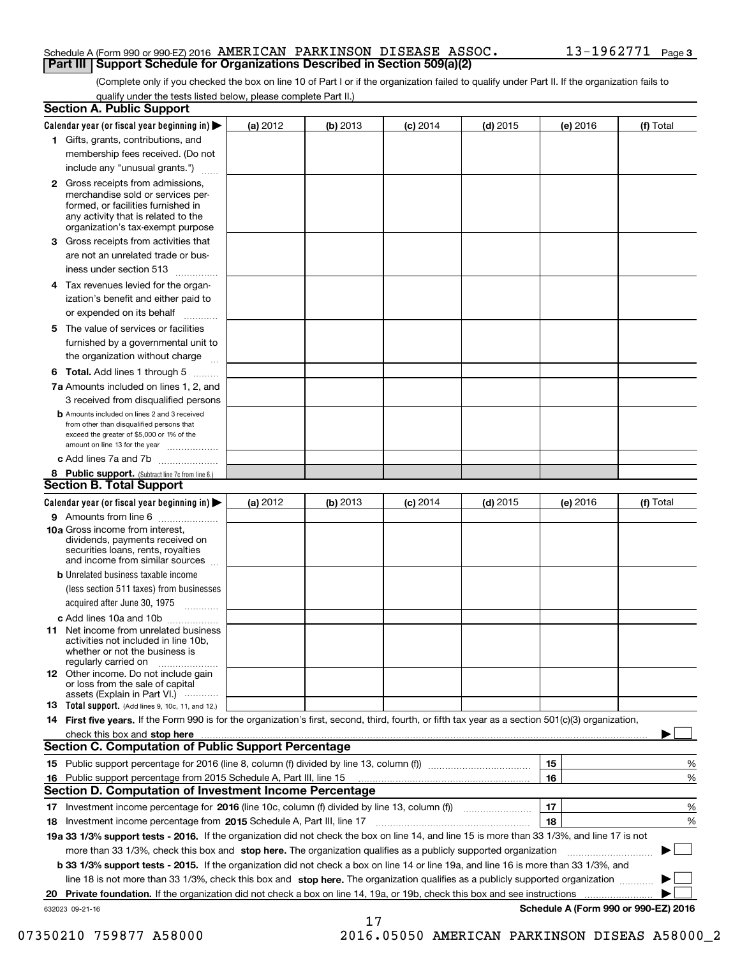#### Schedule A (Form 990 or 990-EZ) 2016 Page AMERICAN PARKINSON DISEASE ASSOC. 13-1962771 **Part III Support Schedule for Organizations Described in Section 509(a)(2)**

(Complete only if you checked the box on line 10 of Part I or if the organization failed to qualify under Part II. If the organization fails to qualify under the tests listed below, please complete Part II.)

|    | <b>Section A. Public Support</b>                                                                                                                                                                                               |          |          |                 |            |          |                                      |
|----|--------------------------------------------------------------------------------------------------------------------------------------------------------------------------------------------------------------------------------|----------|----------|-----------------|------------|----------|--------------------------------------|
|    | Calendar year (or fiscal year beginning in) $\blacktriangleright$                                                                                                                                                              | (a) 2012 | (b) 2013 | <b>(c)</b> 2014 | $(d)$ 2015 | (e) 2016 | (f) Total                            |
|    | 1 Gifts, grants, contributions, and                                                                                                                                                                                            |          |          |                 |            |          |                                      |
|    | membership fees received. (Do not                                                                                                                                                                                              |          |          |                 |            |          |                                      |
|    | include any "unusual grants.")                                                                                                                                                                                                 |          |          |                 |            |          |                                      |
|    | <b>2</b> Gross receipts from admissions,<br>merchandise sold or services per-<br>formed, or facilities furnished in<br>any activity that is related to the<br>organization's tax-exempt purpose                                |          |          |                 |            |          |                                      |
|    | 3 Gross receipts from activities that<br>are not an unrelated trade or bus-                                                                                                                                                    |          |          |                 |            |          |                                      |
|    | iness under section 513                                                                                                                                                                                                        |          |          |                 |            |          |                                      |
|    | 4 Tax revenues levied for the organ-                                                                                                                                                                                           |          |          |                 |            |          |                                      |
|    | ization's benefit and either paid to<br>or expended on its behalf                                                                                                                                                              |          |          |                 |            |          |                                      |
|    | 5 The value of services or facilities                                                                                                                                                                                          |          |          |                 |            |          |                                      |
|    | furnished by a governmental unit to                                                                                                                                                                                            |          |          |                 |            |          |                                      |
|    | the organization without charge                                                                                                                                                                                                |          |          |                 |            |          |                                      |
|    | <b>6 Total.</b> Add lines 1 through 5                                                                                                                                                                                          |          |          |                 |            |          |                                      |
|    | 7a Amounts included on lines 1, 2, and<br>3 received from disqualified persons                                                                                                                                                 |          |          |                 |            |          |                                      |
|    | <b>b</b> Amounts included on lines 2 and 3 received<br>from other than disqualified persons that<br>exceed the greater of \$5,000 or 1% of the<br>amount on line 13 for the year                                               |          |          |                 |            |          |                                      |
|    | c Add lines 7a and 7b                                                                                                                                                                                                          |          |          |                 |            |          |                                      |
|    | 8 Public support. (Subtract line 7c from line 6.)                                                                                                                                                                              |          |          |                 |            |          |                                      |
|    | <b>Section B. Total Support</b>                                                                                                                                                                                                |          |          |                 |            |          |                                      |
|    | Calendar year (or fiscal year beginning in)                                                                                                                                                                                    | (a) 2012 | (b) 2013 | $(c)$ 2014      | $(d)$ 2015 | (e) 2016 | (f) Total                            |
|    | 9 Amounts from line 6                                                                                                                                                                                                          |          |          |                 |            |          |                                      |
|    | <b>10a</b> Gross income from interest,<br>dividends, payments received on<br>securities loans, rents, royalties<br>and income from similar sources                                                                             |          |          |                 |            |          |                                      |
|    | <b>b</b> Unrelated business taxable income                                                                                                                                                                                     |          |          |                 |            |          |                                      |
|    | (less section 511 taxes) from businesses                                                                                                                                                                                       |          |          |                 |            |          |                                      |
|    | acquired after June 30, 1975                                                                                                                                                                                                   |          |          |                 |            |          |                                      |
|    | c Add lines 10a and 10b                                                                                                                                                                                                        |          |          |                 |            |          |                                      |
|    | 11 Net income from unrelated business<br>activities not included in line 10b,<br>whether or not the business is<br>regularly carried on                                                                                        |          |          |                 |            |          |                                      |
|    | 12 Other income. Do not include gain<br>or loss from the sale of capital<br>assets (Explain in Part VI.)                                                                                                                       |          |          |                 |            |          |                                      |
|    | 13 Total support. (Add lines 9, 10c, 11, and 12.)                                                                                                                                                                              |          |          |                 |            |          |                                      |
|    | 14 First five years. If the Form 990 is for the organization's first, second, third, fourth, or fifth tax year as a section 501(c)(3) organization,                                                                            |          |          |                 |            |          |                                      |
|    | check this box and stop here measurements and the control of the control of the control of the control of the control of the control of the control of the control of the control of the control of the control of the control |          |          |                 |            |          |                                      |
|    | <b>Section C. Computation of Public Support Percentage</b>                                                                                                                                                                     |          |          |                 |            |          |                                      |
|    |                                                                                                                                                                                                                                |          |          |                 |            | 15       | %                                    |
| 16 | Public support percentage from 2015 Schedule A, Part III, line 15                                                                                                                                                              |          |          |                 |            | 16       | %                                    |
|    | <b>Section D. Computation of Investment Income Percentage</b>                                                                                                                                                                  |          |          |                 |            |          |                                      |
|    | 17 Investment income percentage for 2016 (line 10c, column (f) divided by line 13, column (f))                                                                                                                                 |          |          |                 |            | 17       | %                                    |
|    | 18 Investment income percentage from 2015 Schedule A, Part III, line 17                                                                                                                                                        |          |          |                 |            | 18       | %                                    |
|    | 19a 33 1/3% support tests - 2016. If the organization did not check the box on line 14, and line 15 is more than 33 1/3%, and line 17 is not                                                                                   |          |          |                 |            |          |                                      |
|    | more than 33 1/3%, check this box and stop here. The organization qualifies as a publicly supported organization                                                                                                               |          |          |                 |            |          | ▶                                    |
|    | <b>b 33 1/3% support tests - 2015.</b> If the organization did not check a box on line 14 or line 19a, and line 16 is more than 33 1/3%, and                                                                                   |          |          |                 |            |          |                                      |
|    | line 18 is not more than 33 1/3%, check this box and stop here. The organization qualifies as a publicly supported organization                                                                                                |          |          |                 |            |          |                                      |
| 20 | <b>Private foundation.</b> If the organization did not check a box on line 14, 19a, or 19b, check this box and see instructions                                                                                                |          |          |                 |            |          | .                                    |
|    | 632023 09-21-16                                                                                                                                                                                                                |          |          |                 |            |          | Schedule A (Form 990 or 990-EZ) 2016 |
|    |                                                                                                                                                                                                                                |          | 17       |                 |            |          |                                      |

07350210 759877 A58000 2016.05050 AMERICAN PARKINSON DISEAS A58000\_2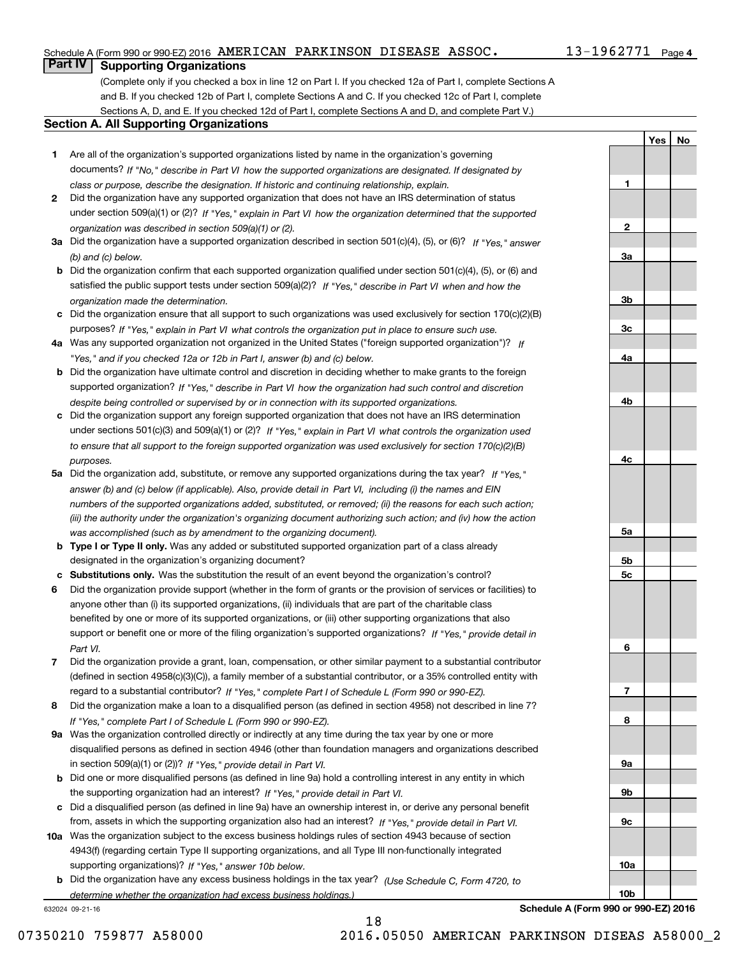### Schedule A (Form 990 or 990-EZ) 2016 Page AMERICAN PARKINSON DISEASE ASSOC. 13-1962771

# **Part IV Supporting Organizations**

(Complete only if you checked a box in line 12 on Part I. If you checked 12a of Part I, complete Sections A and B. If you checked 12b of Part I, complete Sections A and C. If you checked 12c of Part I, complete Sections A, D, and E. If you checked 12d of Part I, complete Sections A and D, and complete Part V.)

#### **Section A. All Supporting Organizations**

- **1** Are all of the organization's supported organizations listed by name in the organization's governing documents? If "No," describe in Part VI how the supported organizations are designated. If designated by *class or purpose, describe the designation. If historic and continuing relationship, explain.*
- **2** Did the organization have any supported organization that does not have an IRS determination of status under section 509(a)(1) or (2)? If "Yes," explain in Part VI how the organization determined that the supported *organization was described in section 509(a)(1) or (2).*
- **3a** Did the organization have a supported organization described in section 501(c)(4), (5), or (6)? If "Yes," answer *(b) and (c) below.*
- **b** Did the organization confirm that each supported organization qualified under section 501(c)(4), (5), or (6) and satisfied the public support tests under section 509(a)(2)? If "Yes," describe in Part VI when and how the *organization made the determination.*
- **c**Did the organization ensure that all support to such organizations was used exclusively for section 170(c)(2)(B) purposes? If "Yes," explain in Part VI what controls the organization put in place to ensure such use.
- **4a***If* Was any supported organization not organized in the United States ("foreign supported organization")? *"Yes," and if you checked 12a or 12b in Part I, answer (b) and (c) below.*
- **b** Did the organization have ultimate control and discretion in deciding whether to make grants to the foreign supported organization? If "Yes," describe in Part VI how the organization had such control and discretion *despite being controlled or supervised by or in connection with its supported organizations.*
- **c** Did the organization support any foreign supported organization that does not have an IRS determination under sections 501(c)(3) and 509(a)(1) or (2)? If "Yes," explain in Part VI what controls the organization used *to ensure that all support to the foreign supported organization was used exclusively for section 170(c)(2)(B) purposes.*
- **5a** Did the organization add, substitute, or remove any supported organizations during the tax year? If "Yes," answer (b) and (c) below (if applicable). Also, provide detail in Part VI, including (i) the names and EIN *numbers of the supported organizations added, substituted, or removed; (ii) the reasons for each such action; (iii) the authority under the organization's organizing document authorizing such action; and (iv) how the action was accomplished (such as by amendment to the organizing document).*
- **b** Type I or Type II only. Was any added or substituted supported organization part of a class already designated in the organization's organizing document?
- **cSubstitutions only.**  Was the substitution the result of an event beyond the organization's control?
- **6** Did the organization provide support (whether in the form of grants or the provision of services or facilities) to *If "Yes," provide detail in* support or benefit one or more of the filing organization's supported organizations? anyone other than (i) its supported organizations, (ii) individuals that are part of the charitable class benefited by one or more of its supported organizations, or (iii) other supporting organizations that also *Part VI.*
- **7**Did the organization provide a grant, loan, compensation, or other similar payment to a substantial contributor *If "Yes," complete Part I of Schedule L (Form 990 or 990-EZ).* regard to a substantial contributor? (defined in section 4958(c)(3)(C)), a family member of a substantial contributor, or a 35% controlled entity with
- **8** Did the organization make a loan to a disqualified person (as defined in section 4958) not described in line 7? *If "Yes," complete Part I of Schedule L (Form 990 or 990-EZ).*
- **9a** Was the organization controlled directly or indirectly at any time during the tax year by one or more in section 509(a)(1) or (2))? If "Yes," *provide detail in Part VI.* disqualified persons as defined in section 4946 (other than foundation managers and organizations described
- **b** Did one or more disqualified persons (as defined in line 9a) hold a controlling interest in any entity in which the supporting organization had an interest? If "Yes," provide detail in Part VI.
- **c**Did a disqualified person (as defined in line 9a) have an ownership interest in, or derive any personal benefit from, assets in which the supporting organization also had an interest? If "Yes," provide detail in Part VI.
- **10a** Was the organization subject to the excess business holdings rules of section 4943 because of section supporting organizations)? If "Yes," answer 10b below. 4943(f) (regarding certain Type II supporting organizations, and all Type III non-functionally integrated
- **b** Did the organization have any excess business holdings in the tax year? (Use Schedule C, Form 4720, to *determine whether the organization had excess business holdings.)*

632024 09-21-16



13-1962771 Page 4

**YesNo**

**Schedule A (Form 990 or 990-EZ) 2016**

**10b**

18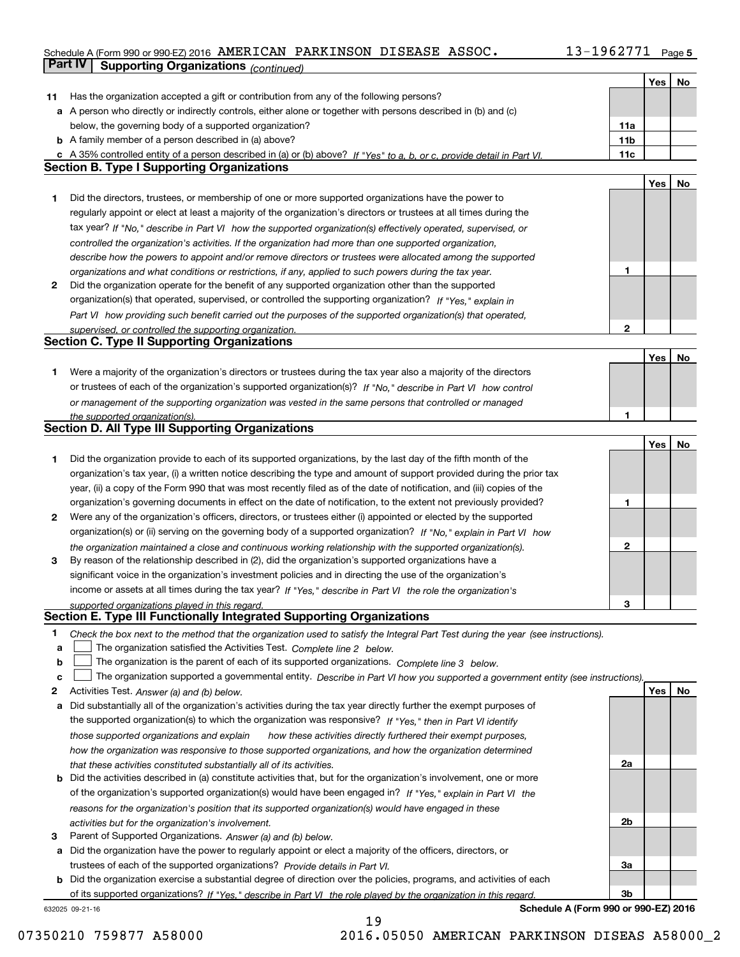### **5** Schedule A (Form 990 or 990-EZ) 2016 Page AMERICAN PARKINSON DISEASE ASSOC. 13-1962771 **Part IV Supporting Organizations** *(continued)*

|        |                                                                                                                                                                                     |                 | Yes | No |
|--------|-------------------------------------------------------------------------------------------------------------------------------------------------------------------------------------|-----------------|-----|----|
| 11     | Has the organization accepted a gift or contribution from any of the following persons?                                                                                             |                 |     |    |
|        | a A person who directly or indirectly controls, either alone or together with persons described in (b) and (c)                                                                      |                 |     |    |
|        | below, the governing body of a supported organization?                                                                                                                              | 11a             |     |    |
|        | <b>b</b> A family member of a person described in (a) above?                                                                                                                        | 11 <sub>b</sub> |     |    |
|        | c A 35% controlled entity of a person described in (a) or (b) above? If "Yes" to a, b, or c, provide detail in Part VI.                                                             | 11c             |     |    |
|        | <b>Section B. Type I Supporting Organizations</b>                                                                                                                                   |                 |     |    |
|        |                                                                                                                                                                                     |                 | Yes | No |
| 1      | Did the directors, trustees, or membership of one or more supported organizations have the power to                                                                                 |                 |     |    |
|        | regularly appoint or elect at least a majority of the organization's directors or trustees at all times during the                                                                  |                 |     |    |
|        | tax year? If "No," describe in Part VI how the supported organization(s) effectively operated, supervised, or                                                                       |                 |     |    |
|        | controlled the organization's activities. If the organization had more than one supported organization,                                                                             |                 |     |    |
|        | describe how the powers to appoint and/or remove directors or trustees were allocated among the supported                                                                           |                 |     |    |
|        | organizations and what conditions or restrictions, if any, applied to such powers during the tax year.                                                                              | 1               |     |    |
| 2      | Did the organization operate for the benefit of any supported organization other than the supported                                                                                 |                 |     |    |
|        | organization(s) that operated, supervised, or controlled the supporting organization? If "Yes," explain in                                                                          |                 |     |    |
|        | Part VI how providing such benefit carried out the purposes of the supported organization(s) that operated,                                                                         |                 |     |    |
|        | supervised, or controlled the supporting organization.                                                                                                                              | $\mathbf{2}$    |     |    |
|        | <b>Section C. Type II Supporting Organizations</b>                                                                                                                                  |                 |     |    |
|        |                                                                                                                                                                                     |                 | Yes | No |
| 1.     | Were a majority of the organization's directors or trustees during the tax year also a majority of the directors                                                                    |                 |     |    |
|        | or trustees of each of the organization's supported organization(s)? If "No," describe in Part VI how control                                                                       |                 |     |    |
|        | or management of the supporting organization was vested in the same persons that controlled or managed                                                                              |                 |     |    |
|        | the supported organization(s).                                                                                                                                                      | 1               |     |    |
|        | <b>Section D. All Type III Supporting Organizations</b>                                                                                                                             |                 |     |    |
|        |                                                                                                                                                                                     |                 | Yes | No |
| 1      | Did the organization provide to each of its supported organizations, by the last day of the fifth month of the                                                                      |                 |     |    |
|        | organization's tax year, (i) a written notice describing the type and amount of support provided during the prior tax                                                               |                 |     |    |
|        | year, (ii) a copy of the Form 990 that was most recently filed as of the date of notification, and (iii) copies of the                                                              |                 |     |    |
|        | organization's governing documents in effect on the date of notification, to the extent not previously provided?                                                                    | 1               |     |    |
| 2      | Were any of the organization's officers, directors, or trustees either (i) appointed or elected by the supported                                                                    |                 |     |    |
|        | organization(s) or (ii) serving on the governing body of a supported organization? If "No," explain in Part VI how                                                                  |                 |     |    |
|        | the organization maintained a close and continuous working relationship with the supported organization(s).                                                                         | $\mathbf{2}$    |     |    |
| 3      | By reason of the relationship described in (2), did the organization's supported organizations have a                                                                               |                 |     |    |
|        | significant voice in the organization's investment policies and in directing the use of the organization's                                                                          |                 |     |    |
|        | income or assets at all times during the tax year? If "Yes," describe in Part VI the role the organization's                                                                        |                 |     |    |
|        | supported organizations played in this regard.<br>Section E. Type III Functionally Integrated Supporting Organizations                                                              | з               |     |    |
|        |                                                                                                                                                                                     |                 |     |    |
| 1      | Check the box next to the method that the organization used to satisfy the Integral Part Test during the year (see instructions).                                                   |                 |     |    |
| a      | The organization satisfied the Activities Test. Complete line 2 below.                                                                                                              |                 |     |    |
| b<br>c | The organization is the parent of each of its supported organizations. Complete line 3 below.                                                                                       |                 |     |    |
|        | The organization supported a governmental entity. Describe in Part VI how you supported a government entity (see instructions).                                                     |                 | Yes | No |
| 2<br>а | Activities Test. Answer (a) and (b) below.<br>Did substantially all of the organization's activities during the tax year directly further the exempt purposes of                    |                 |     |    |
|        | the supported organization(s) to which the organization was responsive? If "Yes," then in Part VI identify                                                                          |                 |     |    |
|        |                                                                                                                                                                                     |                 |     |    |
|        | those supported organizations and explain<br>how these activities directly furthered their exempt purposes,                                                                         |                 |     |    |
|        | how the organization was responsive to those supported organizations, and how the organization determined<br>that these activities constituted substantially all of its activities. | 2a              |     |    |
| b      | Did the activities described in (a) constitute activities that, but for the organization's involvement, one or more                                                                 |                 |     |    |
|        | of the organization's supported organization(s) would have been engaged in? If "Yes," explain in Part VI the                                                                        |                 |     |    |
|        | reasons for the organization's position that its supported organization(s) would have engaged in these                                                                              |                 |     |    |
|        | activities but for the organization's involvement.                                                                                                                                  | 2b              |     |    |
| з      | Parent of Supported Organizations. Answer (a) and (b) below.                                                                                                                        |                 |     |    |
| а      | Did the organization have the power to regularly appoint or elect a majority of the officers, directors, or                                                                         |                 |     |    |
|        | trustees of each of the supported organizations? Provide details in Part VI.                                                                                                        | За              |     |    |
|        | <b>b</b> Did the organization exercise a substantial degree of direction over the policies, programs, and activities of each                                                        |                 |     |    |
|        | of its supported organizations? If "Yes." describe in Part VI the role played by the organization in this regard.                                                                   | 3b              |     |    |
|        |                                                                                                                                                                                     |                 |     |    |

19

632025 09-21-16

**Schedule A (Form 990 or 990-EZ) 2016**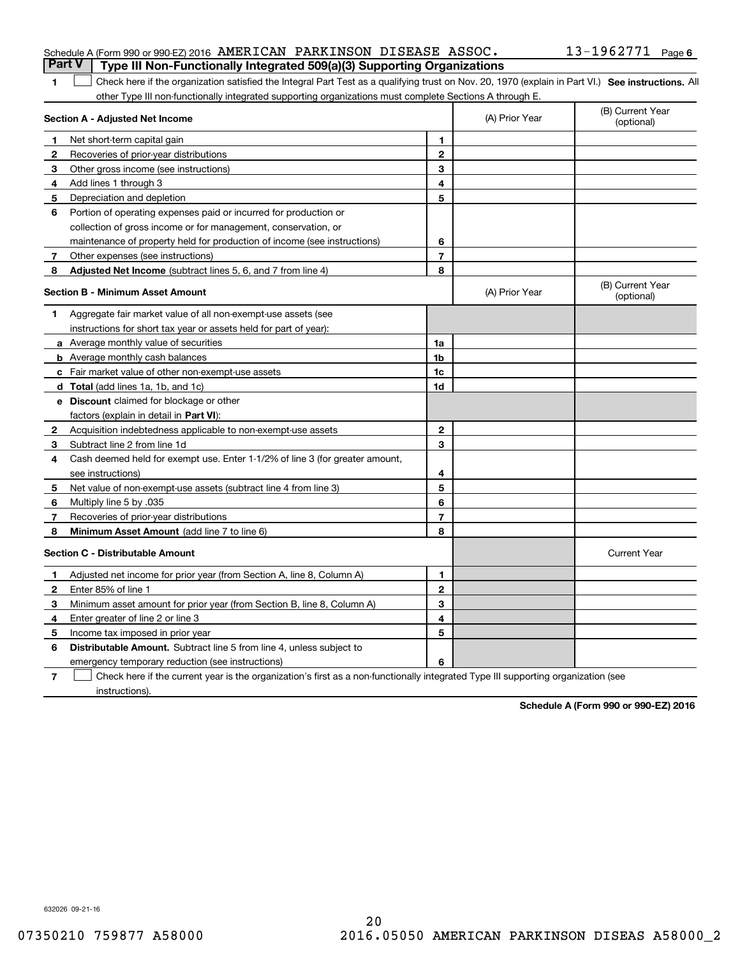#### Schedule A (Form 990 or 990-EZ) 2016 Page AMERICAN PARKINSON DISEASE ASSOC. 13-1962771 **Part V Type III Non-Functionally Integrated 509(a)(3) Supporting Organizations**

| 1 Check here if the organization satisfied the Integral Part Test as a qualifying trust on Nov. 20, 1970 (explain in Part VI.) See instructions. All |  |
|------------------------------------------------------------------------------------------------------------------------------------------------------|--|
| other Type III non-functionally integrated supporting organizations must complete Sections A through E.                                              |  |

|              | Section A - Adjusted Net Income                                              | (A) Prior Year | (B) Current Year<br>(optional) |                                |
|--------------|------------------------------------------------------------------------------|----------------|--------------------------------|--------------------------------|
| 1            | Net short-term capital gain                                                  | 1              |                                |                                |
| $\mathbf{2}$ | Recoveries of prior-year distributions                                       | $\mathbf{2}$   |                                |                                |
| 3            | Other gross income (see instructions)                                        | 3              |                                |                                |
| 4            | Add lines 1 through 3                                                        | 4              |                                |                                |
| 5            | Depreciation and depletion                                                   | 5              |                                |                                |
| 6            | Portion of operating expenses paid or incurred for production or             |                |                                |                                |
|              | collection of gross income or for management, conservation, or               |                |                                |                                |
|              | maintenance of property held for production of income (see instructions)     | 6              |                                |                                |
| 7            | Other expenses (see instructions)                                            | $\overline{7}$ |                                |                                |
| 8            | Adjusted Net Income (subtract lines 5, 6, and 7 from line 4)                 | 8              |                                |                                |
|              | <b>Section B - Minimum Asset Amount</b>                                      |                | (A) Prior Year                 | (B) Current Year<br>(optional) |
| 1            | Aggregate fair market value of all non-exempt-use assets (see                |                |                                |                                |
|              | instructions for short tax year or assets held for part of year):            |                |                                |                                |
|              | a Average monthly value of securities                                        | 1a             |                                |                                |
|              | <b>b</b> Average monthly cash balances                                       | 1 <sub>b</sub> |                                |                                |
|              | c Fair market value of other non-exempt-use assets                           | 1c             |                                |                                |
|              | <b>d</b> Total (add lines 1a, 1b, and 1c)                                    | 1d             |                                |                                |
|              | e Discount claimed for blockage or other                                     |                |                                |                                |
|              | factors (explain in detail in Part VI):                                      |                |                                |                                |
| 2            | Acquisition indebtedness applicable to non-exempt-use assets                 | $\mathbf{2}$   |                                |                                |
| 3            | Subtract line 2 from line 1d                                                 | 3              |                                |                                |
| 4            | Cash deemed held for exempt use. Enter 1-1/2% of line 3 (for greater amount, |                |                                |                                |
|              | see instructions)                                                            | 4              |                                |                                |
| 5            | Net value of non-exempt-use assets (subtract line 4 from line 3)             | 5              |                                |                                |
| 6            | Multiply line 5 by .035                                                      | 6              |                                |                                |
| 7            | Recoveries of prior-year distributions                                       | $\overline{7}$ |                                |                                |
| 8            | Minimum Asset Amount (add line 7 to line 6)                                  | 8              |                                |                                |
|              | <b>Section C - Distributable Amount</b>                                      |                |                                | <b>Current Year</b>            |
| 1            | Adjusted net income for prior year (from Section A, line 8, Column A)        | 1              |                                |                                |
| $\mathbf{2}$ | Enter 85% of line 1                                                          | $\overline{2}$ |                                |                                |
| 3            | Minimum asset amount for prior year (from Section B, line 8, Column A)       | 3              |                                |                                |
| 4            | Enter greater of line 2 or line 3                                            | 4              |                                |                                |
| 5            | Income tax imposed in prior year                                             | 5              |                                |                                |
| 6            | <b>Distributable Amount.</b> Subtract line 5 from line 4, unless subject to  |                |                                |                                |
|              | emergency temporary reduction (see instructions)                             | 6              |                                |                                |
|              |                                                                              |                |                                |                                |

**7**Check here if the current year is the organization's first as a non-functionally integrated Type III supporting organization (see instructions).

**Schedule A (Form 990 or 990-EZ) 2016**

632026 09-21-16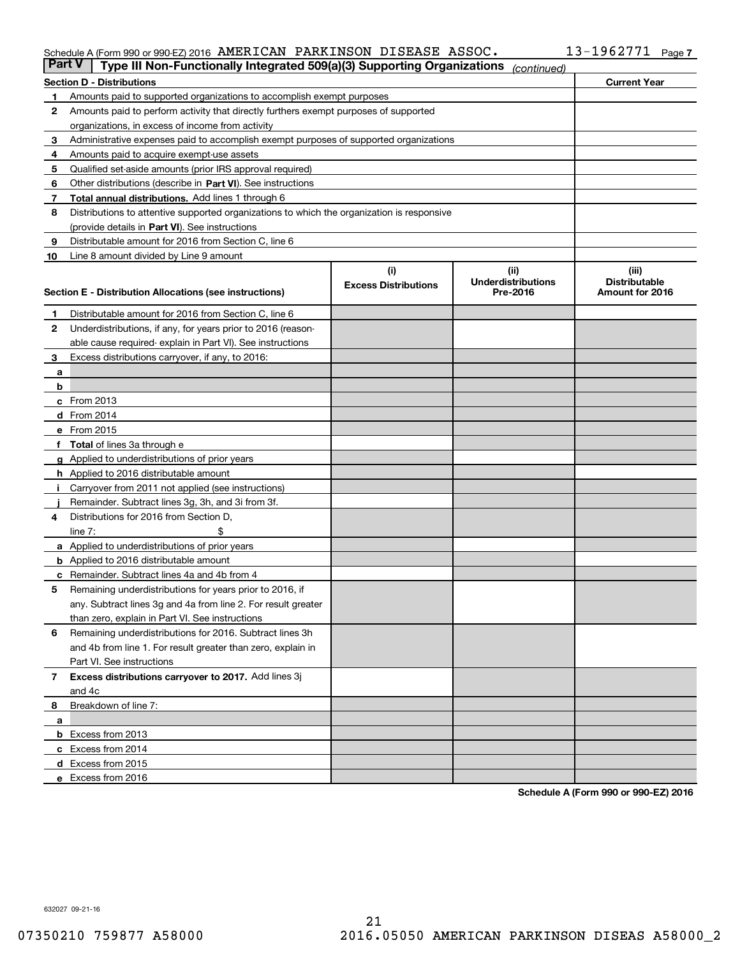#### Schedule A (Form 990 or 990-EZ) 2016 AMERICAN PARKINSON DISEASE ASSOC - the state of the Page of Page of the R AMERICAN PARKINSON DISEASE ASSOC. 13-1962771

| <b>Part V</b> | Type III Non-Functionally Integrated 509(a)(3) Supporting Organizations                    |                             | (continued)               |                      |
|---------------|--------------------------------------------------------------------------------------------|-----------------------------|---------------------------|----------------------|
|               | <b>Section D - Distributions</b>                                                           |                             |                           | <b>Current Year</b>  |
| 1             | Amounts paid to supported organizations to accomplish exempt purposes                      |                             |                           |                      |
| 2             | Amounts paid to perform activity that directly furthers exempt purposes of supported       |                             |                           |                      |
|               | organizations, in excess of income from activity                                           |                             |                           |                      |
| з             | Administrative expenses paid to accomplish exempt purposes of supported organizations      |                             |                           |                      |
| 4             | Amounts paid to acquire exempt-use assets                                                  |                             |                           |                      |
| 5             | Qualified set-aside amounts (prior IRS approval required)                                  |                             |                           |                      |
| 6             | Other distributions (describe in Part VI). See instructions                                |                             |                           |                      |
| 7             | <b>Total annual distributions.</b> Add lines 1 through 6                                   |                             |                           |                      |
| 8             | Distributions to attentive supported organizations to which the organization is responsive |                             |                           |                      |
|               | (provide details in Part VI). See instructions                                             |                             |                           |                      |
| 9             | Distributable amount for 2016 from Section C, line 6                                       |                             |                           |                      |
| 10            | Line 8 amount divided by Line 9 amount                                                     |                             |                           |                      |
|               |                                                                                            | (i)                         | (iii)                     | (iii)                |
|               |                                                                                            | <b>Excess Distributions</b> | <b>Underdistributions</b> | <b>Distributable</b> |
|               | Section E - Distribution Allocations (see instructions)                                    |                             | Pre-2016                  | Amount for 2016      |
| 1             | Distributable amount for 2016 from Section C, line 6                                       |                             |                           |                      |
| 2             | Underdistributions, if any, for years prior to 2016 (reason-                               |                             |                           |                      |
|               | able cause required-explain in Part VI). See instructions                                  |                             |                           |                      |
| 3             | Excess distributions carryover, if any, to 2016:                                           |                             |                           |                      |
| а             |                                                                                            |                             |                           |                      |
| b             |                                                                                            |                             |                           |                      |
|               | c From 2013                                                                                |                             |                           |                      |
|               | d From 2014                                                                                |                             |                           |                      |
|               | e From 2015                                                                                |                             |                           |                      |
|               | Total of lines 3a through e                                                                |                             |                           |                      |
|               | <b>g</b> Applied to underdistributions of prior years                                      |                             |                           |                      |
|               | h Applied to 2016 distributable amount                                                     |                             |                           |                      |
|               | Carryover from 2011 not applied (see instructions)                                         |                             |                           |                      |
|               | Remainder. Subtract lines 3g, 3h, and 3i from 3f.                                          |                             |                           |                      |
| 4             | Distributions for 2016 from Section D,                                                     |                             |                           |                      |
|               | line $7:$                                                                                  |                             |                           |                      |
|               | a Applied to underdistributions of prior years                                             |                             |                           |                      |
|               | <b>b</b> Applied to 2016 distributable amount                                              |                             |                           |                      |
|               | Remainder. Subtract lines 4a and 4b from 4                                                 |                             |                           |                      |
| с<br>5        | Remaining underdistributions for years prior to 2016, if                                   |                             |                           |                      |
|               | any. Subtract lines 3g and 4a from line 2. For result greater                              |                             |                           |                      |
|               | than zero, explain in Part VI. See instructions                                            |                             |                           |                      |
| 6             | Remaining underdistributions for 2016. Subtract lines 3h                                   |                             |                           |                      |
|               | and 4b from line 1. For result greater than zero, explain in                               |                             |                           |                      |
|               | Part VI. See instructions                                                                  |                             |                           |                      |
|               |                                                                                            |                             |                           |                      |
| 7             | Excess distributions carryover to 2017. Add lines 3j<br>and 4c                             |                             |                           |                      |
|               |                                                                                            |                             |                           |                      |
| 8             | Breakdown of line 7:                                                                       |                             |                           |                      |
| а             |                                                                                            |                             |                           |                      |
|               | <b>b</b> Excess from 2013                                                                  |                             |                           |                      |
|               | c Excess from 2014                                                                         |                             |                           |                      |
|               | <b>d</b> Excess from 2015<br>e Excess from 2016                                            |                             |                           |                      |
|               |                                                                                            |                             |                           |                      |

**Schedule A (Form 990 or 990-EZ) 2016**

632027 09-21-16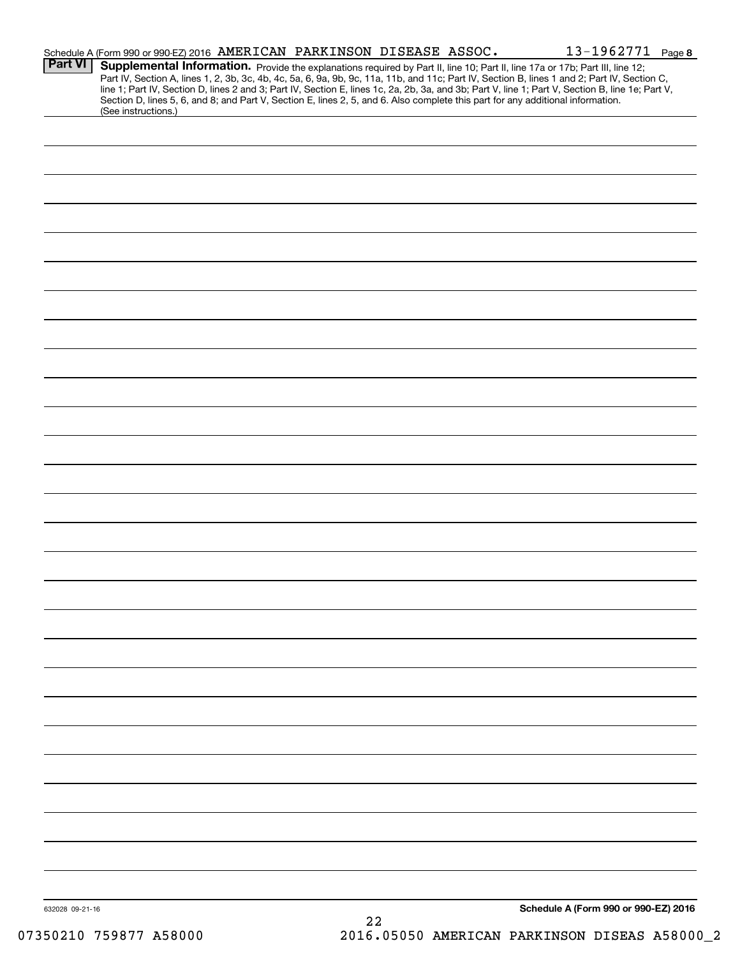|                 | Schedule A (Form 990 or 990-EZ) 2016 AMERICAN PARKINSON DISEASE ASSOC.                                                          |    |  | 13-1962771 Page 8                                                                                                                                                                                                                                                                                                                                                                                                                 |  |
|-----------------|---------------------------------------------------------------------------------------------------------------------------------|----|--|-----------------------------------------------------------------------------------------------------------------------------------------------------------------------------------------------------------------------------------------------------------------------------------------------------------------------------------------------------------------------------------------------------------------------------------|--|
| <b>Part VI</b>  | Section D, lines 5, 6, and 8; and Part V, Section E, lines 2, 5, and 6. Also complete this part for any additional information. |    |  | Supplemental Information. Provide the explanations required by Part II, line 10; Part II, line 17a or 17b; Part III, line 12;<br>Part IV, Section A, lines 1, 2, 3b, 3c, 4b, 4c, 5a, 6, 9a, 9b, 9c, 11a, 11b, and 11c; Part IV, Section B, lines 1 and 2; Part IV, Section C,<br>line 1; Part IV, Section D, lines 2 and 3; Part IV, Section E, lines 1c, 2a, 2b, 3a, and 3b; Part V, line 1; Part V, Section B, line 1e; Part V, |  |
|                 | (See instructions.)                                                                                                             |    |  |                                                                                                                                                                                                                                                                                                                                                                                                                                   |  |
|                 |                                                                                                                                 |    |  |                                                                                                                                                                                                                                                                                                                                                                                                                                   |  |
|                 |                                                                                                                                 |    |  |                                                                                                                                                                                                                                                                                                                                                                                                                                   |  |
|                 |                                                                                                                                 |    |  |                                                                                                                                                                                                                                                                                                                                                                                                                                   |  |
|                 |                                                                                                                                 |    |  |                                                                                                                                                                                                                                                                                                                                                                                                                                   |  |
|                 |                                                                                                                                 |    |  |                                                                                                                                                                                                                                                                                                                                                                                                                                   |  |
|                 |                                                                                                                                 |    |  |                                                                                                                                                                                                                                                                                                                                                                                                                                   |  |
|                 |                                                                                                                                 |    |  |                                                                                                                                                                                                                                                                                                                                                                                                                                   |  |
|                 |                                                                                                                                 |    |  |                                                                                                                                                                                                                                                                                                                                                                                                                                   |  |
|                 |                                                                                                                                 |    |  |                                                                                                                                                                                                                                                                                                                                                                                                                                   |  |
|                 |                                                                                                                                 |    |  |                                                                                                                                                                                                                                                                                                                                                                                                                                   |  |
|                 |                                                                                                                                 |    |  |                                                                                                                                                                                                                                                                                                                                                                                                                                   |  |
|                 |                                                                                                                                 |    |  |                                                                                                                                                                                                                                                                                                                                                                                                                                   |  |
|                 |                                                                                                                                 |    |  |                                                                                                                                                                                                                                                                                                                                                                                                                                   |  |
|                 |                                                                                                                                 |    |  |                                                                                                                                                                                                                                                                                                                                                                                                                                   |  |
|                 |                                                                                                                                 |    |  |                                                                                                                                                                                                                                                                                                                                                                                                                                   |  |
|                 |                                                                                                                                 |    |  |                                                                                                                                                                                                                                                                                                                                                                                                                                   |  |
|                 |                                                                                                                                 |    |  |                                                                                                                                                                                                                                                                                                                                                                                                                                   |  |
|                 |                                                                                                                                 |    |  |                                                                                                                                                                                                                                                                                                                                                                                                                                   |  |
|                 |                                                                                                                                 |    |  |                                                                                                                                                                                                                                                                                                                                                                                                                                   |  |
|                 |                                                                                                                                 |    |  |                                                                                                                                                                                                                                                                                                                                                                                                                                   |  |
|                 |                                                                                                                                 |    |  |                                                                                                                                                                                                                                                                                                                                                                                                                                   |  |
|                 |                                                                                                                                 |    |  |                                                                                                                                                                                                                                                                                                                                                                                                                                   |  |
|                 |                                                                                                                                 |    |  |                                                                                                                                                                                                                                                                                                                                                                                                                                   |  |
|                 |                                                                                                                                 |    |  |                                                                                                                                                                                                                                                                                                                                                                                                                                   |  |
|                 |                                                                                                                                 |    |  |                                                                                                                                                                                                                                                                                                                                                                                                                                   |  |
|                 |                                                                                                                                 |    |  |                                                                                                                                                                                                                                                                                                                                                                                                                                   |  |
|                 |                                                                                                                                 |    |  |                                                                                                                                                                                                                                                                                                                                                                                                                                   |  |
|                 |                                                                                                                                 |    |  |                                                                                                                                                                                                                                                                                                                                                                                                                                   |  |
|                 |                                                                                                                                 |    |  |                                                                                                                                                                                                                                                                                                                                                                                                                                   |  |
|                 |                                                                                                                                 |    |  |                                                                                                                                                                                                                                                                                                                                                                                                                                   |  |
|                 |                                                                                                                                 |    |  |                                                                                                                                                                                                                                                                                                                                                                                                                                   |  |
|                 |                                                                                                                                 |    |  |                                                                                                                                                                                                                                                                                                                                                                                                                                   |  |
|                 |                                                                                                                                 |    |  |                                                                                                                                                                                                                                                                                                                                                                                                                                   |  |
|                 |                                                                                                                                 |    |  |                                                                                                                                                                                                                                                                                                                                                                                                                                   |  |
|                 |                                                                                                                                 |    |  |                                                                                                                                                                                                                                                                                                                                                                                                                                   |  |
|                 |                                                                                                                                 |    |  |                                                                                                                                                                                                                                                                                                                                                                                                                                   |  |
| 632028 09-21-16 |                                                                                                                                 |    |  | Schedule A (Form 990 or 990-EZ) 2016                                                                                                                                                                                                                                                                                                                                                                                              |  |
|                 |                                                                                                                                 | 22 |  |                                                                                                                                                                                                                                                                                                                                                                                                                                   |  |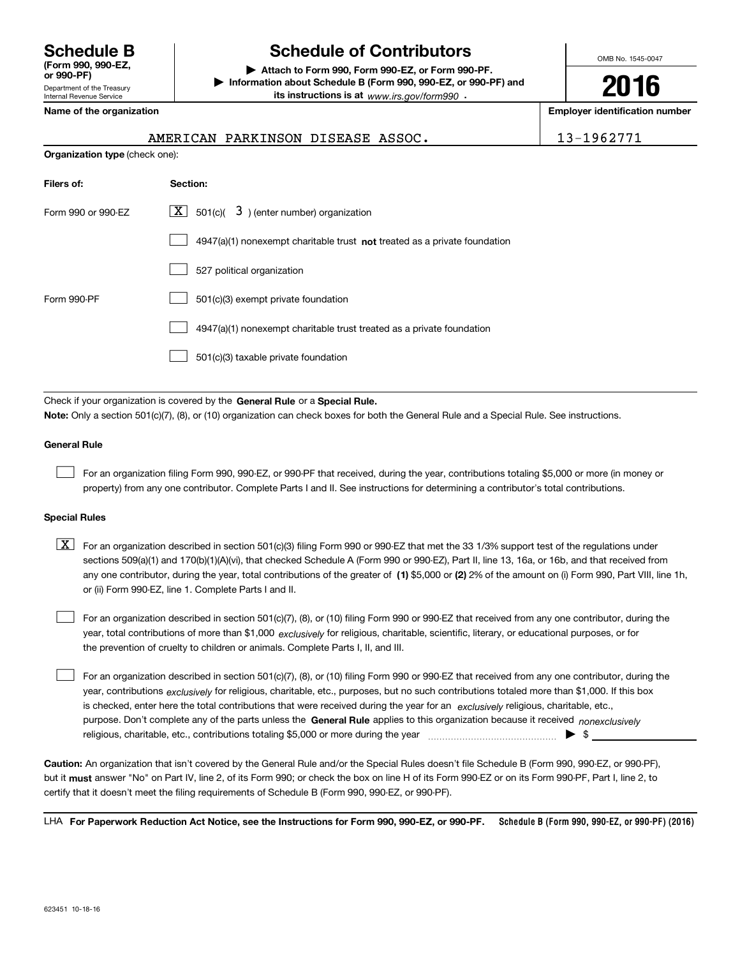Department of the Treasury Internal Revenue Service **(Form 990, 990-EZ, or 990-PF)**

# **Schedule B Schedule of Contributors**

**| Attach to Form 990, Form 990-EZ, or Form 990-PF. | Information about Schedule B (Form 990, 990-EZ, or 990-PF) and its instructions is at** www.irs.gov/form990  $\cdot$ 

**Name of the organization Employer identification number**

AMERICAN PARKINSON DISEASE ASSOC. | 13-1962771

OMB No. 1545-0047

**2016**

| <b>Organization type (check one):</b> |                                                                             |  |  |  |  |  |
|---------------------------------------|-----------------------------------------------------------------------------|--|--|--|--|--|
| Filers of:                            | Section:                                                                    |  |  |  |  |  |
| Form 990 or 990-EZ                    | $\lfloor x \rfloor$ 501(c)( 3) (enter number) organization                  |  |  |  |  |  |
|                                       | $4947(a)(1)$ nonexempt charitable trust not treated as a private foundation |  |  |  |  |  |
|                                       | 527 political organization                                                  |  |  |  |  |  |
| Form 990-PF                           | 501(c)(3) exempt private foundation                                         |  |  |  |  |  |
|                                       | 4947(a)(1) nonexempt charitable trust treated as a private foundation       |  |  |  |  |  |
|                                       | 501(c)(3) taxable private foundation                                        |  |  |  |  |  |
|                                       |                                                                             |  |  |  |  |  |

Check if your organization is covered by the **General Rule** or a **Special Rule. Note:**  Only a section 501(c)(7), (8), or (10) organization can check boxes for both the General Rule and a Special Rule. See instructions.

#### **General Rule**

 $\mathcal{L}^{\text{max}}$ 

For an organization filing Form 990, 990-EZ, or 990-PF that received, during the year, contributions totaling \$5,000 or more (in money or property) from any one contributor. Complete Parts I and II. See instructions for determining a contributor's total contributions.

#### **Special Rules**

 $\mathcal{L}^{\text{max}}$ 

any one contributor, during the year, total contributions of the greater of  $\,$  (1) \$5,000 or (2) 2% of the amount on (i) Form 990, Part VIII, line 1h,  $\boxed{\textbf{X}}$  For an organization described in section 501(c)(3) filing Form 990 or 990-EZ that met the 33 1/3% support test of the regulations under sections 509(a)(1) and 170(b)(1)(A)(vi), that checked Schedule A (Form 990 or 990-EZ), Part II, line 13, 16a, or 16b, and that received from or (ii) Form 990-EZ, line 1. Complete Parts I and II.

year, total contributions of more than \$1,000 *exclusively* for religious, charitable, scientific, literary, or educational purposes, or for For an organization described in section 501(c)(7), (8), or (10) filing Form 990 or 990-EZ that received from any one contributor, during the the prevention of cruelty to children or animals. Complete Parts I, II, and III.  $\mathcal{L}^{\text{max}}$ 

purpose. Don't complete any of the parts unless the **General Rule** applies to this organization because it received *nonexclusively* year, contributions <sub>exclusively</sub> for religious, charitable, etc., purposes, but no such contributions totaled more than \$1,000. If this box is checked, enter here the total contributions that were received during the year for an *exclusively* religious, charitable, etc., For an organization described in section 501(c)(7), (8), or (10) filing Form 990 or 990-EZ that received from any one contributor, during the religious, charitable, etc., contributions totaling \$5,000 or more during the year  $\ldots$  $\ldots$  $\ldots$  $\ldots$  $\ldots$  $\ldots$  $\ldots$ 

**Caution:**  An organization that isn't covered by the General Rule and/or the Special Rules doesn't file Schedule B (Form 990, 990-EZ, or 990-PF),  **must** but it answer "No" on Part IV, line 2, of its Form 990; or check the box on line H of its Form 990-EZ or on its Form 990-PF, Part I, line 2, to certify that it doesn't meet the filing requirements of Schedule B (Form 990, 990-EZ, or 990-PF).

**Schedule B (Form 990, 990-EZ, or 990-PF) (2016) For Paperwork Reduction Act Notice, see the Instructions for Form 990, 990-EZ, or 990-PF.** LHA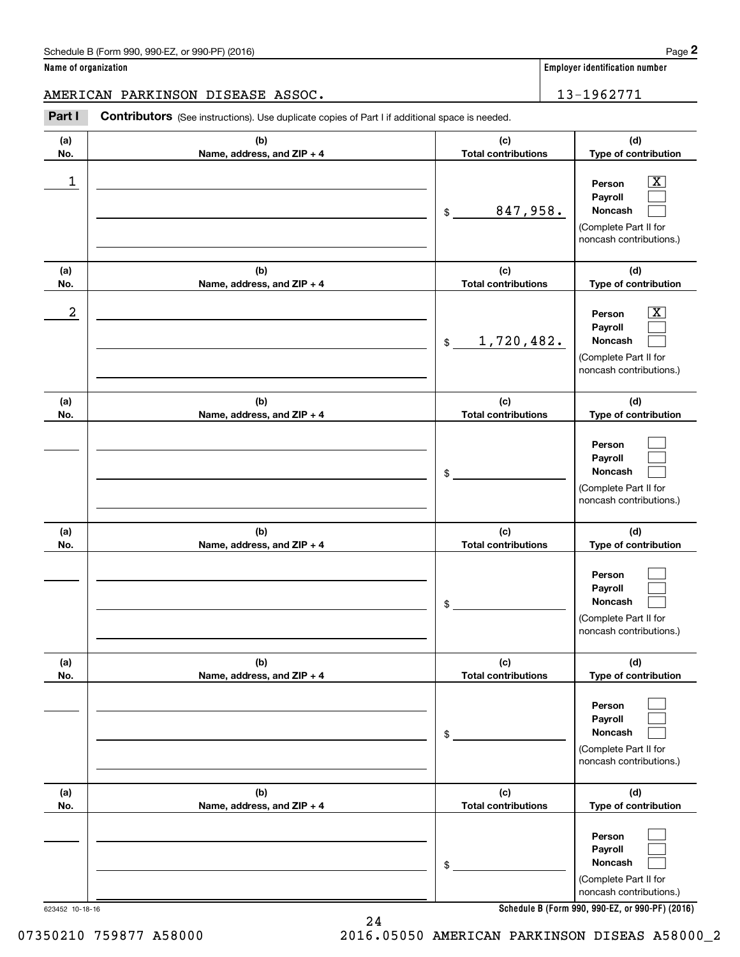**Name of organization Employer identification number**

AMERICAN PARKINSON DISEASE ASSOC. 13-1962771

Chedule B (Form 990, 990-EZ, or 990-PF) (2016)<br> **2 ame of organization**<br> **2 ASSOC . IS EXALUSON DISEASE ASSOC . IS and the proper identification number<br>
2 <b>Part I Contributors** (See instructions). Use duplicate copies of

| (a)<br>No.      | (b)<br>Name, address, and ZIP + 4 | (c)<br><b>Total contributions</b> | (d)<br>Type of contribution                                                                            |
|-----------------|-----------------------------------|-----------------------------------|--------------------------------------------------------------------------------------------------------|
| 1               |                                   | 847,958.<br>\$                    | $\boxed{\text{X}}$<br>Person<br>Payroll<br>Noncash<br>(Complete Part II for<br>noncash contributions.) |
| (a)<br>No.      | (b)<br>Name, address, and ZIP + 4 | (c)<br><b>Total contributions</b> | (d)<br>Type of contribution                                                                            |
| 2               |                                   | 1,720,482.<br>$\mathfrak{S}$      | $\boxed{\text{X}}$<br>Person<br>Payroll<br>Noncash<br>(Complete Part II for<br>noncash contributions.) |
| (a)<br>No.      | (b)<br>Name, address, and ZIP + 4 | (c)<br><b>Total contributions</b> | (d)<br>Type of contribution                                                                            |
|                 |                                   | \$                                | Person<br>Payroll<br><b>Noncash</b><br>(Complete Part II for<br>noncash contributions.)                |
| (a)<br>No.      | (b)<br>Name, address, and ZIP + 4 | (c)<br><b>Total contributions</b> | (d)<br>Type of contribution                                                                            |
|                 |                                   | \$                                | Person<br>Payroll<br>Noncash<br>(Complete Part II for<br>noncash contributions.)                       |
| (a)<br>No.      | (b)<br>Name, address, and ZIP + 4 | (c)<br><b>Total contributions</b> | (d)<br>Type of contribution                                                                            |
|                 |                                   | \$                                | Person<br>Payroll<br>Noncash<br>(Complete Part II for<br>noncash contributions.)                       |
| (a)<br>No.      | (b)<br>Name, address, and ZIP + 4 | (c)<br><b>Total contributions</b> | (d)<br>Type of contribution                                                                            |
|                 |                                   | \$                                | Person<br>Payroll<br>Noncash<br>(Complete Part II for<br>noncash contributions.)                       |
| 623452 10-18-16 |                                   |                                   | Schedule B (Form 990, 990-EZ, or 990-PF) (2016)                                                        |

**Schedule B (Form 990, 990-EZ, or 990-PF) (2016)**

07350210 759877 A58000 2016.05050 AMERICAN PARKINSON DISEAS A58000\_2

24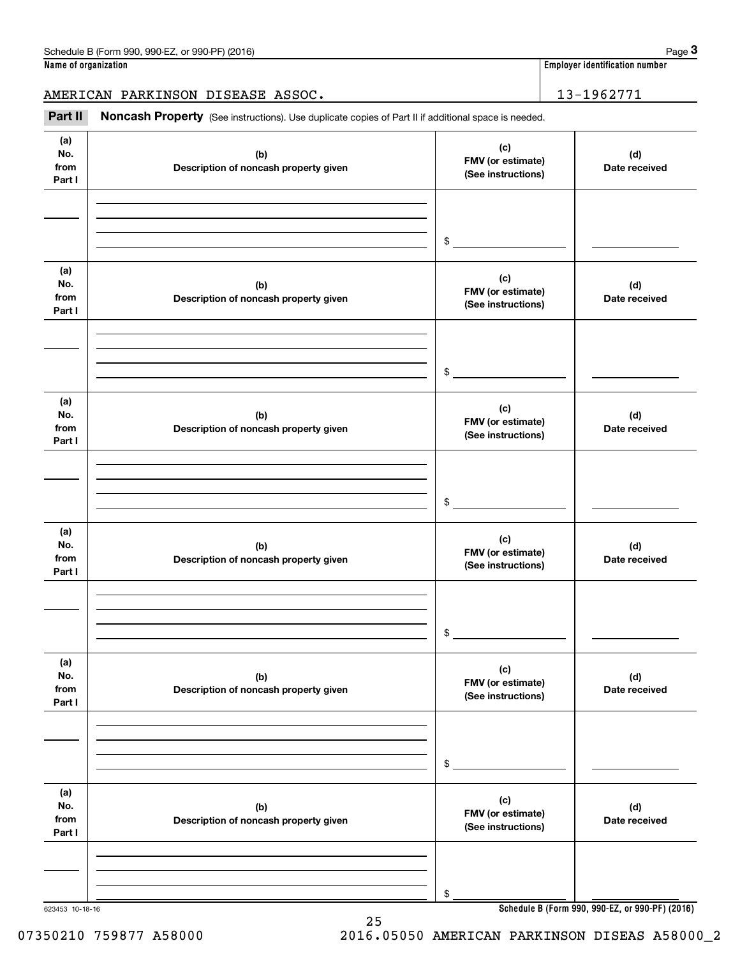|  |  | Name of organization |
|--|--|----------------------|
|--|--|----------------------|

**Employer identification number** 

AMERICAN PARKINSON DISEASE ASSOC. 13-1962771

Chedule B (Form 990, 990-EZ, or 990-PF) (2016)<br> **3 ame of organization**<br> **3 ABRICAN PARKINSON DISEASE ASSOC.**<br> **Part II** Noncash Property (See instructions). Use duplicate copies of Part II if additional space is needed.

| (a)<br>No.<br>from<br>Part I | (b)<br>Description of noncash property given | (c)<br>FMV (or estimate)<br>(See instructions) | (d)<br>Date received |
|------------------------------|----------------------------------------------|------------------------------------------------|----------------------|
|                              |                                              | $\mathfrak s$                                  |                      |
| (a)<br>No.<br>from<br>Part I | (b)<br>Description of noncash property given | (c)<br>FMV (or estimate)<br>(See instructions) | (d)<br>Date received |
|                              |                                              | $\mathfrak s$                                  |                      |
| (a)<br>No.<br>from<br>Part I | (b)<br>Description of noncash property given | (c)<br>FMV (or estimate)<br>(See instructions) | (d)<br>Date received |
|                              |                                              | $\frac{1}{2}$                                  |                      |
| (a)<br>No.<br>from<br>Part I | (b)<br>Description of noncash property given | (c)<br>FMV (or estimate)<br>(See instructions) | (d)<br>Date received |
|                              |                                              | $\sim$                                         |                      |
| (a)<br>No.<br>from<br>Part I | (b)<br>Description of noncash property given | (c)<br>FMV (or estimate)<br>(See instructions) | (d)<br>Date received |
|                              |                                              | $$\mathbb{S}$$                                 |                      |
| (a)<br>No.<br>from<br>Part I | (b)<br>Description of noncash property given | (c)<br>FMV (or estimate)<br>(See instructions) | (d)<br>Date received |
|                              |                                              | \$                                             |                      |

25

623453 10-18-16

**Schedule B (Form 990, 990-EZ, or 990-PF) (2016)**

07350210 759877 A58000 2016.05050 AMERICAN PARKINSON DISEAS A58000\_2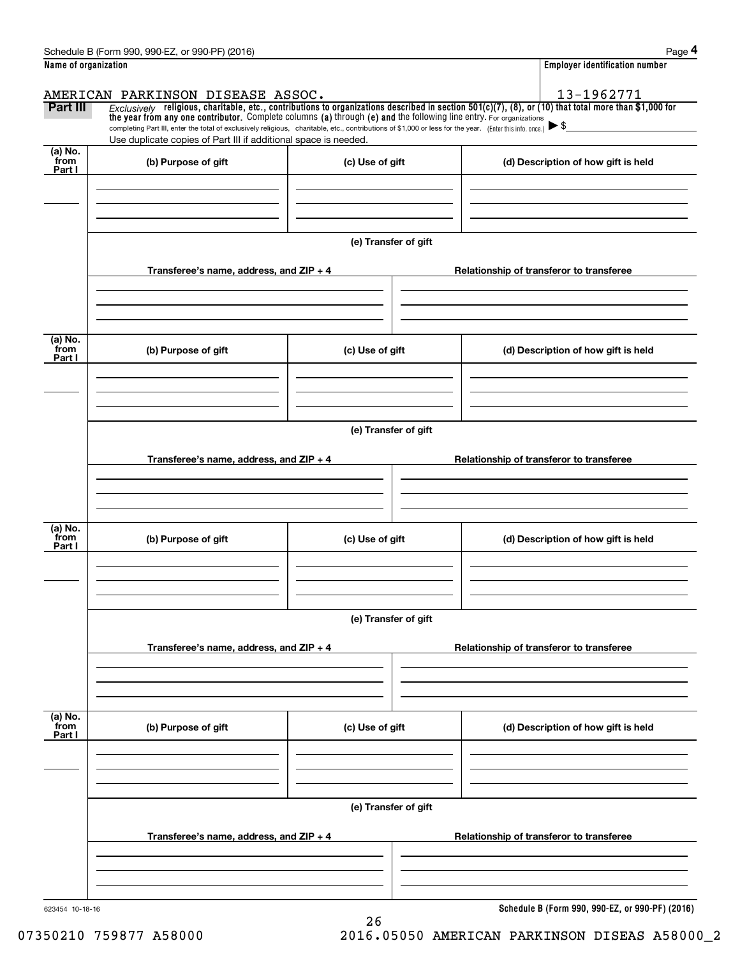|                           | Schedule B (Form 990, 990-EZ, or 990-PF) (2016)                                                                                                                                                                             |                      | Page 4                                                                                                                                                |  |  |  |  |  |
|---------------------------|-----------------------------------------------------------------------------------------------------------------------------------------------------------------------------------------------------------------------------|----------------------|-------------------------------------------------------------------------------------------------------------------------------------------------------|--|--|--|--|--|
| Name of organization      |                                                                                                                                                                                                                             |                      | <b>Employer identification number</b>                                                                                                                 |  |  |  |  |  |
|                           | AMERICAN PARKINSON DISEASE ASSOC.                                                                                                                                                                                           |                      | 13-1962771                                                                                                                                            |  |  |  |  |  |
| Part III                  | the year from any one contributor. Complete columns (a) through (e) and the following line entry. For organizations                                                                                                         |                      | Exclusively religious, charitable, etc., contributions to organizations described in section 501(c)(7), (8), or (10) that total more than \$1,000 for |  |  |  |  |  |
|                           | completing Part III, enter the total of exclusively religious, charitable, etc., contributions of \$1,000 or less for the year. (Enter this info. once.)<br>Use duplicate copies of Part III if additional space is needed. |                      |                                                                                                                                                       |  |  |  |  |  |
| $(a)$ No.                 |                                                                                                                                                                                                                             |                      |                                                                                                                                                       |  |  |  |  |  |
| from<br>Part I            | (b) Purpose of gift                                                                                                                                                                                                         | (c) Use of gift      | (d) Description of how gift is held                                                                                                                   |  |  |  |  |  |
|                           |                                                                                                                                                                                                                             |                      |                                                                                                                                                       |  |  |  |  |  |
|                           |                                                                                                                                                                                                                             | (e) Transfer of gift |                                                                                                                                                       |  |  |  |  |  |
|                           | Transferee's name, address, and $ZIP + 4$                                                                                                                                                                                   |                      | Relationship of transferor to transferee                                                                                                              |  |  |  |  |  |
| (a) No.                   |                                                                                                                                                                                                                             |                      |                                                                                                                                                       |  |  |  |  |  |
| from<br>Part I            | (b) Purpose of gift                                                                                                                                                                                                         | (c) Use of gift      | (d) Description of how gift is held                                                                                                                   |  |  |  |  |  |
|                           |                                                                                                                                                                                                                             |                      |                                                                                                                                                       |  |  |  |  |  |
|                           | (e) Transfer of gift                                                                                                                                                                                                        |                      |                                                                                                                                                       |  |  |  |  |  |
|                           | Transferee's name, address, and $ZIP + 4$                                                                                                                                                                                   |                      | Relationship of transferor to transferee                                                                                                              |  |  |  |  |  |
|                           |                                                                                                                                                                                                                             |                      |                                                                                                                                                       |  |  |  |  |  |
| (a) No.<br>from<br>Part I | (b) Purpose of gift                                                                                                                                                                                                         | (c) Use of gift      | (d) Description of how gift is held                                                                                                                   |  |  |  |  |  |
|                           |                                                                                                                                                                                                                             |                      |                                                                                                                                                       |  |  |  |  |  |
|                           | (e) Transfer of gift                                                                                                                                                                                                        |                      |                                                                                                                                                       |  |  |  |  |  |
|                           | Transferee's name, address, and $ZIP + 4$                                                                                                                                                                                   |                      | Relationship of transferor to transferee                                                                                                              |  |  |  |  |  |
|                           |                                                                                                                                                                                                                             |                      |                                                                                                                                                       |  |  |  |  |  |
| (a) No.<br>from<br>Part I | (b) Purpose of gift                                                                                                                                                                                                         | (c) Use of gift      | (d) Description of how gift is held                                                                                                                   |  |  |  |  |  |
|                           |                                                                                                                                                                                                                             |                      |                                                                                                                                                       |  |  |  |  |  |
|                           |                                                                                                                                                                                                                             | (e) Transfer of gift |                                                                                                                                                       |  |  |  |  |  |
|                           | Transferee's name, address, and $ZIP + 4$                                                                                                                                                                                   |                      | Relationship of transferor to transferee                                                                                                              |  |  |  |  |  |
|                           |                                                                                                                                                                                                                             |                      |                                                                                                                                                       |  |  |  |  |  |
| 623454 10-18-16           |                                                                                                                                                                                                                             |                      | Schedule B (Form 990, 990-EZ, or 990-PF) (2016)                                                                                                       |  |  |  |  |  |

26 07350210 759877 A58000 2016.05050 AMERICAN PARKINSON DISEAS A58000\_2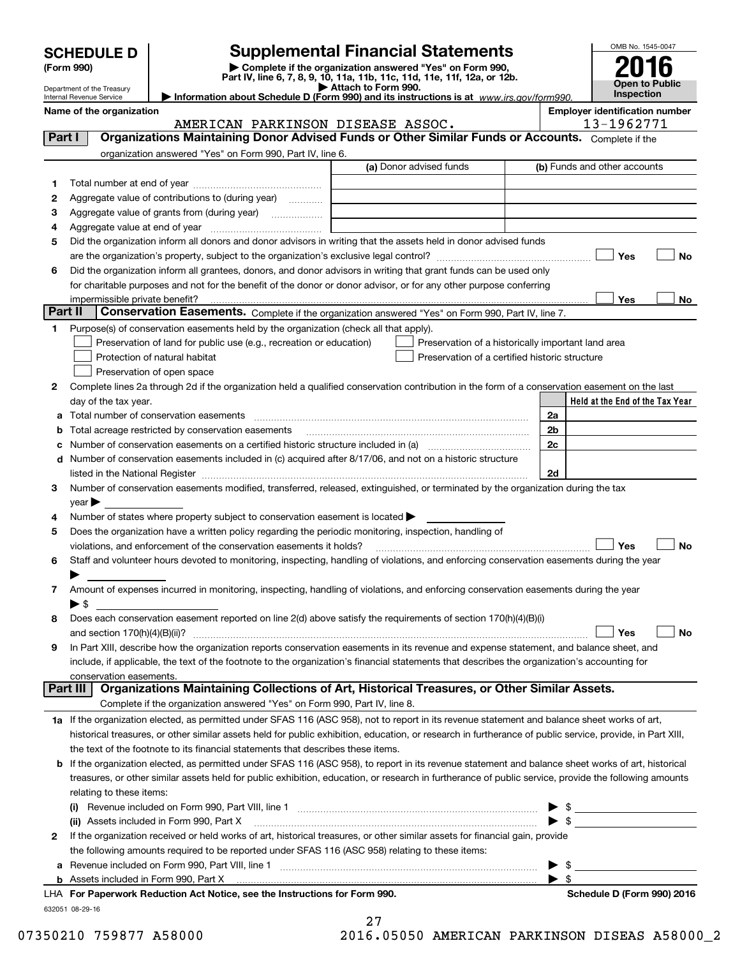| <b>SCHEDULE D</b> |  |
|-------------------|--|
|-------------------|--|

Department of the Treasury Internal Revenue Service

# **Supplemental Financial Statements**

(Form 990)<br>
Pepartment of the Treasury<br>
Department of the Treasury<br>
Department of the Treasury<br>
Information about Schedule D (Form 990) and its instructions is at www.irs.gov/form990.

| OMB No. 1545-0047     |  |  |  |  |  |
|-----------------------|--|--|--|--|--|
| 2016                  |  |  |  |  |  |
|                       |  |  |  |  |  |
| <b>Open to Public</b> |  |  |  |  |  |
| Inspection            |  |  |  |  |  |

| Name of the organization |           | <b>Emplover identification number</b> |
|--------------------------|-----------|---------------------------------------|
|                          | $\lambda$ | 12.1070771                            |

| -- | . |  |        |                |          |    | . |
|----|---|--|--------|----------------|----------|----|---|
|    |   |  | 196277 | $\overline{A}$ | $\prime$ | -1 |   |

|        | AMERICAN PARKINSON DISEASE ASSOC.                                                                                                                                                                                |                         | 13-1962771                                         |
|--------|------------------------------------------------------------------------------------------------------------------------------------------------------------------------------------------------------------------|-------------------------|----------------------------------------------------|
| Part I | Organizations Maintaining Donor Advised Funds or Other Similar Funds or Accounts. Complete if the                                                                                                                |                         |                                                    |
|        | organization answered "Yes" on Form 990, Part IV, line 6.                                                                                                                                                        |                         |                                                    |
|        |                                                                                                                                                                                                                  | (a) Donor advised funds | (b) Funds and other accounts                       |
| 1      |                                                                                                                                                                                                                  |                         |                                                    |
| 2      | Aggregate value of contributions to (during year)                                                                                                                                                                |                         |                                                    |
| з      | Aggregate value of grants from (during year)<br>$\overline{\phantom{a}}$                                                                                                                                         |                         |                                                    |
| 4      |                                                                                                                                                                                                                  |                         |                                                    |
| 5      | Did the organization inform all donors and donor advisors in writing that the assets held in donor advised funds                                                                                                 |                         |                                                    |
|        |                                                                                                                                                                                                                  |                         | Yes<br>No                                          |
| 6      | Did the organization inform all grantees, donors, and donor advisors in writing that grant funds can be used only                                                                                                |                         |                                                    |
|        | for charitable purposes and not for the benefit of the donor or donor advisor, or for any other purpose conferring                                                                                               |                         |                                                    |
|        | impermissible private benefit?                                                                                                                                                                                   |                         | Yes<br>No                                          |
|        | Part II<br>Conservation Easements. Complete if the organization answered "Yes" on Form 990, Part IV, line 7.                                                                                                     |                         |                                                    |
| 1      | Purpose(s) of conservation easements held by the organization (check all that apply).                                                                                                                            |                         |                                                    |
|        | Preservation of land for public use (e.g., recreation or education)                                                                                                                                              |                         | Preservation of a historically important land area |
|        | Protection of natural habitat                                                                                                                                                                                    |                         | Preservation of a certified historic structure     |
|        | Preservation of open space                                                                                                                                                                                       |                         |                                                    |
| 2      | Complete lines 2a through 2d if the organization held a qualified conservation contribution in the form of a conservation easement on the last                                                                   |                         |                                                    |
|        | day of the tax year.                                                                                                                                                                                             |                         | Held at the End of the Tax Year                    |
| а      | Total number of conservation easements                                                                                                                                                                           |                         | 2a                                                 |
|        | Total acreage restricted by conservation easements                                                                                                                                                               |                         | 2b                                                 |
|        | Number of conservation easements on a certified historic structure included in (a) manufacture included in (a)                                                                                                   |                         | 2c                                                 |
| d      | Number of conservation easements included in (c) acquired after 8/17/06, and not on a historic structure                                                                                                         |                         |                                                    |
|        | listed in the National Register [111] [12] The Manuscript of the National Property of the National Register [11                                                                                                  |                         | 2d                                                 |
| 3      | Number of conservation easements modified, transferred, released, extinguished, or terminated by the organization during the tax                                                                                 |                         |                                                    |
|        | year                                                                                                                                                                                                             |                         |                                                    |
| 4      | Number of states where property subject to conservation easement is located >                                                                                                                                    |                         |                                                    |
| 5      | Does the organization have a written policy regarding the periodic monitoring, inspection, handling of                                                                                                           |                         |                                                    |
|        | violations, and enforcement of the conservation easements it holds?<br>Staff and volunteer hours devoted to monitoring, inspecting, handling of violations, and enforcing conservation easements during the year |                         | Yes<br>No                                          |
| 6      |                                                                                                                                                                                                                  |                         |                                                    |
| 7      | Amount of expenses incurred in monitoring, inspecting, handling of violations, and enforcing conservation easements during the year                                                                              |                         |                                                    |
|        | ► \$                                                                                                                                                                                                             |                         |                                                    |
| 8      | Does each conservation easement reported on line 2(d) above satisfy the requirements of section 170(h)(4)(B)(i)                                                                                                  |                         |                                                    |
|        | and section $170(h)(4)(B)(ii)?$                                                                                                                                                                                  |                         | No<br>Yes                                          |
| 9      | In Part XIII, describe how the organization reports conservation easements in its revenue and expense statement, and balance sheet, and                                                                          |                         |                                                    |
|        | include, if applicable, the text of the footnote to the organization's financial statements that describes the organization's accounting for                                                                     |                         |                                                    |
|        | conservation easements.                                                                                                                                                                                          |                         |                                                    |
|        | Organizations Maintaining Collections of Art, Historical Treasures, or Other Similar Assets.<br>Part III                                                                                                         |                         |                                                    |
|        | Complete if the organization answered "Yes" on Form 990, Part IV, line 8.                                                                                                                                        |                         |                                                    |
|        | 1a If the organization elected, as permitted under SFAS 116 (ASC 958), not to report in its revenue statement and balance sheet works of art,                                                                    |                         |                                                    |
|        | historical treasures, or other similar assets held for public exhibition, education, or research in furtherance of public service, provide, in Part XIII,                                                        |                         |                                                    |
|        | the text of the footnote to its financial statements that describes these items.                                                                                                                                 |                         |                                                    |
|        | <b>b</b> If the organization elected, as permitted under SFAS 116 (ASC 958), to report in its revenue statement and balance sheet works of art, historical                                                       |                         |                                                    |
|        | treasures, or other similar assets held for public exhibition, education, or research in furtherance of public service, provide the following amounts                                                            |                         |                                                    |
|        | relating to these items:                                                                                                                                                                                         |                         |                                                    |
|        |                                                                                                                                                                                                                  |                         |                                                    |
|        | (ii) Assets included in Form 990, Part X                                                                                                                                                                         |                         | $\blacktriangleright$ \$                           |
| 2      | If the organization received or held works of art, historical treasures, or other similar assets for financial gain, provide                                                                                     |                         |                                                    |
|        | the following amounts required to be reported under SFAS 116 (ASC 958) relating to these items:                                                                                                                  |                         |                                                    |
|        | Revenue included on Form 990, Part VIII, line 1 [2000] [2000] [2000] [2000] [3000] [3000] [3000] [3000] [3000                                                                                                    |                         | - \$                                               |
|        |                                                                                                                                                                                                                  |                         | $\blacktriangleright$ \$                           |

| LHA For Paperwork Reduction Act Notice, see the Instructions for Form 990 |  |  |  |
|---------------------------------------------------------------------------|--|--|--|
| 632051 08-29-16                                                           |  |  |  |

27 07350210 759877 A58000 2016.05050 AMERICAN PARKINSON DISEAS A58000\_2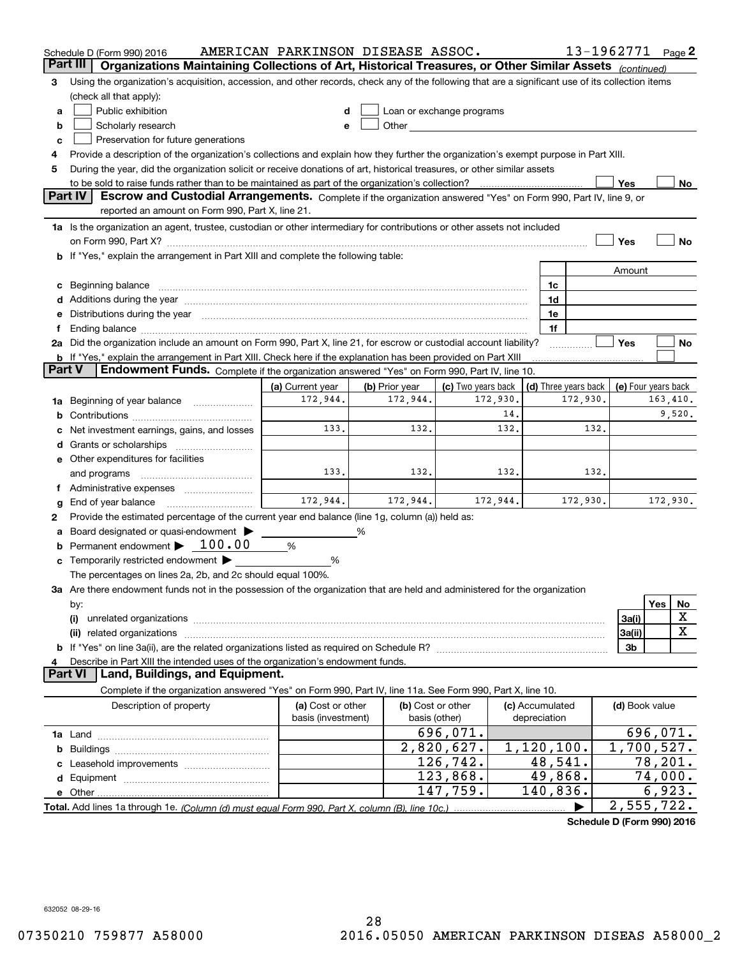|        | Schedule D (Form 990) 2016                                                                                                                                                                                                     | AMERICAN PARKINSON DISEASE ASSOC. |                |                                                                                                                                                                                                                               |                 |                      | 13-1962771 Page 2   |          |                  |
|--------|--------------------------------------------------------------------------------------------------------------------------------------------------------------------------------------------------------------------------------|-----------------------------------|----------------|-------------------------------------------------------------------------------------------------------------------------------------------------------------------------------------------------------------------------------|-----------------|----------------------|---------------------|----------|------------------|
|        | Part III<br>Organizations Maintaining Collections of Art, Historical Treasures, or Other Similar Assets (continued)                                                                                                            |                                   |                |                                                                                                                                                                                                                               |                 |                      |                     |          |                  |
| з      | Using the organization's acquisition, accession, and other records, check any of the following that are a significant use of its collection items                                                                              |                                   |                |                                                                                                                                                                                                                               |                 |                      |                     |          |                  |
|        | (check all that apply):                                                                                                                                                                                                        |                                   |                |                                                                                                                                                                                                                               |                 |                      |                     |          |                  |
| a      | Public exhibition                                                                                                                                                                                                              |                                   |                | Loan or exchange programs                                                                                                                                                                                                     |                 |                      |                     |          |                  |
| b      | Scholarly research                                                                                                                                                                                                             |                                   |                | Other and the contract of the contract of the contract of the contract of the contract of the contract of the contract of the contract of the contract of the contract of the contract of the contract of the contract of the |                 |                      |                     |          |                  |
| c      | Preservation for future generations                                                                                                                                                                                            |                                   |                |                                                                                                                                                                                                                               |                 |                      |                     |          |                  |
| 4      | Provide a description of the organization's collections and explain how they further the organization's exempt purpose in Part XIII.                                                                                           |                                   |                |                                                                                                                                                                                                                               |                 |                      |                     |          |                  |
| 5      | During the year, did the organization solicit or receive donations of art, historical treasures, or other similar assets                                                                                                       |                                   |                |                                                                                                                                                                                                                               |                 |                      |                     |          |                  |
|        | to be sold to raise funds rather than to be maintained as part of the organization's collection?                                                                                                                               |                                   |                |                                                                                                                                                                                                                               |                 |                      | Yes                 |          | No               |
|        | <b>Part IV</b><br>Escrow and Custodial Arrangements. Complete if the organization answered "Yes" on Form 990, Part IV, line 9, or                                                                                              |                                   |                |                                                                                                                                                                                                                               |                 |                      |                     |          |                  |
|        | reported an amount on Form 990, Part X, line 21.                                                                                                                                                                               |                                   |                |                                                                                                                                                                                                                               |                 |                      |                     |          |                  |
|        | 1a Is the organization an agent, trustee, custodian or other intermediary for contributions or other assets not included                                                                                                       |                                   |                |                                                                                                                                                                                                                               |                 |                      |                     |          |                  |
|        |                                                                                                                                                                                                                                |                                   |                |                                                                                                                                                                                                                               |                 |                      | Yes                 |          | No               |
|        | b If "Yes," explain the arrangement in Part XIII and complete the following table:                                                                                                                                             |                                   |                |                                                                                                                                                                                                                               |                 |                      |                     |          |                  |
|        |                                                                                                                                                                                                                                |                                   |                |                                                                                                                                                                                                                               |                 |                      | Amount              |          |                  |
| c      | Beginning balance material content contracts and content and content and content and content and content and content and content and content and content and content and content and content and content and content and conte |                                   |                |                                                                                                                                                                                                                               | 1c<br>1d        |                      |                     |          |                  |
| е      | Distributions during the year manufactured and an account of the state of the state of the state of the state o                                                                                                                |                                   |                |                                                                                                                                                                                                                               | 1e              |                      |                     |          |                  |
| Ť.     | Ending balance manufacture contracts and the contracts of the contracts of the contracts of the contracts of the contracts of the contracts of the contracts of the contracts of the contracts of the contracts of the contrac |                                   |                |                                                                                                                                                                                                                               | 1f              |                      |                     |          |                  |
|        | 2a Did the organization include an amount on Form 990, Part X, line 21, for escrow or custodial account liability?                                                                                                             |                                   |                |                                                                                                                                                                                                                               |                 |                      | Yes                 |          | No               |
|        | <b>b</b> If "Yes," explain the arrangement in Part XIII. Check here if the explanation has been provided on Part XIII                                                                                                          |                                   |                |                                                                                                                                                                                                                               |                 |                      |                     |          |                  |
| Part V | Endowment Funds. Complete if the organization answered "Yes" on Form 990, Part IV, line 10.                                                                                                                                    |                                   |                |                                                                                                                                                                                                                               |                 |                      |                     |          |                  |
|        |                                                                                                                                                                                                                                | (a) Current year                  | (b) Prior year | (c) Two years back                                                                                                                                                                                                            |                 | (d) Three years back | (e) Four years back |          |                  |
| 1a     | Beginning of year balance                                                                                                                                                                                                      | 172,944.                          | 172,944.       | 172,930.                                                                                                                                                                                                                      |                 | 172,930.             |                     | 163,410. |                  |
| b      |                                                                                                                                                                                                                                |                                   |                | 14.                                                                                                                                                                                                                           |                 |                      |                     |          | 9,520.           |
|        | Net investment earnings, gains, and losses                                                                                                                                                                                     | 133.                              | 132.           | 132.                                                                                                                                                                                                                          |                 | 132.                 |                     |          |                  |
| d      |                                                                                                                                                                                                                                |                                   |                |                                                                                                                                                                                                                               |                 |                      |                     |          |                  |
|        | e Other expenditures for facilities                                                                                                                                                                                            |                                   |                |                                                                                                                                                                                                                               |                 |                      |                     |          |                  |
|        | and programs                                                                                                                                                                                                                   | 133.                              | 132.           | 132.                                                                                                                                                                                                                          |                 | 132.                 |                     |          |                  |
|        | f Administrative expenses                                                                                                                                                                                                      |                                   |                |                                                                                                                                                                                                                               |                 |                      |                     |          |                  |
| g      | End of year balance                                                                                                                                                                                                            | 172,944.                          | 172,944.       | 172,944.                                                                                                                                                                                                                      |                 | 172,930.             |                     | 172,930. |                  |
| 2      | Provide the estimated percentage of the current year end balance (line 1g, column (a)) held as:                                                                                                                                |                                   |                |                                                                                                                                                                                                                               |                 |                      |                     |          |                  |
| а      | Board designated or quasi-endowment                                                                                                                                                                                            |                                   | %              |                                                                                                                                                                                                                               |                 |                      |                     |          |                  |
| b      | Permanent endowment $\blacktriangleright$ 100.00                                                                                                                                                                               | %                                 |                |                                                                                                                                                                                                                               |                 |                      |                     |          |                  |
|        | Temporarily restricted endowment                                                                                                                                                                                               | %                                 |                |                                                                                                                                                                                                                               |                 |                      |                     |          |                  |
|        | The percentages on lines 2a, 2b, and 2c should equal 100%.                                                                                                                                                                     |                                   |                |                                                                                                                                                                                                                               |                 |                      |                     |          |                  |
|        | 3a Are there endowment funds not in the possession of the organization that are held and administered for the organization                                                                                                     |                                   |                |                                                                                                                                                                                                                               |                 |                      |                     |          |                  |
|        | by:                                                                                                                                                                                                                            |                                   |                |                                                                                                                                                                                                                               |                 |                      |                     | Yes      | No               |
|        | (i)                                                                                                                                                                                                                            |                                   |                |                                                                                                                                                                                                                               |                 |                      | 3a(i)               |          | X<br>$\mathbf X$ |
|        | (ii) related organizations                                                                                                                                                                                                     |                                   |                |                                                                                                                                                                                                                               |                 |                      | 3a(ii)              |          |                  |
|        |                                                                                                                                                                                                                                |                                   |                |                                                                                                                                                                                                                               |                 |                      | 3b                  |          |                  |
| 4      | Describe in Part XIII the intended uses of the organization's endowment funds.<br>Land, Buildings, and Equipment.<br>Part VI                                                                                                   |                                   |                |                                                                                                                                                                                                                               |                 |                      |                     |          |                  |
|        | Complete if the organization answered "Yes" on Form 990, Part IV, line 11a. See Form 990, Part X, line 10.                                                                                                                     |                                   |                |                                                                                                                                                                                                                               |                 |                      |                     |          |                  |
|        | Description of property                                                                                                                                                                                                        | (a) Cost or other                 |                | (b) Cost or other                                                                                                                                                                                                             | (c) Accumulated |                      | (d) Book value      |          |                  |
|        |                                                                                                                                                                                                                                | basis (investment)                |                | basis (other)                                                                                                                                                                                                                 | depreciation    |                      |                     |          |                  |
|        |                                                                                                                                                                                                                                |                                   |                | 696,071.                                                                                                                                                                                                                      |                 |                      |                     | 696,071. |                  |
| b      |                                                                                                                                                                                                                                |                                   |                | 2,820,627.                                                                                                                                                                                                                    | 1,120,100.      |                      | 1,700,527.          |          |                  |
|        |                                                                                                                                                                                                                                |                                   |                | 126,742.                                                                                                                                                                                                                      |                 | 48,541.              |                     | 78,201.  |                  |
|        |                                                                                                                                                                                                                                |                                   |                | 123,868.                                                                                                                                                                                                                      |                 | 49,868.              |                     | 74,000.  |                  |
|        |                                                                                                                                                                                                                                |                                   |                | 147,759.                                                                                                                                                                                                                      | 140,836.        |                      |                     | 6,923.   |                  |
|        |                                                                                                                                                                                                                                |                                   |                |                                                                                                                                                                                                                               |                 |                      | 2,555,722.          |          |                  |
|        |                                                                                                                                                                                                                                |                                   |                |                                                                                                                                                                                                                               |                 |                      |                     |          |                  |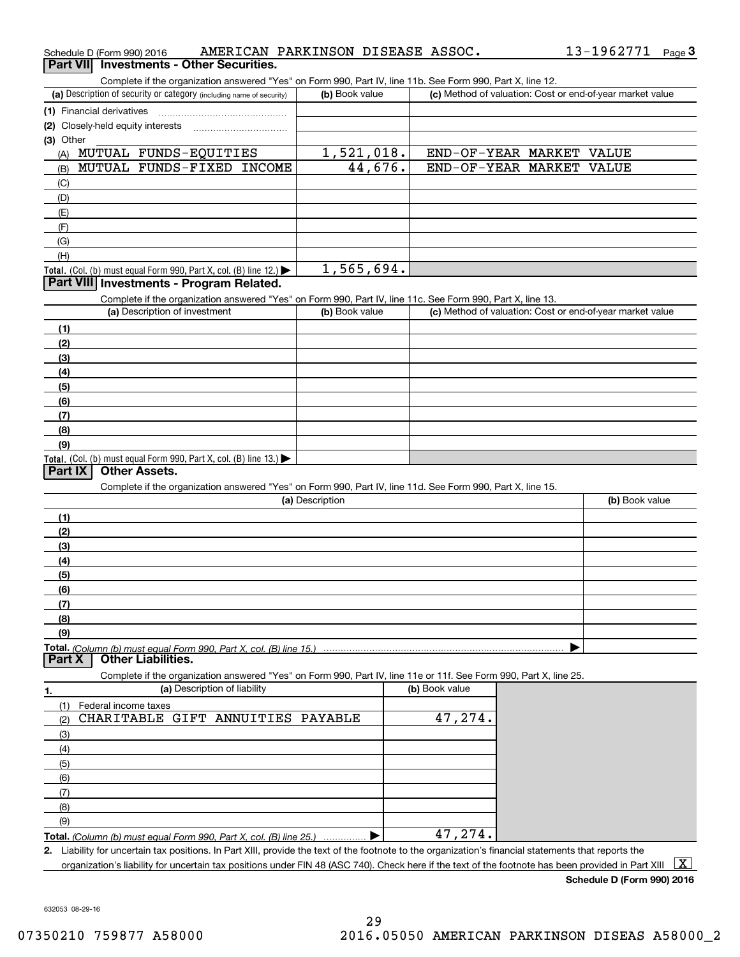|                 | Schedule D (Form 990) 2016        | AMERICAN PARKINSON DISEASE ASSOC.                                                                                                                    |                 |                |                                                           | 13-1962771 Page 3 |              |
|-----------------|-----------------------------------|------------------------------------------------------------------------------------------------------------------------------------------------------|-----------------|----------------|-----------------------------------------------------------|-------------------|--------------|
| <b>Part VII</b> |                                   | <b>Investments - Other Securities.</b>                                                                                                               |                 |                |                                                           |                   |              |
|                 |                                   | Complete if the organization answered "Yes" on Form 990, Part IV, line 11b. See Form 990, Part X, line 12.                                           |                 |                |                                                           |                   |              |
|                 |                                   | (a) Description of security or category (including name of security)                                                                                 | (b) Book value  |                | (c) Method of valuation: Cost or end-of-year market value |                   |              |
|                 | (1) Financial derivatives         |                                                                                                                                                      |                 |                |                                                           |                   |              |
|                 | (2) Closely-held equity interests |                                                                                                                                                      |                 |                |                                                           |                   |              |
| (3) Other       |                                   |                                                                                                                                                      |                 |                |                                                           |                   |              |
| (A)             |                                   | MUTUAL FUNDS-EQUITIES                                                                                                                                | 1,521,018.      |                | END-OF-YEAR MARKET VALUE                                  |                   |              |
| (B)             |                                   | MUTUAL FUNDS-FIXED INCOME                                                                                                                            | 44,676.         |                | END-OF-YEAR MARKET VALUE                                  |                   |              |
| (C)             |                                   |                                                                                                                                                      |                 |                |                                                           |                   |              |
| (D)             |                                   |                                                                                                                                                      |                 |                |                                                           |                   |              |
| (E)             |                                   |                                                                                                                                                      |                 |                |                                                           |                   |              |
| (F)             |                                   |                                                                                                                                                      |                 |                |                                                           |                   |              |
| (G)             |                                   |                                                                                                                                                      |                 |                |                                                           |                   |              |
| (H)             |                                   |                                                                                                                                                      | 1,565,694.      |                |                                                           |                   |              |
|                 |                                   | <b>Total.</b> (Col. (b) must equal Form 990, Part X, col. (B) line 12.)<br>Part VIII Investments - Program Related.                                  |                 |                |                                                           |                   |              |
|                 |                                   | Complete if the organization answered "Yes" on Form 990, Part IV, line 11c. See Form 990, Part X, line 13.                                           |                 |                |                                                           |                   |              |
|                 |                                   | (a) Description of investment                                                                                                                        | (b) Book value  |                | (c) Method of valuation: Cost or end-of-year market value |                   |              |
| (1)             |                                   |                                                                                                                                                      |                 |                |                                                           |                   |              |
| (2)             |                                   |                                                                                                                                                      |                 |                |                                                           |                   |              |
| (3)             |                                   |                                                                                                                                                      |                 |                |                                                           |                   |              |
| (4)             |                                   |                                                                                                                                                      |                 |                |                                                           |                   |              |
| (5)             |                                   |                                                                                                                                                      |                 |                |                                                           |                   |              |
| (6)             |                                   |                                                                                                                                                      |                 |                |                                                           |                   |              |
| (7)             |                                   |                                                                                                                                                      |                 |                |                                                           |                   |              |
| (8)             |                                   |                                                                                                                                                      |                 |                |                                                           |                   |              |
| (9)             |                                   |                                                                                                                                                      |                 |                |                                                           |                   |              |
|                 |                                   | Total. (Col. (b) must equal Form 990, Part X, col. (B) line 13.) $\blacktriangleright$                                                               |                 |                |                                                           |                   |              |
| <b>Part IX</b>  |                                   | <b>Other Assets.</b>                                                                                                                                 |                 |                |                                                           |                   |              |
|                 |                                   | Complete if the organization answered "Yes" on Form 990, Part IV, line 11d. See Form 990, Part X, line 15.                                           |                 |                |                                                           |                   |              |
|                 |                                   |                                                                                                                                                      | (a) Description |                |                                                           | (b) Book value    |              |
| (1)             |                                   |                                                                                                                                                      |                 |                |                                                           |                   |              |
| (2)             |                                   |                                                                                                                                                      |                 |                |                                                           |                   |              |
| (3)             |                                   |                                                                                                                                                      |                 |                |                                                           |                   |              |
| (4)             |                                   |                                                                                                                                                      |                 |                |                                                           |                   |              |
| (5)             |                                   |                                                                                                                                                      |                 |                |                                                           |                   |              |
| (6)             |                                   |                                                                                                                                                      |                 |                |                                                           |                   |              |
| (7)             |                                   |                                                                                                                                                      |                 |                |                                                           |                   |              |
| (8)<br>(9)      |                                   |                                                                                                                                                      |                 |                |                                                           |                   |              |
|                 |                                   |                                                                                                                                                      |                 |                |                                                           |                   |              |
| <b>Part X</b>   |                                   | Total. (Column (b) must equal Form 990. Part X. col. (B) line 15.)<br><b>Other Liabilities.</b>                                                      |                 |                |                                                           |                   |              |
|                 |                                   | Complete if the organization answered "Yes" on Form 990, Part IV, line 11e or 11f. See Form 990, Part X, line 25.                                    |                 |                |                                                           |                   |              |
| 1.              |                                   | (a) Description of liability                                                                                                                         |                 | (b) Book value |                                                           |                   |              |
| (1)             | Federal income taxes              |                                                                                                                                                      |                 |                |                                                           |                   |              |
| (2)             |                                   | CHARITABLE GIFT ANNUITIES PAYABLE                                                                                                                    |                 | 47,274.        |                                                           |                   |              |
| (3)             |                                   |                                                                                                                                                      |                 |                |                                                           |                   |              |
| (4)             |                                   |                                                                                                                                                      |                 |                |                                                           |                   |              |
| (5)             |                                   |                                                                                                                                                      |                 |                |                                                           |                   |              |
| (6)             |                                   |                                                                                                                                                      |                 |                |                                                           |                   |              |
| (7)             |                                   |                                                                                                                                                      |                 |                |                                                           |                   |              |
| (8)             |                                   |                                                                                                                                                      |                 |                |                                                           |                   |              |
| (9)             |                                   |                                                                                                                                                      |                 |                |                                                           |                   |              |
|                 |                                   | Total. (Column (b) must equal Form 990. Part X, col. (B) line 25.)                                                                                   |                 | 47,274.        |                                                           |                   |              |
|                 |                                   | 2. Liability for uncertain tax positions. In Part XIII, provide the text of the footnote to the organization's financial statements that reports the |                 |                |                                                           |                   |              |
|                 |                                   | organization's liability for uncertain tax positions under FIN 48 (ASC 740). Check here if the text of the footnote has been provided in Part XIII   |                 |                |                                                           |                   | $\mathbf{X}$ |

**Schedule D (Form 990) 2016**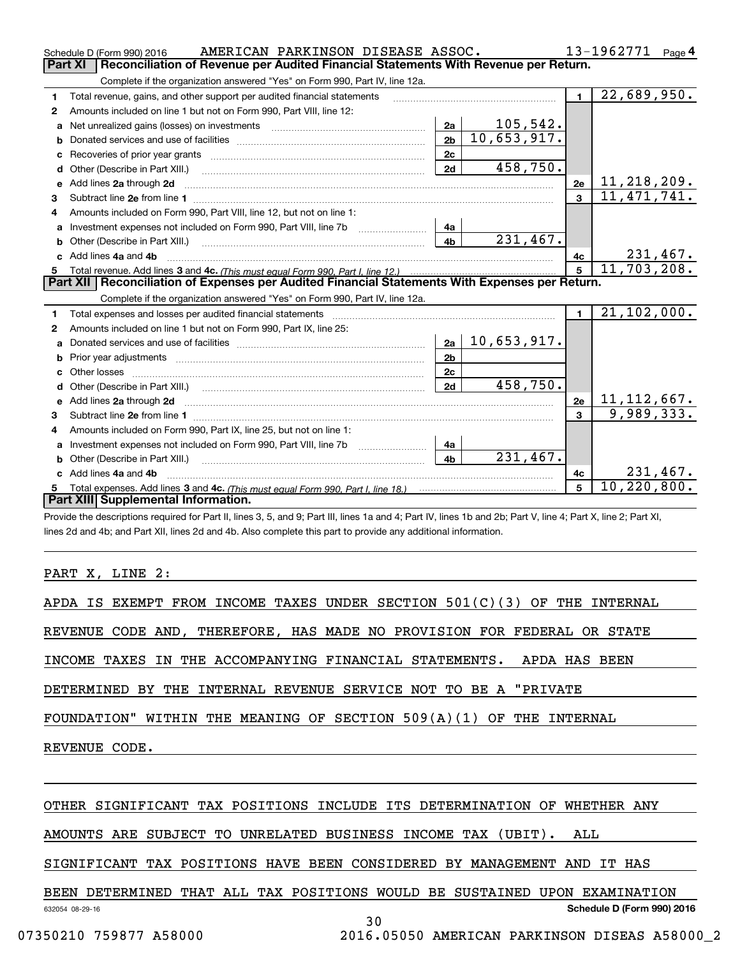| Complete if the organization answered "Yes" on Form 990, Part IV, line 12a.<br>$\overline{22}$ , 689, 950.<br>$\blacksquare$<br>Total revenue, gains, and other support per audited financial statements<br>1<br>Amounts included on line 1 but not on Form 990, Part VIII, line 12:<br>2<br>105,542.<br>2a<br>Net unrealized gains (losses) on investments [11] matter contracts and the unrealized gains (losses) on investments<br>a<br>$\overline{10,653,917}$ .<br>2 <sub>b</sub><br>b<br>2c<br>458,750.<br>2d<br>11, 218, 209.<br>Add lines 2a through 2d<br>2e<br>е<br>$\overline{11, 471, 741.}$<br>$\overline{3}$<br>3<br>Amounts included on Form 990, Part VIII, line 12, but not on line 1:<br>4<br>Investment expenses not included on Form 990, Part VIII, line 7b [111] [11] Investment expenses not included on Form 990, Part VIII, line 7b<br>4a<br>a<br>231,467.<br>4 <sub>b</sub><br>231,467.<br>c Add lines 4a and 4b<br>4с<br>11,703,208.<br>5 <sup>1</sup><br>Part XII   Reconciliation of Expenses per Audited Financial Statements With Expenses per Return.<br>Complete if the organization answered "Yes" on Form 990, Part IV, line 12a.<br>21, 102, 000.<br>$\blacksquare$<br>Total expenses and losses per audited financial statements [11] [12] manuscription and contract the statements [13] manuscription and the statements [13] manuscription and the statements and the statements and the statemen<br>1<br>Amounts included on line 1 but not on Form 990, Part IX, line 25:<br>2<br>10,653,917.<br>2a<br>a<br>2 <sub>b</sub><br>b<br>2 <sub>c</sub><br>Other losses<br>458,750.<br>2d<br>d<br><u>11, 112, 667.</u><br>Add lines 2a through 2d<br>2e<br>e<br>9,989,333.<br>$\mathbf{a}$<br>Amounts included on Form 990, Part IX, line 25, but not on line 1:<br>4<br>Investment expenses not included on Form 990, Part VIII, line 7b [100] [100] [100] [100] [100] [100] [100] [10<br>4a<br>a<br>$\overline{231,467}$ .<br>4 <sub>b</sub><br>Other (Describe in Part XIII.)<br>b<br>231,467.<br>c Add lines 4a and 4b<br>4 <sub>c</sub><br>10, 220, 800.<br>5<br>5<br>Part XIII Supplemental Information. | AMERICAN PARKINSON DISEASE ASSOC.<br>Schedule D (Form 990) 2016                                       |  | 13-1962771<br>Page $4$ |  |  |  |  |  |  |
|----------------------------------------------------------------------------------------------------------------------------------------------------------------------------------------------------------------------------------------------------------------------------------------------------------------------------------------------------------------------------------------------------------------------------------------------------------------------------------------------------------------------------------------------------------------------------------------------------------------------------------------------------------------------------------------------------------------------------------------------------------------------------------------------------------------------------------------------------------------------------------------------------------------------------------------------------------------------------------------------------------------------------------------------------------------------------------------------------------------------------------------------------------------------------------------------------------------------------------------------------------------------------------------------------------------------------------------------------------------------------------------------------------------------------------------------------------------------------------------------------------------------------------------------------------------------------------------------------------------------------------------------------------------------------------------------------------------------------------------------------------------------------------------------------------------------------------------------------------------------------------------------------------------------------------------------------------------------------------------------------------------------------------------------------------------------------------------------------------------------------------------------------|-------------------------------------------------------------------------------------------------------|--|------------------------|--|--|--|--|--|--|
|                                                                                                                                                                                                                                                                                                                                                                                                                                                                                                                                                                                                                                                                                                                                                                                                                                                                                                                                                                                                                                                                                                                                                                                                                                                                                                                                                                                                                                                                                                                                                                                                                                                                                                                                                                                                                                                                                                                                                                                                                                                                                                                                                    | <b>Part XI</b><br>Reconciliation of Revenue per Audited Financial Statements With Revenue per Return. |  |                        |  |  |  |  |  |  |
|                                                                                                                                                                                                                                                                                                                                                                                                                                                                                                                                                                                                                                                                                                                                                                                                                                                                                                                                                                                                                                                                                                                                                                                                                                                                                                                                                                                                                                                                                                                                                                                                                                                                                                                                                                                                                                                                                                                                                                                                                                                                                                                                                    |                                                                                                       |  |                        |  |  |  |  |  |  |
|                                                                                                                                                                                                                                                                                                                                                                                                                                                                                                                                                                                                                                                                                                                                                                                                                                                                                                                                                                                                                                                                                                                                                                                                                                                                                                                                                                                                                                                                                                                                                                                                                                                                                                                                                                                                                                                                                                                                                                                                                                                                                                                                                    |                                                                                                       |  |                        |  |  |  |  |  |  |
|                                                                                                                                                                                                                                                                                                                                                                                                                                                                                                                                                                                                                                                                                                                                                                                                                                                                                                                                                                                                                                                                                                                                                                                                                                                                                                                                                                                                                                                                                                                                                                                                                                                                                                                                                                                                                                                                                                                                                                                                                                                                                                                                                    |                                                                                                       |  |                        |  |  |  |  |  |  |
|                                                                                                                                                                                                                                                                                                                                                                                                                                                                                                                                                                                                                                                                                                                                                                                                                                                                                                                                                                                                                                                                                                                                                                                                                                                                                                                                                                                                                                                                                                                                                                                                                                                                                                                                                                                                                                                                                                                                                                                                                                                                                                                                                    |                                                                                                       |  |                        |  |  |  |  |  |  |
|                                                                                                                                                                                                                                                                                                                                                                                                                                                                                                                                                                                                                                                                                                                                                                                                                                                                                                                                                                                                                                                                                                                                                                                                                                                                                                                                                                                                                                                                                                                                                                                                                                                                                                                                                                                                                                                                                                                                                                                                                                                                                                                                                    |                                                                                                       |  |                        |  |  |  |  |  |  |
|                                                                                                                                                                                                                                                                                                                                                                                                                                                                                                                                                                                                                                                                                                                                                                                                                                                                                                                                                                                                                                                                                                                                                                                                                                                                                                                                                                                                                                                                                                                                                                                                                                                                                                                                                                                                                                                                                                                                                                                                                                                                                                                                                    |                                                                                                       |  |                        |  |  |  |  |  |  |
|                                                                                                                                                                                                                                                                                                                                                                                                                                                                                                                                                                                                                                                                                                                                                                                                                                                                                                                                                                                                                                                                                                                                                                                                                                                                                                                                                                                                                                                                                                                                                                                                                                                                                                                                                                                                                                                                                                                                                                                                                                                                                                                                                    |                                                                                                       |  |                        |  |  |  |  |  |  |
|                                                                                                                                                                                                                                                                                                                                                                                                                                                                                                                                                                                                                                                                                                                                                                                                                                                                                                                                                                                                                                                                                                                                                                                                                                                                                                                                                                                                                                                                                                                                                                                                                                                                                                                                                                                                                                                                                                                                                                                                                                                                                                                                                    |                                                                                                       |  |                        |  |  |  |  |  |  |
|                                                                                                                                                                                                                                                                                                                                                                                                                                                                                                                                                                                                                                                                                                                                                                                                                                                                                                                                                                                                                                                                                                                                                                                                                                                                                                                                                                                                                                                                                                                                                                                                                                                                                                                                                                                                                                                                                                                                                                                                                                                                                                                                                    |                                                                                                       |  |                        |  |  |  |  |  |  |
|                                                                                                                                                                                                                                                                                                                                                                                                                                                                                                                                                                                                                                                                                                                                                                                                                                                                                                                                                                                                                                                                                                                                                                                                                                                                                                                                                                                                                                                                                                                                                                                                                                                                                                                                                                                                                                                                                                                                                                                                                                                                                                                                                    |                                                                                                       |  |                        |  |  |  |  |  |  |
|                                                                                                                                                                                                                                                                                                                                                                                                                                                                                                                                                                                                                                                                                                                                                                                                                                                                                                                                                                                                                                                                                                                                                                                                                                                                                                                                                                                                                                                                                                                                                                                                                                                                                                                                                                                                                                                                                                                                                                                                                                                                                                                                                    |                                                                                                       |  |                        |  |  |  |  |  |  |
|                                                                                                                                                                                                                                                                                                                                                                                                                                                                                                                                                                                                                                                                                                                                                                                                                                                                                                                                                                                                                                                                                                                                                                                                                                                                                                                                                                                                                                                                                                                                                                                                                                                                                                                                                                                                                                                                                                                                                                                                                                                                                                                                                    |                                                                                                       |  |                        |  |  |  |  |  |  |
|                                                                                                                                                                                                                                                                                                                                                                                                                                                                                                                                                                                                                                                                                                                                                                                                                                                                                                                                                                                                                                                                                                                                                                                                                                                                                                                                                                                                                                                                                                                                                                                                                                                                                                                                                                                                                                                                                                                                                                                                                                                                                                                                                    |                                                                                                       |  |                        |  |  |  |  |  |  |
|                                                                                                                                                                                                                                                                                                                                                                                                                                                                                                                                                                                                                                                                                                                                                                                                                                                                                                                                                                                                                                                                                                                                                                                                                                                                                                                                                                                                                                                                                                                                                                                                                                                                                                                                                                                                                                                                                                                                                                                                                                                                                                                                                    |                                                                                                       |  |                        |  |  |  |  |  |  |
|                                                                                                                                                                                                                                                                                                                                                                                                                                                                                                                                                                                                                                                                                                                                                                                                                                                                                                                                                                                                                                                                                                                                                                                                                                                                                                                                                                                                                                                                                                                                                                                                                                                                                                                                                                                                                                                                                                                                                                                                                                                                                                                                                    |                                                                                                       |  |                        |  |  |  |  |  |  |
|                                                                                                                                                                                                                                                                                                                                                                                                                                                                                                                                                                                                                                                                                                                                                                                                                                                                                                                                                                                                                                                                                                                                                                                                                                                                                                                                                                                                                                                                                                                                                                                                                                                                                                                                                                                                                                                                                                                                                                                                                                                                                                                                                    |                                                                                                       |  |                        |  |  |  |  |  |  |
|                                                                                                                                                                                                                                                                                                                                                                                                                                                                                                                                                                                                                                                                                                                                                                                                                                                                                                                                                                                                                                                                                                                                                                                                                                                                                                                                                                                                                                                                                                                                                                                                                                                                                                                                                                                                                                                                                                                                                                                                                                                                                                                                                    |                                                                                                       |  |                        |  |  |  |  |  |  |
|                                                                                                                                                                                                                                                                                                                                                                                                                                                                                                                                                                                                                                                                                                                                                                                                                                                                                                                                                                                                                                                                                                                                                                                                                                                                                                                                                                                                                                                                                                                                                                                                                                                                                                                                                                                                                                                                                                                                                                                                                                                                                                                                                    |                                                                                                       |  |                        |  |  |  |  |  |  |
|                                                                                                                                                                                                                                                                                                                                                                                                                                                                                                                                                                                                                                                                                                                                                                                                                                                                                                                                                                                                                                                                                                                                                                                                                                                                                                                                                                                                                                                                                                                                                                                                                                                                                                                                                                                                                                                                                                                                                                                                                                                                                                                                                    |                                                                                                       |  |                        |  |  |  |  |  |  |
|                                                                                                                                                                                                                                                                                                                                                                                                                                                                                                                                                                                                                                                                                                                                                                                                                                                                                                                                                                                                                                                                                                                                                                                                                                                                                                                                                                                                                                                                                                                                                                                                                                                                                                                                                                                                                                                                                                                                                                                                                                                                                                                                                    |                                                                                                       |  |                        |  |  |  |  |  |  |
|                                                                                                                                                                                                                                                                                                                                                                                                                                                                                                                                                                                                                                                                                                                                                                                                                                                                                                                                                                                                                                                                                                                                                                                                                                                                                                                                                                                                                                                                                                                                                                                                                                                                                                                                                                                                                                                                                                                                                                                                                                                                                                                                                    |                                                                                                       |  |                        |  |  |  |  |  |  |
|                                                                                                                                                                                                                                                                                                                                                                                                                                                                                                                                                                                                                                                                                                                                                                                                                                                                                                                                                                                                                                                                                                                                                                                                                                                                                                                                                                                                                                                                                                                                                                                                                                                                                                                                                                                                                                                                                                                                                                                                                                                                                                                                                    |                                                                                                       |  |                        |  |  |  |  |  |  |
|                                                                                                                                                                                                                                                                                                                                                                                                                                                                                                                                                                                                                                                                                                                                                                                                                                                                                                                                                                                                                                                                                                                                                                                                                                                                                                                                                                                                                                                                                                                                                                                                                                                                                                                                                                                                                                                                                                                                                                                                                                                                                                                                                    |                                                                                                       |  |                        |  |  |  |  |  |  |
|                                                                                                                                                                                                                                                                                                                                                                                                                                                                                                                                                                                                                                                                                                                                                                                                                                                                                                                                                                                                                                                                                                                                                                                                                                                                                                                                                                                                                                                                                                                                                                                                                                                                                                                                                                                                                                                                                                                                                                                                                                                                                                                                                    |                                                                                                       |  |                        |  |  |  |  |  |  |
|                                                                                                                                                                                                                                                                                                                                                                                                                                                                                                                                                                                                                                                                                                                                                                                                                                                                                                                                                                                                                                                                                                                                                                                                                                                                                                                                                                                                                                                                                                                                                                                                                                                                                                                                                                                                                                                                                                                                                                                                                                                                                                                                                    |                                                                                                       |  |                        |  |  |  |  |  |  |
|                                                                                                                                                                                                                                                                                                                                                                                                                                                                                                                                                                                                                                                                                                                                                                                                                                                                                                                                                                                                                                                                                                                                                                                                                                                                                                                                                                                                                                                                                                                                                                                                                                                                                                                                                                                                                                                                                                                                                                                                                                                                                                                                                    |                                                                                                       |  |                        |  |  |  |  |  |  |
|                                                                                                                                                                                                                                                                                                                                                                                                                                                                                                                                                                                                                                                                                                                                                                                                                                                                                                                                                                                                                                                                                                                                                                                                                                                                                                                                                                                                                                                                                                                                                                                                                                                                                                                                                                                                                                                                                                                                                                                                                                                                                                                                                    |                                                                                                       |  |                        |  |  |  |  |  |  |
|                                                                                                                                                                                                                                                                                                                                                                                                                                                                                                                                                                                                                                                                                                                                                                                                                                                                                                                                                                                                                                                                                                                                                                                                                                                                                                                                                                                                                                                                                                                                                                                                                                                                                                                                                                                                                                                                                                                                                                                                                                                                                                                                                    |                                                                                                       |  |                        |  |  |  |  |  |  |
|                                                                                                                                                                                                                                                                                                                                                                                                                                                                                                                                                                                                                                                                                                                                                                                                                                                                                                                                                                                                                                                                                                                                                                                                                                                                                                                                                                                                                                                                                                                                                                                                                                                                                                                                                                                                                                                                                                                                                                                                                                                                                                                                                    |                                                                                                       |  |                        |  |  |  |  |  |  |
|                                                                                                                                                                                                                                                                                                                                                                                                                                                                                                                                                                                                                                                                                                                                                                                                                                                                                                                                                                                                                                                                                                                                                                                                                                                                                                                                                                                                                                                                                                                                                                                                                                                                                                                                                                                                                                                                                                                                                                                                                                                                                                                                                    |                                                                                                       |  |                        |  |  |  |  |  |  |

Provide the descriptions required for Part II, lines 3, 5, and 9; Part III, lines 1a and 4; Part IV, lines 1b and 2b; Part V, line 4; Part X, line 2; Part XI, lines 2d and 4b; and Part XII, lines 2d and 4b. Also complete this part to provide any additional information.

PART X, LINE 2:

APDA IS EXEMPT FROM INCOME TAXES UNDER SECTION  $501(C)(3)$  OF THE INTERNAL

REVENUE CODE AND, THEREFORE, HAS MADE NO PROVISION FOR FEDERAL OR STATE

INCOME TAXES IN THE ACCOMPANYING FINANCIAL STATEMENTS. APDA HAS BEEN

DETERMINED BY THE INTERNAL REVENUE SERVICE NOT TO BE A "PRIVATE

FOUNDATION" WITHIN THE MEANING OF SECTION 509(A)(1) OF THE INTERNAL

REVENUE CODE.

OTHER SIGNIFICANT TAX POSITIONS INCLUDE ITS DETERMINATION OF WHETHER ANY

AMOUNTS ARE SUBJECT TO UNRELATED BUSINESS INCOME TAX (UBIT). ALL

SIGNIFICANT TAX POSITIONS HAVE BEEN CONSIDERED BY MANAGEMENT AND IT HAS

BEEN DETERMINED THAT ALL TAX POSITIONS WOULD BE SUSTAINED UPON EXAMINATION

**Schedule D (Form 990) 2016**

632054 08-29-16

30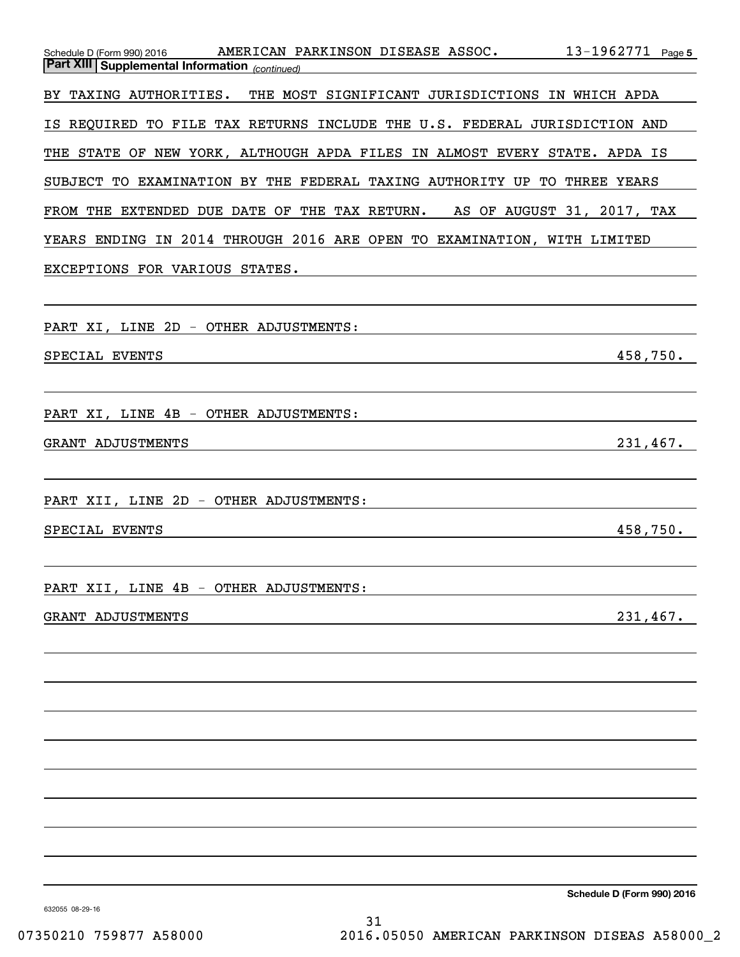| 13-1962771 Page 5<br>Schedule D (Form 990) 2016 AMERICAN PARKINSON DISEASE ASSOC.<br><b>Part XIII Supplemental Information</b> (continued)         |
|----------------------------------------------------------------------------------------------------------------------------------------------------|
| BY TAXING AUTHORITIES. THE MOST SIGNIFICANT JURISDICTIONS IN WHICH APDA                                                                            |
| IS REQUIRED TO FILE TAX RETURNS INCLUDE THE U.S. FEDERAL JURISDICTION AND                                                                          |
| THE STATE OF NEW YORK, ALTHOUGH APDA FILES IN ALMOST EVERY STATE. APDA IS                                                                          |
| SUBJECT TO EXAMINATION BY THE FEDERAL TAXING AUTHORITY UP TO THREE YEARS                                                                           |
| FROM THE EXTENDED DUE DATE OF THE TAX RETURN. AS OF AUGUST 31, 2017, TAX                                                                           |
| YEARS ENDING IN 2014 THROUGH 2016 ARE OPEN TO EXAMINATION, WITH LIMITED                                                                            |
| EXCEPTIONS FOR VARIOUS STATES.<br>and the control of the control of the control of the control of the control of the control of the control of the |
|                                                                                                                                                    |
| PART XI, LINE 2D - OTHER ADJUSTMENTS:                                                                                                              |
| 458,750.<br>SPECIAL EVENTS<br><u> 1989 - Johann Stoff, amerikansk politiker (d. 1989)</u>                                                          |
|                                                                                                                                                    |
| PART XI, LINE 4B - OTHER ADJUSTMENTS:                                                                                                              |
| 231,467.<br>GRANT ADJUSTMENTS<br><u> 1989 - Johann Stein, mars an de Britannich (b. 1989)</u>                                                      |
| and the control of the control of the control of the control of the control of the control of the control of the                                   |
| PART XII, LINE 2D - OTHER ADJUSTMENTS:                                                                                                             |
| 458,750.<br>SPECIAL EVENTS                                                                                                                         |
|                                                                                                                                                    |
| OTHER ADJUSTMENTS:<br>PART XII, LINE 4B<br>$\overline{\phantom{a}}$                                                                                |
| 231,467.<br>GRANT ADJUSTMENTS                                                                                                                      |
|                                                                                                                                                    |
|                                                                                                                                                    |
|                                                                                                                                                    |
|                                                                                                                                                    |
|                                                                                                                                                    |
|                                                                                                                                                    |
|                                                                                                                                                    |
|                                                                                                                                                    |
| Schedule D (Form 990) 2016                                                                                                                         |

632055 08-29-16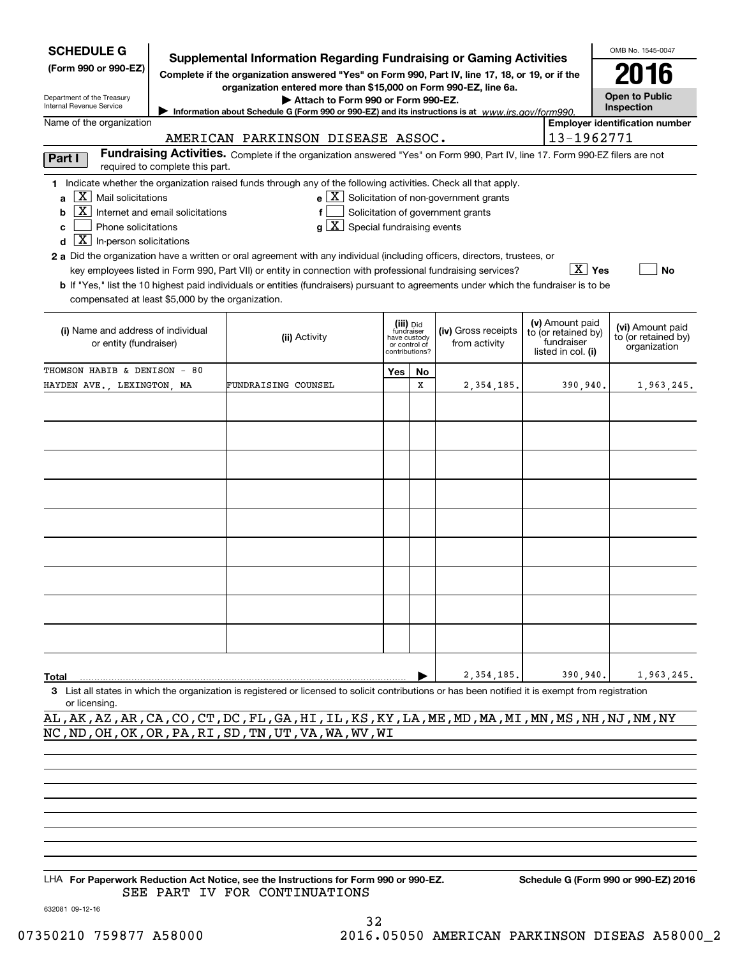| <b>SCHEDULE G</b><br>(Form 990 or 990-EZ)<br>Department of the Treasury<br>Internal Revenue Service<br>Name of the organization                                                                                                                                                                                                                                                                                                                                                                                                                                                                                                                                                                                                                                                                                                                                                              | OMB No. 1545-0047<br><b>Supplemental Information Regarding Fundraising or Gaming Activities</b><br>2016<br>Complete if the organization answered "Yes" on Form 990, Part IV, line 17, 18, or 19, or if the<br>organization entered more than \$15,000 on Form 990-EZ, line 6a.<br><b>Open to Public</b><br>Attach to Form 990 or Form 990-EZ.<br>Inspection<br>Information about Schedule G (Form 990 or 990-EZ) and its instructions is at www.irs.gov/form990.<br><b>Employer identification number</b> |              |                                                            |                                      |                                                                            |                                                         |  |  |  |  |
|----------------------------------------------------------------------------------------------------------------------------------------------------------------------------------------------------------------------------------------------------------------------------------------------------------------------------------------------------------------------------------------------------------------------------------------------------------------------------------------------------------------------------------------------------------------------------------------------------------------------------------------------------------------------------------------------------------------------------------------------------------------------------------------------------------------------------------------------------------------------------------------------|-----------------------------------------------------------------------------------------------------------------------------------------------------------------------------------------------------------------------------------------------------------------------------------------------------------------------------------------------------------------------------------------------------------------------------------------------------------------------------------------------------------|--------------|------------------------------------------------------------|--------------------------------------|----------------------------------------------------------------------------|---------------------------------------------------------|--|--|--|--|
| 13-1962771<br>AMERICAN PARKINSON DISEASE ASSOC.<br>Fundraising Activities. Complete if the organization answered "Yes" on Form 990, Part IV, line 17. Form 990-EZ filers are not<br>Part I<br>required to complete this part.                                                                                                                                                                                                                                                                                                                                                                                                                                                                                                                                                                                                                                                                |                                                                                                                                                                                                                                                                                                                                                                                                                                                                                                           |              |                                                            |                                      |                                                                            |                                                         |  |  |  |  |
| 1 Indicate whether the organization raised funds through any of the following activities. Check all that apply.<br>$ X $ Mail solicitations<br>$e$ $\boxed{X}$ Solicitation of non-government grants<br>a<br>  X  <br>Solicitation of government grants<br>Internet and email solicitations<br>f<br>b<br>$g\mid X$ Special fundraising events<br>Phone solicitations<br>c<br>$\boxed{\textbf{X}}$ In-person solicitations<br>d<br>2 a Did the organization have a written or oral agreement with any individual (including officers, directors, trustees, or<br>∣ X ∣ Yes<br>key employees listed in Form 990, Part VII) or entity in connection with professional fundraising services?<br>No<br>b If "Yes," list the 10 highest paid individuals or entities (fundraisers) pursuant to agreements under which the fundraiser is to be<br>compensated at least \$5,000 by the organization. |                                                                                                                                                                                                                                                                                                                                                                                                                                                                                                           |              |                                                            |                                      |                                                                            |                                                         |  |  |  |  |
| (i) Name and address of individual<br>or entity (fundraiser)                                                                                                                                                                                                                                                                                                                                                                                                                                                                                                                                                                                                                                                                                                                                                                                                                                 | (ii) Activity                                                                                                                                                                                                                                                                                                                                                                                                                                                                                             | have custody | (iii) Did<br>fundraiser<br>or control of<br>contributions? | (iv) Gross receipts<br>from activity | (v) Amount paid<br>to (or retained by)<br>fundraiser<br>listed in col. (i) | (vi) Amount paid<br>to (or retained by)<br>organization |  |  |  |  |
| THOMSON HABIB & DENISON - 80<br>HAYDEN AVE., LEXINGTON, MA                                                                                                                                                                                                                                                                                                                                                                                                                                                                                                                                                                                                                                                                                                                                                                                                                                   | FUNDRAISING COUNSEL                                                                                                                                                                                                                                                                                                                                                                                                                                                                                       | Yes          | <b>No</b><br>X                                             | 2,354,185.                           | 390.940.                                                                   | 1,963,245.                                              |  |  |  |  |
|                                                                                                                                                                                                                                                                                                                                                                                                                                                                                                                                                                                                                                                                                                                                                                                                                                                                                              |                                                                                                                                                                                                                                                                                                                                                                                                                                                                                                           |              |                                                            |                                      |                                                                            |                                                         |  |  |  |  |
| Total<br>or licensing                                                                                                                                                                                                                                                                                                                                                                                                                                                                                                                                                                                                                                                                                                                                                                                                                                                                        | 3 List all states in which the organization is registered or licensed to solicit contributions or has been notified it is exempt from registration                                                                                                                                                                                                                                                                                                                                                        |              |                                                            | 2,354,185.                           | 390,940.                                                                   | 1,963,245.                                              |  |  |  |  |
| AL, AK, AZ, AR, CA, CO, CT, DC, FL, GA, HI, IL, KS, KY, LA, ME, MD, MA, MI, MN, MS, NH, NJ, NM, NY<br>NC, ND, OH, OK, OR, PA, RI, SD, TN, UT, VA, WA, WV, WI                                                                                                                                                                                                                                                                                                                                                                                                                                                                                                                                                                                                                                                                                                                                 |                                                                                                                                                                                                                                                                                                                                                                                                                                                                                                           |              |                                                            |                                      |                                                                            |                                                         |  |  |  |  |

LHA For Paperwork Reduction Act Notice, see the Instructions for Form 990 or 990-EZ. Schedule G (Form 990 or 990-EZ) 2016 SEE PART IV FOR CONTINUATIONS

632081 09-12-16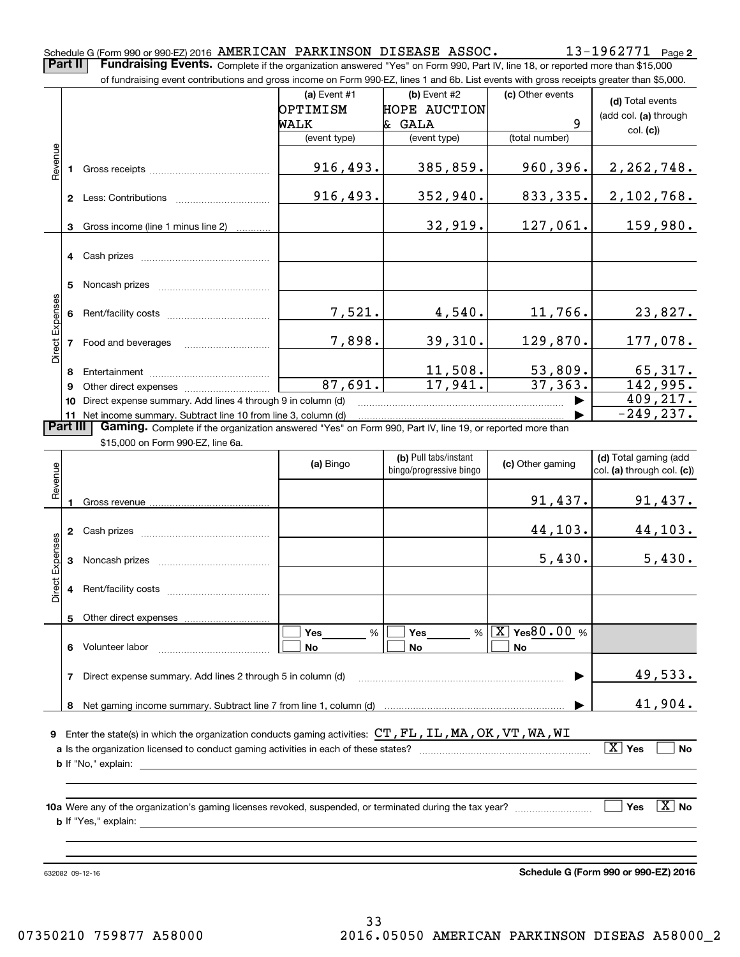**2**Schedule G (Form 990 or 990-EZ) 2016 Page AMERICAN PARKINSON DISEASE ASSOC. 13-1962771 **Part II** | Fundraising Events. Complete if the organization answered "Yes" on Form 990, Part IV, line 18, or reported more than \$15,000

|                        |    | of fundraising event contributions and gross income on Form 990-EZ, lines 1 and 6b. List events with gross receipts greater than \$5,000. |                |                         |                                |                            |
|------------------------|----|-------------------------------------------------------------------------------------------------------------------------------------------|----------------|-------------------------|--------------------------------|----------------------------|
|                        |    |                                                                                                                                           | (a) Event $#1$ | $(b)$ Event #2          | (c) Other events               | (d) Total events           |
|                        |    |                                                                                                                                           | OPTIMISM       | <b>HOPE AUCTION</b>     |                                |                            |
|                        |    |                                                                                                                                           | WALK           | & GALA                  | 9                              | (add col. (a) through      |
|                        |    |                                                                                                                                           | (event type)   | (event type)            | (total number)                 | col. (c)                   |
| Revenue                |    |                                                                                                                                           |                |                         |                                |                            |
|                        | 1. |                                                                                                                                           | 916, 493.      | 385,859.                | 960, 396.                      | 2, 262, 748.               |
|                        |    |                                                                                                                                           |                |                         |                                |                            |
|                        |    |                                                                                                                                           | 916,493.       | 352,940.                | 833,335.                       | 2,102,768.                 |
|                        |    |                                                                                                                                           |                |                         |                                |                            |
|                        |    | 3 Gross income (line 1 minus line 2)                                                                                                      |                | 32,919.                 | 127,061.                       | 159,980.                   |
|                        |    |                                                                                                                                           |                |                         |                                |                            |
|                        |    |                                                                                                                                           |                |                         |                                |                            |
|                        |    |                                                                                                                                           |                |                         |                                |                            |
|                        | 5  |                                                                                                                                           |                |                         |                                |                            |
|                        |    |                                                                                                                                           |                |                         |                                |                            |
|                        |    |                                                                                                                                           | 7,521.         | 4,540.                  | 11,766.                        | 23,827.                    |
|                        |    |                                                                                                                                           |                |                         |                                |                            |
| Direct Expenses        |    | 7 Food and beverages                                                                                                                      | 7,898.         | 39,310.                 | 129,870.                       | 177,078.                   |
|                        |    |                                                                                                                                           |                |                         |                                |                            |
|                        | 8  |                                                                                                                                           |                | 11,508.                 | 53,809.                        | 65,317.                    |
|                        | 9  |                                                                                                                                           | 87,691.        | 17,941.                 | 37, 363.                       | 142,995.                   |
|                        |    | 10 Direct expense summary. Add lines 4 through 9 in column (d)                                                                            |                |                         |                                | 409, 217.                  |
|                        |    | 11 Net income summary. Subtract line 10 from line 3, column (d)                                                                           |                |                         |                                | $-249, 237.$               |
| <b>Part III</b>        |    | Gaming. Complete if the organization answered "Yes" on Form 990, Part IV, line 19, or reported more than                                  |                |                         |                                |                            |
|                        |    | \$15,000 on Form 990-EZ, line 6a.                                                                                                         |                |                         |                                |                            |
|                        |    |                                                                                                                                           | (a) Bingo      | (b) Pull tabs/instant   | (c) Other gaming               | (d) Total gaming (add      |
| Revenue                |    |                                                                                                                                           |                | bingo/progressive bingo |                                | col. (a) through col. (c)) |
|                        |    |                                                                                                                                           |                |                         |                                |                            |
|                        |    |                                                                                                                                           |                |                         | 91,437.                        | 91,437.                    |
|                        |    |                                                                                                                                           |                |                         |                                |                            |
|                        |    |                                                                                                                                           |                |                         | 44,103.                        | 44,103.                    |
|                        |    |                                                                                                                                           |                |                         |                                |                            |
|                        |    |                                                                                                                                           |                |                         | 5,430.                         | 5,430.                     |
| <b>Direct Expenses</b> |    |                                                                                                                                           |                |                         |                                |                            |
|                        | 4  |                                                                                                                                           |                |                         |                                |                            |
|                        |    |                                                                                                                                           |                |                         |                                |                            |
|                        |    |                                                                                                                                           |                |                         |                                |                            |
|                        |    |                                                                                                                                           | Yes<br>%       | %<br>Yes                | $\boxed{\text{X}}$ Yes 80.00 % |                            |
|                        |    | 6 Volunteer labor                                                                                                                         | No             | No                      | No                             |                            |

**7**Direct expense summary. Add lines 2 through 5 in column (d) ~~~~~~~~~~~~~~~~~~~~~~~~ | **8**Net gaming income summary. Subtract line 7 from line 1, column (d) …… ▶ 49,533. 41,904.

**9**Enter the state(s) in which the organization conducts gaming activities: CT,FL,IL,MA,OK,VT,WA,WI **a**Is the organization licensed to conduct gaming activities in each of these states? ~~~~~~~~~~~~~~~~~~~~**b**If "No," explain:

 $X$  Yes  $\Box$ 

**No**

**10a** Were any of the organization's gaming licenses revoked, suspended, or terminated during the tax year? \_\_\_\_\_\_\_\_\_\_\_\_\_\_\_\_\_ **b** If "Yes," explain: **Yes** es  $|\,\texttt{X}\,|$  No

632082 09-12-16

**Schedule G (Form 990 or 990-EZ) 2016**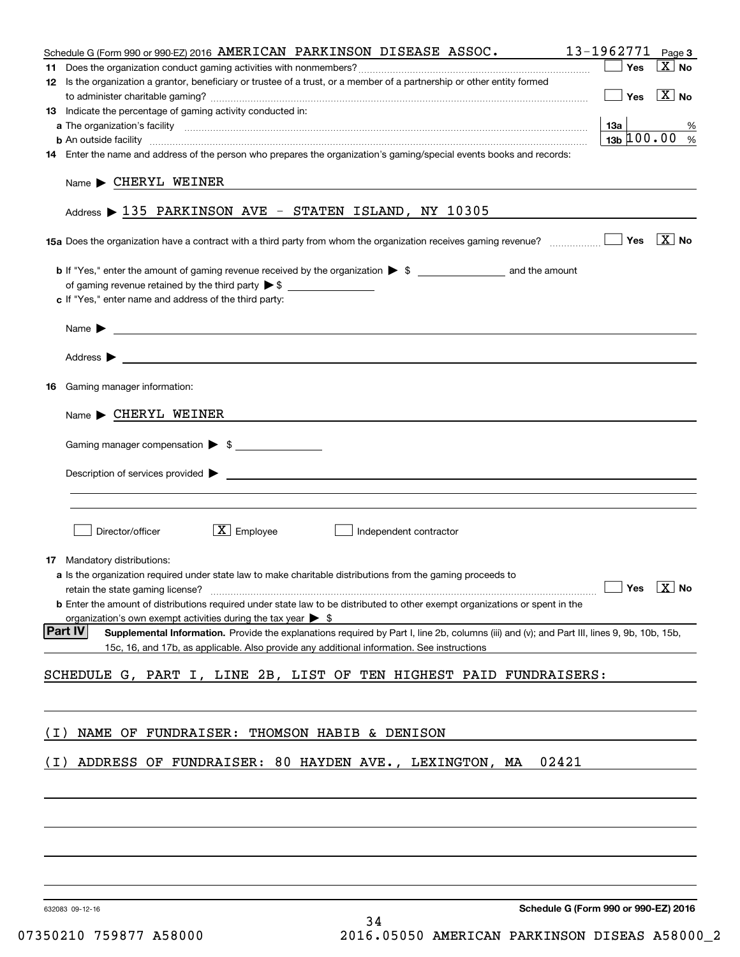| Schedule G (Form 990 or 990-EZ) 2016 AMERICAN PARKINSON DISEASE ASSOC.                                                                                                                                                                    | 13-1962771 Page 3                    |                            |
|-------------------------------------------------------------------------------------------------------------------------------------------------------------------------------------------------------------------------------------------|--------------------------------------|----------------------------|
|                                                                                                                                                                                                                                           | Yes                                  | $X$ No                     |
| 12 Is the organization a grantor, beneficiary or trustee of a trust, or a member of a partnership or other entity formed                                                                                                                  |                                      |                            |
|                                                                                                                                                                                                                                           | $\Box$ Yes                           | $\mathbf{X}$ No            |
| 13 Indicate the percentage of gaming activity conducted in:                                                                                                                                                                               |                                      |                            |
|                                                                                                                                                                                                                                           | 13a                                  | %                          |
| <b>b</b> An outside facility <i>www.communicality www.communicality.communicality www.communicality www.communicality.communicality www.communicality.com</i>                                                                             | $13b \ 100.00$ %                     |                            |
| 14 Enter the name and address of the person who prepares the organization's gaming/special events books and records:                                                                                                                      |                                      |                            |
| $Name \triangleright$ CHERYL WEINER<br>Address > 135 PARKINSON AVE - STATEN ISLAND, NY 10305                                                                                                                                              |                                      |                            |
|                                                                                                                                                                                                                                           |                                      | $\overline{\mathbf{X}}$ No |
|                                                                                                                                                                                                                                           |                                      |                            |
|                                                                                                                                                                                                                                           |                                      |                            |
| c If "Yes," enter name and address of the third party:                                                                                                                                                                                    |                                      |                            |
|                                                                                                                                                                                                                                           |                                      |                            |
| Name $\blacktriangleright$                                                                                                                                                                                                                |                                      |                            |
|                                                                                                                                                                                                                                           |                                      |                            |
| Address $\blacktriangleright$                                                                                                                                                                                                             |                                      |                            |
|                                                                                                                                                                                                                                           |                                      |                            |
| <b>16</b> Gaming manager information:                                                                                                                                                                                                     |                                      |                            |
|                                                                                                                                                                                                                                           |                                      |                            |
| $Name \triangleright$ CHERYL WEINER                                                                                                                                                                                                       |                                      |                            |
|                                                                                                                                                                                                                                           |                                      |                            |
| Gaming manager compensation > \$                                                                                                                                                                                                          |                                      |                            |
|                                                                                                                                                                                                                                           |                                      |                            |
| $Description of services provided$ $\triangleright$                                                                                                                                                                                       |                                      |                            |
|                                                                                                                                                                                                                                           |                                      |                            |
|                                                                                                                                                                                                                                           |                                      |                            |
|                                                                                                                                                                                                                                           |                                      |                            |
| $X$ Employee<br>Director/officer<br>Independent contractor                                                                                                                                                                                |                                      |                            |
|                                                                                                                                                                                                                                           |                                      |                            |
| <b>17</b> Mandatory distributions:                                                                                                                                                                                                        |                                      |                            |
| a Is the organization required under state law to make charitable distributions from the gaming proceeds to                                                                                                                               | $\Box$ Yes $\boxed{\text{X}}$ No     |                            |
| retain the state gaming license?                                                                                                                                                                                                          |                                      |                            |
| <b>b</b> Enter the amount of distributions required under state law to be distributed to other exempt organizations or spent in the                                                                                                       |                                      |                            |
| organization's own exempt activities during the tax year $\triangleright$ \$<br><b>Part IV</b>                                                                                                                                            |                                      |                            |
| Supplemental Information. Provide the explanations required by Part I, line 2b, columns (iii) and (v); and Part III, lines 9, 9b, 10b, 15b,<br>15c, 16, and 17b, as applicable. Also provide any additional information. See instructions |                                      |                            |
|                                                                                                                                                                                                                                           |                                      |                            |
| SCHEDULE G, PART I, LINE 2B, LIST OF TEN HIGHEST PAID FUNDRAISERS:                                                                                                                                                                        |                                      |                            |
|                                                                                                                                                                                                                                           |                                      |                            |
|                                                                                                                                                                                                                                           |                                      |                            |
|                                                                                                                                                                                                                                           |                                      |                            |
| NAME OF FUNDRAISER: THOMSON HABIB & DENISON<br>( I )                                                                                                                                                                                      |                                      |                            |
|                                                                                                                                                                                                                                           |                                      |                            |
| ADDRESS OF FUNDRAISER: 80 HAYDEN AVE., LEXINGTON, MA<br>02421<br>( I )                                                                                                                                                                    |                                      |                            |
|                                                                                                                                                                                                                                           |                                      |                            |
|                                                                                                                                                                                                                                           |                                      |                            |
|                                                                                                                                                                                                                                           |                                      |                            |
|                                                                                                                                                                                                                                           |                                      |                            |
|                                                                                                                                                                                                                                           |                                      |                            |
|                                                                                                                                                                                                                                           |                                      |                            |
|                                                                                                                                                                                                                                           |                                      |                            |
|                                                                                                                                                                                                                                           |                                      |                            |
| 632083 09-12-16                                                                                                                                                                                                                           | Schedule G (Form 990 or 990-EZ) 2016 |                            |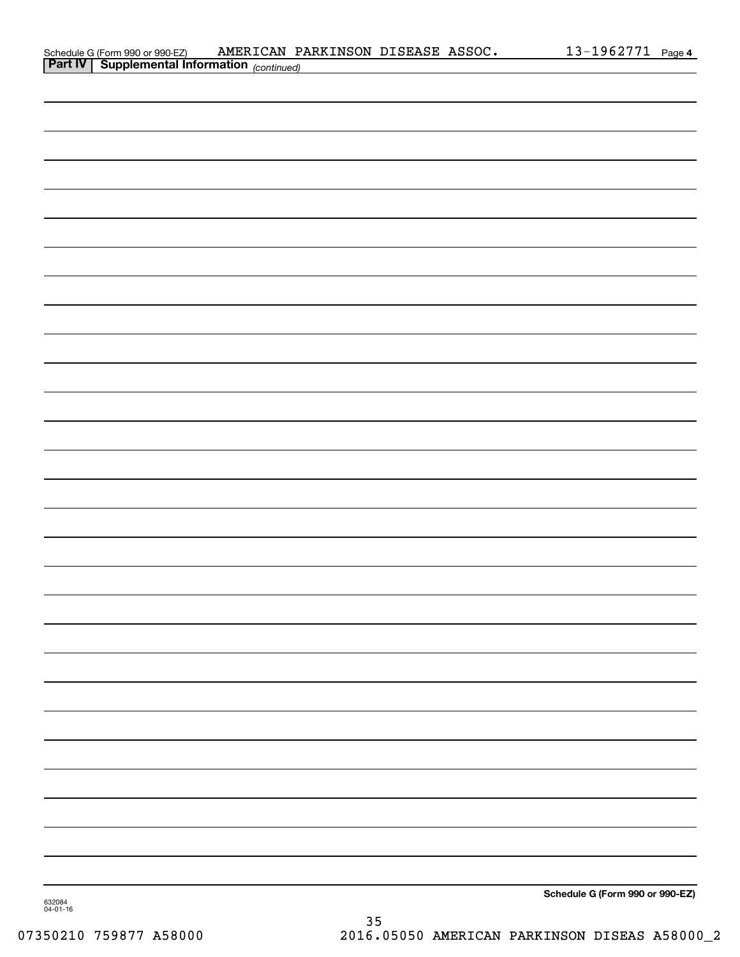| Schedule G (Form 990 or 990-EZ)         | AMERICAN PARKINSON DISEASE ASSOC. |  | 1962771- | Page 4 |
|-----------------------------------------|-----------------------------------|--|----------|--------|
| <b>Dart IV Cupplemental Information</b> |                                   |  |          |        |

| <b>Part IV   Supplemental Information</b> (continued) |                                 |
|-------------------------------------------------------|---------------------------------|
|                                                       |                                 |
|                                                       |                                 |
|                                                       |                                 |
|                                                       |                                 |
|                                                       |                                 |
|                                                       |                                 |
|                                                       |                                 |
|                                                       |                                 |
|                                                       |                                 |
|                                                       |                                 |
|                                                       |                                 |
|                                                       |                                 |
|                                                       |                                 |
|                                                       |                                 |
|                                                       |                                 |
|                                                       |                                 |
|                                                       |                                 |
|                                                       |                                 |
|                                                       |                                 |
|                                                       |                                 |
|                                                       |                                 |
|                                                       |                                 |
|                                                       |                                 |
|                                                       |                                 |
|                                                       |                                 |
|                                                       |                                 |
|                                                       |                                 |
|                                                       |                                 |
|                                                       |                                 |
| 632084                                                | Schedule G (Form 990 or 990-EZ) |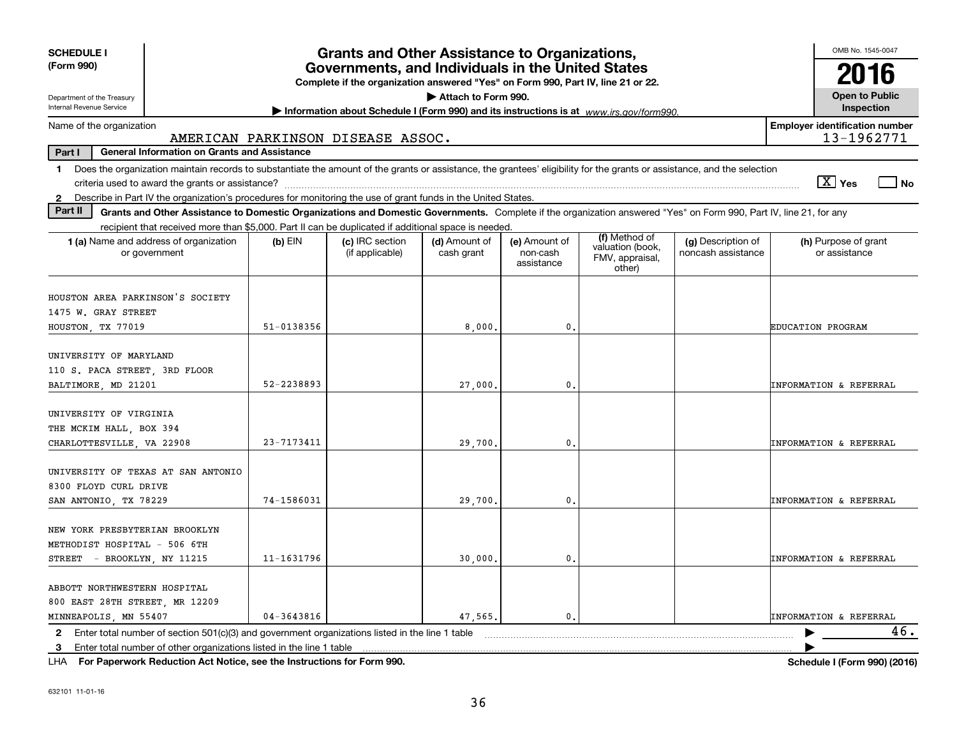| <b>SCHEDULE I</b>                                                                                                                                                                                                                                                                                              | <b>Grants and Other Assistance to Organizations,</b>                                                                                  | OMB No. 1545-0047                  |                             |                                         |                                                                                         |                                          |                                                     |
|----------------------------------------------------------------------------------------------------------------------------------------------------------------------------------------------------------------------------------------------------------------------------------------------------------------|---------------------------------------------------------------------------------------------------------------------------------------|------------------------------------|-----------------------------|-----------------------------------------|-----------------------------------------------------------------------------------------|------------------------------------------|-----------------------------------------------------|
| (Form 990)                                                                                                                                                                                                                                                                                                     | Governments, and Individuals in the United States<br>Complete if the organization answered "Yes" on Form 990, Part IV, line 21 or 22. | 2016                               |                             |                                         |                                                                                         |                                          |                                                     |
| Department of the Treasury<br>Internal Revenue Service                                                                                                                                                                                                                                                         |                                                                                                                                       |                                    | Attach to Form 990.         |                                         | Information about Schedule I (Form 990) and its instructions is at www.irs.gov/form990. |                                          | <b>Open to Public</b><br>Inspection                 |
| Name of the organization                                                                                                                                                                                                                                                                                       |                                                                                                                                       | AMERICAN PARKINSON DISEASE ASSOC.  |                             |                                         |                                                                                         |                                          | <b>Employer identification number</b><br>13-1962771 |
| Part I<br><b>General Information on Grants and Assistance</b>                                                                                                                                                                                                                                                  |                                                                                                                                       |                                    |                             |                                         |                                                                                         |                                          |                                                     |
| Does the organization maintain records to substantiate the amount of the grants or assistance, the grantees' eligibility for the grants or assistance, and the selection<br>$\blacksquare$                                                                                                                     |                                                                                                                                       |                                    |                             |                                         |                                                                                         |                                          | $\boxed{\text{X}}$ Yes<br>  No                      |
| Describe in Part IV the organization's procedures for monitoring the use of grant funds in the United States.<br>$\mathbf{2}$<br>Part II<br>Grants and Other Assistance to Domestic Organizations and Domestic Governments. Complete if the organization answered "Yes" on Form 990, Part IV, line 21, for any |                                                                                                                                       |                                    |                             |                                         |                                                                                         |                                          |                                                     |
| recipient that received more than \$5,000. Part II can be duplicated if additional space is needed.                                                                                                                                                                                                            |                                                                                                                                       |                                    |                             |                                         |                                                                                         |                                          |                                                     |
| 1 (a) Name and address of organization<br>or government                                                                                                                                                                                                                                                        | $(b)$ EIN                                                                                                                             | (c) IRC section<br>(if applicable) | (d) Amount of<br>cash grant | (e) Amount of<br>non-cash<br>assistance | (f) Method of<br>valuation (book,<br>FMV, appraisal,<br>other)                          | (g) Description of<br>noncash assistance | (h) Purpose of grant<br>or assistance               |
| HOUSTON AREA PARKINSON'S SOCIETY<br>1475 W. GRAY STREET<br>HOUSTON, TX 77019                                                                                                                                                                                                                                   | $51 - 0138356$                                                                                                                        |                                    | 8,000.                      | $\mathbf{0}$ .                          |                                                                                         |                                          | EDUCATION PROGRAM                                   |
| UNIVERSITY OF MARYLAND<br>110 S. PACA STREET, 3RD FLOOR<br>BALTIMORE, MD 21201                                                                                                                                                                                                                                 | 52-2238893                                                                                                                            |                                    | 27,000                      | 0.                                      |                                                                                         |                                          | <b>INFORMATION &amp; REFERRAL</b>                   |
| UNIVERSITY OF VIRGINIA<br>THE MCKIM HALL, BOX 394<br>CHARLOTTESVILLE, VA 22908                                                                                                                                                                                                                                 | 23-7173411                                                                                                                            |                                    | 29,700.                     | 0.                                      |                                                                                         |                                          | <b>INFORMATION &amp; REFERRAL</b>                   |
| UNIVERSITY OF TEXAS AT SAN ANTONIO<br>8300 FLOYD CURL DRIVE<br>SAN ANTONIO, TX 78229                                                                                                                                                                                                                           | 74-1586031                                                                                                                            |                                    | 29,700                      | $\mathbf{0}$                            |                                                                                         |                                          | <b>INFORMATION &amp; REFERRAL</b>                   |
| NEW YORK PRESBYTERIAN BROOKLYN<br>METHODIST HOSPITAL - 506 6TH<br>STREET - BROOKLYN, NY 11215                                                                                                                                                                                                                  | $11 - 1631796$                                                                                                                        |                                    | 30,000                      | 0                                       |                                                                                         |                                          | <b>INFORMATION &amp; REFERRAL</b>                   |
| ABBOTT NORTHWESTERN HOSPITAL<br>800 EAST 28TH STREET, MR 12209<br>MINNEAPOLIS, MN 55407                                                                                                                                                                                                                        | $04 - 3643816$                                                                                                                        |                                    | 47,565.                     | $\mathbf{0}$                            |                                                                                         |                                          | <b>INFORMATION &amp; REFERRAL</b>                   |
| 2 Enter total number of section 501(c)(3) and government organizations listed in the line 1 table<br>Enter total number of other organizations listed in the line 1 table<br>3                                                                                                                                 |                                                                                                                                       |                                    |                             |                                         |                                                                                         |                                          | 46.                                                 |
|                                                                                                                                                                                                                                                                                                                |                                                                                                                                       |                                    |                             |                                         |                                                                                         |                                          |                                                     |

**For Paperwork Reduction Act Notice, see the Instructions for Form 990. Schedule I (Form 990) (2016)** LHA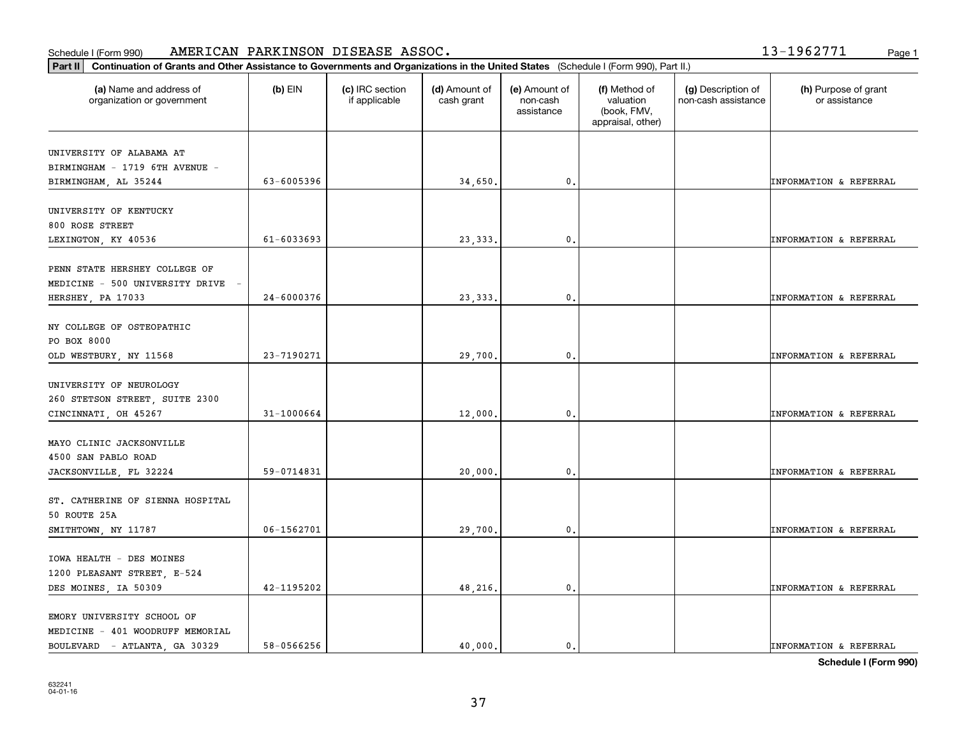#### **Part III Continuation of Grants and Other Assistance Training Continuation of Grants and Other Assistance Continuations of Grants and Other Assistance Continuation of Grants and Other Assistance <b>Continuation** of Grants Schedule I (Form 990) Page 1 AMERICAN PARKINSON DISEASE ASSOC. 13-1962771

| .3-1962771 |  |  |  |  |  |
|------------|--|--|--|--|--|
|            |  |  |  |  |  |
|            |  |  |  |  |  |

| Continuation of Grants and Other Assistance to Governments and Organizations in the United States (Schedule I (Form 990), Part II.)<br>Part II |                |                                  |                             |                                         |                                                                |                                           |                                       |
|------------------------------------------------------------------------------------------------------------------------------------------------|----------------|----------------------------------|-----------------------------|-----------------------------------------|----------------------------------------------------------------|-------------------------------------------|---------------------------------------|
| (a) Name and address of<br>organization or government                                                                                          | $(b)$ EIN      | (c) IRC section<br>if applicable | (d) Amount of<br>cash grant | (e) Amount of<br>non-cash<br>assistance | (f) Method of<br>valuation<br>(book, FMV,<br>appraisal, other) | (g) Description of<br>non-cash assistance | (h) Purpose of grant<br>or assistance |
| UNIVERSITY OF ALABAMA AT<br>BIRMINGHAM - 1719 6TH AVENUE -<br>BIRMINGHAM, AL 35244                                                             | 63-6005396     |                                  | 34,650.                     | 0.                                      |                                                                |                                           | <b>INFORMATION &amp; REFERRAL</b>     |
| UNIVERSITY OF KENTUCKY<br>800 ROSE STREET<br>LEXINGTON, KY 40536                                                                               | $61 - 6033693$ |                                  | 23, 333.                    | 0.                                      |                                                                |                                           | <b>INFORMATION &amp; REFERRAL</b>     |
| PENN STATE HERSHEY COLLEGE OF<br>MEDICINE - 500 UNIVERSITY DRIVE<br>HERSHEY, PA 17033                                                          | 24-6000376     |                                  | 23, 333.                    | $\mathbf{0}$                            |                                                                |                                           | <b>INFORMATION &amp; REFERRAL</b>     |
| NY COLLEGE OF OSTEOPATHIC<br>PO BOX 8000<br>OLD WESTBURY, NY 11568                                                                             | 23-7190271     |                                  | 29,700.                     | 0.                                      |                                                                |                                           | <b>INFORMATION &amp; REFERRAL</b>     |
| UNIVERSITY OF NEUROLOGY<br>260 STETSON STREET, SUITE 2300<br>CINCINNATI, OH 45267                                                              | 31-1000664     |                                  | 12,000.                     | 0.                                      |                                                                |                                           | <b>INFORMATION &amp; REFERRAL</b>     |
| MAYO CLINIC JACKSONVILLE<br>4500 SAN PABLO ROAD<br>JACKSONVILLE, FL 32224                                                                      | 59-0714831     |                                  | 20,000.                     | 0.                                      |                                                                |                                           | <b>INFORMATION &amp; REFERRAL</b>     |
| ST. CATHERINE OF SIENNA HOSPITAL<br>50 ROUTE 25A<br>SMITHTOWN, NY 11787                                                                        | 06-1562701     |                                  | 29,700.                     | 0.                                      |                                                                |                                           | <b>INFORMATION &amp; REFERRAL</b>     |
| IOWA HEALTH - DES MOINES<br>1200 PLEASANT STREET, E-524<br>DES MOINES, IA 50309                                                                | 42-1195202     |                                  | 48,216.                     | 0.                                      |                                                                |                                           | <b>INFORMATION &amp; REFERRAL</b>     |
| EMORY UNIVERSITY SCHOOL OF<br>MEDICINE - 401 WOODRUFF MEMORIAL<br>BOULEVARD - ATLANTA, GA 30329                                                | 58-0566256     |                                  | 40,000.                     | $\mathfrak{o}$ .                        |                                                                |                                           | <b>INFORMATION &amp; REFERRAL</b>     |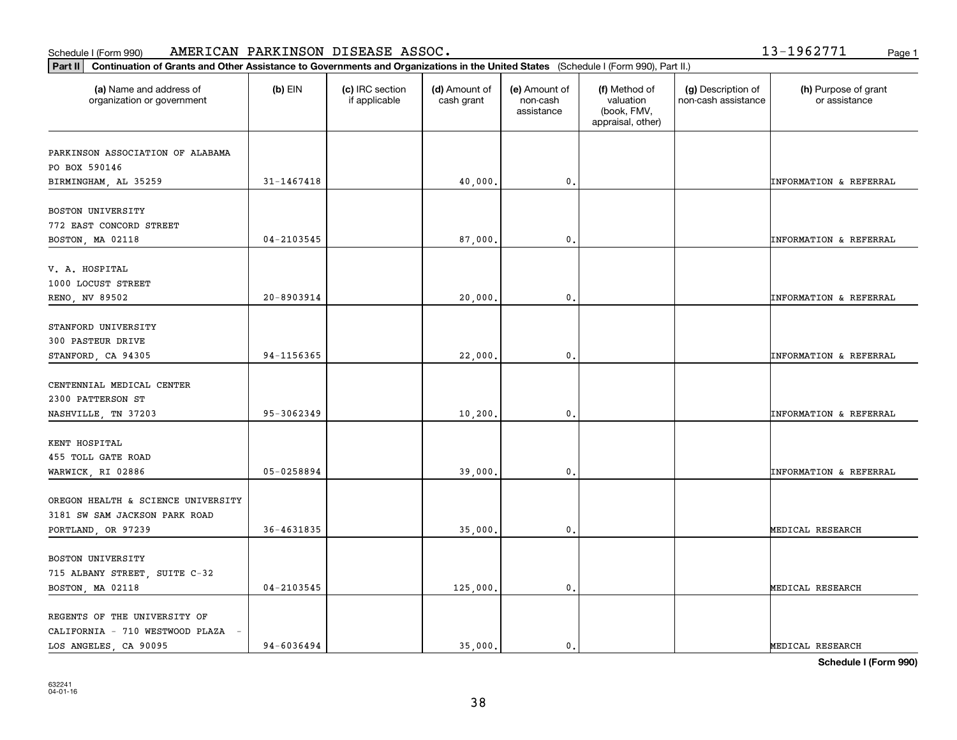#### Schedule I (Form 990) Page 1 AMERICAN PARKINSON DISEASE ASSOC. 13-1962771

|  | Page 1 |  |
|--|--------|--|
|  |        |  |

| Continuation of Grants and Other Assistance to Governments and Organizations in the United States (Schedule I (Form 990), Part II.)<br>Part II |                |                                  |                             |                                         |                                                                |                                           |                                       |
|------------------------------------------------------------------------------------------------------------------------------------------------|----------------|----------------------------------|-----------------------------|-----------------------------------------|----------------------------------------------------------------|-------------------------------------------|---------------------------------------|
| (a) Name and address of<br>organization or government                                                                                          | $(b)$ EIN      | (c) IRC section<br>if applicable | (d) Amount of<br>cash grant | (e) Amount of<br>non-cash<br>assistance | (f) Method of<br>valuation<br>(book, FMV,<br>appraisal, other) | (g) Description of<br>non-cash assistance | (h) Purpose of grant<br>or assistance |
| PARKINSON ASSOCIATION OF ALABAMA<br>PO BOX 590146                                                                                              |                |                                  |                             |                                         |                                                                |                                           |                                       |
| BIRMINGHAM, AL 35259                                                                                                                           | 31-1467418     |                                  | 40,000.                     | $\mathbf{0}$ .                          |                                                                |                                           | INFORMATION & REFERRAL                |
| BOSTON UNIVERSITY<br>772 EAST CONCORD STREET                                                                                                   | $04 - 2103545$ |                                  |                             | $\mathfrak{o}$ .                        |                                                                |                                           |                                       |
| BOSTON, MA 02118                                                                                                                               |                |                                  | 87,000.                     |                                         |                                                                |                                           | <b>INFORMATION &amp; REFERRAL</b>     |
| V. A. HOSPITAL<br>1000 LOCUST STREET                                                                                                           |                |                                  |                             |                                         |                                                                |                                           |                                       |
| RENO, NV 89502                                                                                                                                 | 20-8903914     |                                  | 20,000.                     | 0.                                      |                                                                |                                           | INFORMATION & REFERRAL                |
| STANFORD UNIVERSITY<br>300 PASTEUR DRIVE                                                                                                       |                |                                  |                             |                                         |                                                                |                                           |                                       |
| STANFORD, CA 94305                                                                                                                             | 94-1156365     |                                  | 22,000.                     | 0.                                      |                                                                |                                           | INFORMATION & REFERRAL                |
| CENTENNIAL MEDICAL CENTER<br>2300 PATTERSON ST                                                                                                 |                |                                  |                             |                                         |                                                                |                                           |                                       |
| NASHVILLE, TN 37203                                                                                                                            | 95-3062349     |                                  | 10, 200.                    | $\mathfrak{o}$ .                        |                                                                |                                           | <b>INFORMATION &amp; REFERRAL</b>     |
| KENT HOSPITAL<br>455 TOLL GATE ROAD<br>WARWICK, RI 02886                                                                                       | 05-0258894     |                                  | 39,000.                     | 0.                                      |                                                                |                                           | <b>INFORMATION &amp; REFERRAL</b>     |
| OREGON HEALTH & SCIENCE UNIVERSITY                                                                                                             |                |                                  |                             |                                         |                                                                |                                           |                                       |
| 3181 SW SAM JACKSON PARK ROAD<br>PORTLAND, OR 97239                                                                                            | 36-4631835     |                                  | 35,000.                     | 0.                                      |                                                                |                                           | MEDICAL RESEARCH                      |
| BOSTON UNIVERSITY                                                                                                                              |                |                                  |                             |                                         |                                                                |                                           |                                       |
| 715 ALBANY STREET, SUITE C-32<br>BOSTON, MA 02118                                                                                              | $04 - 2103545$ |                                  | 125,000.                    | $\mathbf{0}$ .                          |                                                                |                                           | MEDICAL RESEARCH                      |
| REGENTS OF THE UNIVERSITY OF<br>CALIFORNIA - 710 WESTWOOD PLAZA -                                                                              |                |                                  |                             |                                         |                                                                |                                           |                                       |
| LOS ANGELES, CA 90095                                                                                                                          | 94-6036494     |                                  | 35,000.                     | $\mathbf{0}$ .                          |                                                                |                                           | MEDICAL RESEARCH                      |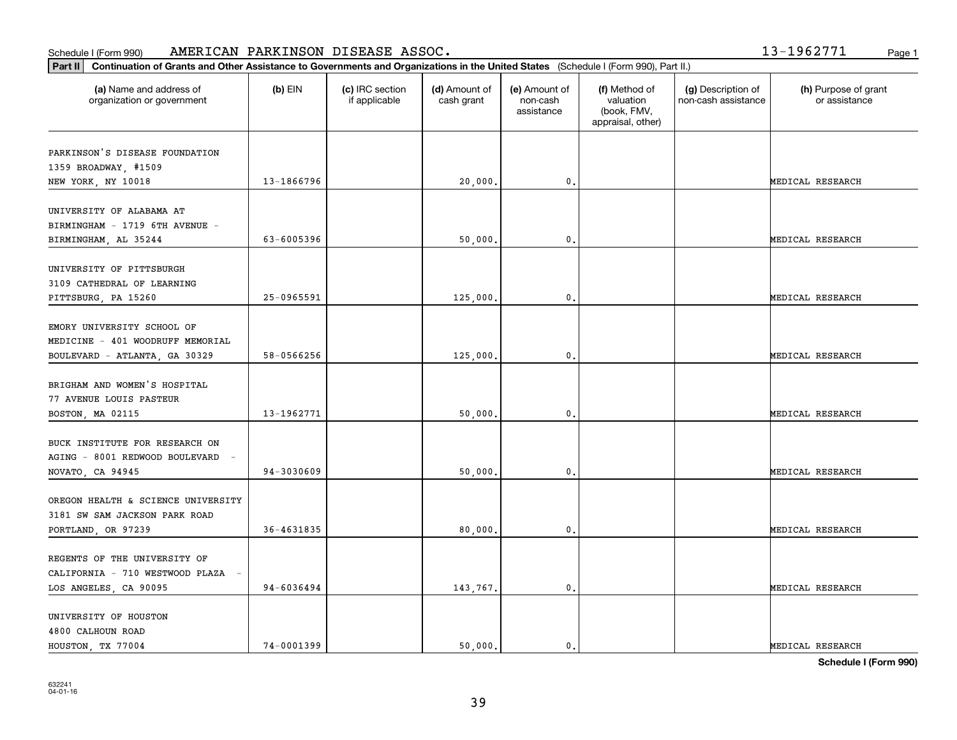#### Schedule I (Form 990) Page 1 AMERICAN PARKINSON DISEASE ASSOC. 13-1962771

| 1 L |  |
|-----|--|
|-----|--|

| Continuation of Grants and Other Assistance to Governments and Organizations in the United States (Schedule I (Form 990), Part II.)<br>Part II |            |                                  |                             |                                         |                                                                |                                           |                                       |
|------------------------------------------------------------------------------------------------------------------------------------------------|------------|----------------------------------|-----------------------------|-----------------------------------------|----------------------------------------------------------------|-------------------------------------------|---------------------------------------|
| (a) Name and address of<br>organization or government                                                                                          | $(b)$ EIN  | (c) IRC section<br>if applicable | (d) Amount of<br>cash grant | (e) Amount of<br>non-cash<br>assistance | (f) Method of<br>valuation<br>(book, FMV,<br>appraisal, other) | (g) Description of<br>non-cash assistance | (h) Purpose of grant<br>or assistance |
| PARKINSON'S DISEASE FOUNDATION<br>1359 BROADWAY, #1509<br>NEW YORK, NY 10018                                                                   | 13-1866796 |                                  | 20,000                      | 0.                                      |                                                                |                                           | MEDICAL RESEARCH                      |
| UNIVERSITY OF ALABAMA AT<br>BIRMINGHAM - 1719 6TH AVENUE -<br>BIRMINGHAM, AL 35244                                                             | 63-6005396 |                                  | 50,000                      | $\mathfrak{o}$ .                        |                                                                |                                           | MEDICAL RESEARCH                      |
| UNIVERSITY OF PITTSBURGH<br>3109 CATHEDRAL OF LEARNING<br>PITTSBURG, PA 15260                                                                  | 25-0965591 |                                  | 125,000                     | 0.                                      |                                                                |                                           | MEDICAL RESEARCH                      |
| EMORY UNIVERSITY SCHOOL OF<br>MEDICINE - 401 WOODRUFF MEMORIAL<br>BOULEVARD - ATLANTA, GA 30329                                                | 58-0566256 |                                  | 125,000                     | $^{\circ}$ .                            |                                                                |                                           | MEDICAL RESEARCH                      |
| BRIGHAM AND WOMEN'S HOSPITAL<br>77 AVENUE LOUIS PASTEUR<br>BOSTON, MA 02115                                                                    | 13-1962771 |                                  | 50,000                      | $\mathfrak{o}$ .                        |                                                                |                                           | MEDICAL RESEARCH                      |
| BUCK INSTITUTE FOR RESEARCH ON<br>AGING - 8001 REDWOOD BOULEVARD -<br>NOVATO, CA 94945                                                         | 94-3030609 |                                  | 50,000                      | 0.                                      |                                                                |                                           | MEDICAL RESEARCH                      |
| OREGON HEALTH & SCIENCE UNIVERSITY<br>3181 SW SAM JACKSON PARK ROAD<br>PORTLAND, OR 97239                                                      | 36-4631835 |                                  | 80,000                      | $\mathbf{0}$ .                          |                                                                |                                           | MEDICAL RESEARCH                      |
| REGENTS OF THE UNIVERSITY OF<br>CALIFORNIA - 710 WESTWOOD PLAZA -<br>LOS ANGELES, CA 90095                                                     | 94-6036494 |                                  | 143,767.                    | $\mathfrak o$ .                         |                                                                |                                           | MEDICAL RESEARCH                      |
| UNIVERSITY OF HOUSTON<br>4800 CALHOUN ROAD<br>HOUSTON, TX 77004                                                                                | 74-0001399 |                                  | 50,000.                     | $\mathbf{0}$ .                          |                                                                |                                           | MEDICAL RESEARCH                      |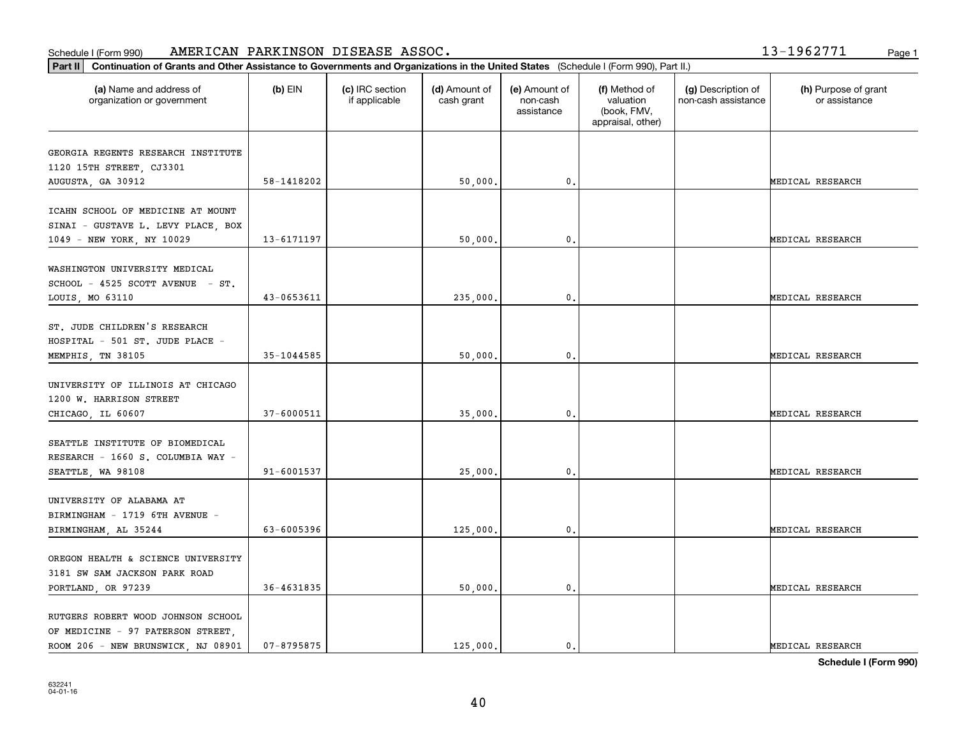#### **Part III Continuation of Grants and Other Assistance Continuation of Grants and Other Assistance Continuation** Schedule I (Form 990) Page 1 AMERICAN PARKINSON DISEASE ASSOC. 13-1962771

| Continuation of Grants and Other Assistance to Governments and Organizations in the United States (Schedule I (Form 990), Part II.)<br>Part II |                |                                  |                             |                                         |                                                                |                                           |                                       |
|------------------------------------------------------------------------------------------------------------------------------------------------|----------------|----------------------------------|-----------------------------|-----------------------------------------|----------------------------------------------------------------|-------------------------------------------|---------------------------------------|
| (a) Name and address of<br>organization or government                                                                                          | (b) $EIN$      | (c) IRC section<br>if applicable | (d) Amount of<br>cash grant | (e) Amount of<br>non-cash<br>assistance | (f) Method of<br>valuation<br>(book, FMV,<br>appraisal, other) | (g) Description of<br>non-cash assistance | (h) Purpose of grant<br>or assistance |
| GEORGIA REGENTS RESEARCH INSTITUTE<br>1120 15TH STREET, CJ3301<br>AUGUSTA, GA 30912                                                            | 58-1418202     |                                  | 50,000.                     | 0.                                      |                                                                |                                           | MEDICAL RESEARCH                      |
| ICAHN SCHOOL OF MEDICINE AT MOUNT<br>SINAI - GUSTAVE L. LEVY PLACE, BOX<br>1049 - NEW YORK, NY 10029                                           | 13-6171197     |                                  | 50,000.                     | $\mathbf{0}$ .                          |                                                                |                                           | MEDICAL RESEARCH                      |
| WASHINGTON UNIVERSITY MEDICAL<br>SCHOOL - 4525 SCOTT AVENUE - ST.<br>LOUIS, MO 63110                                                           | 43-0653611     |                                  | 235,000.                    | 0.                                      |                                                                |                                           | MEDICAL RESEARCH                      |
| ST. JUDE CHILDREN'S RESEARCH<br>HOSPITAL - 501 ST. JUDE PLACE -<br>MEMPHIS, TN 38105                                                           | 35-1044585     |                                  | 50,000.                     | 0.                                      |                                                                |                                           | MEDICAL RESEARCH                      |
| UNIVERSITY OF ILLINOIS AT CHICAGO<br>1200 W. HARRISON STREET<br>CHICAGO, IL 60607                                                              | 37-6000511     |                                  | 35,000.                     | 0.                                      |                                                                |                                           | MEDICAL RESEARCH                      |
| SEATTLE INSTITUTE OF BIOMEDICAL<br>RESEARCH - 1660 S. COLUMBIA WAY -<br>SEATTLE, WA 98108                                                      | 91-6001537     |                                  | 25,000.                     | 0.                                      |                                                                |                                           | MEDICAL RESEARCH                      |
| UNIVERSITY OF ALABAMA AT<br>BIRMINGHAM - 1719 6TH AVENUE -<br>BIRMINGHAM, AL 35244                                                             | 63-6005396     |                                  | 125,000.                    | 0.                                      |                                                                |                                           | MEDICAL RESEARCH                      |
| OREGON HEALTH & SCIENCE UNIVERSITY<br>3181 SW SAM JACKSON PARK ROAD<br>PORTLAND, OR 97239                                                      | $36 - 4631835$ |                                  | 50,000.                     | $\mathbf{0}$ .                          |                                                                |                                           | MEDICAL RESEARCH                      |
| RUTGERS ROBERT WOOD JOHNSON SCHOOL<br>OF MEDICINE - 97 PATERSON STREET,<br>ROOM 206 - NEW BRUNSWICK, NJ 08901                                  | $07 - 8795875$ |                                  | 125,000.                    | $\mathfrak{o}$ .                        |                                                                |                                           | MEDICAL RESEARCH                      |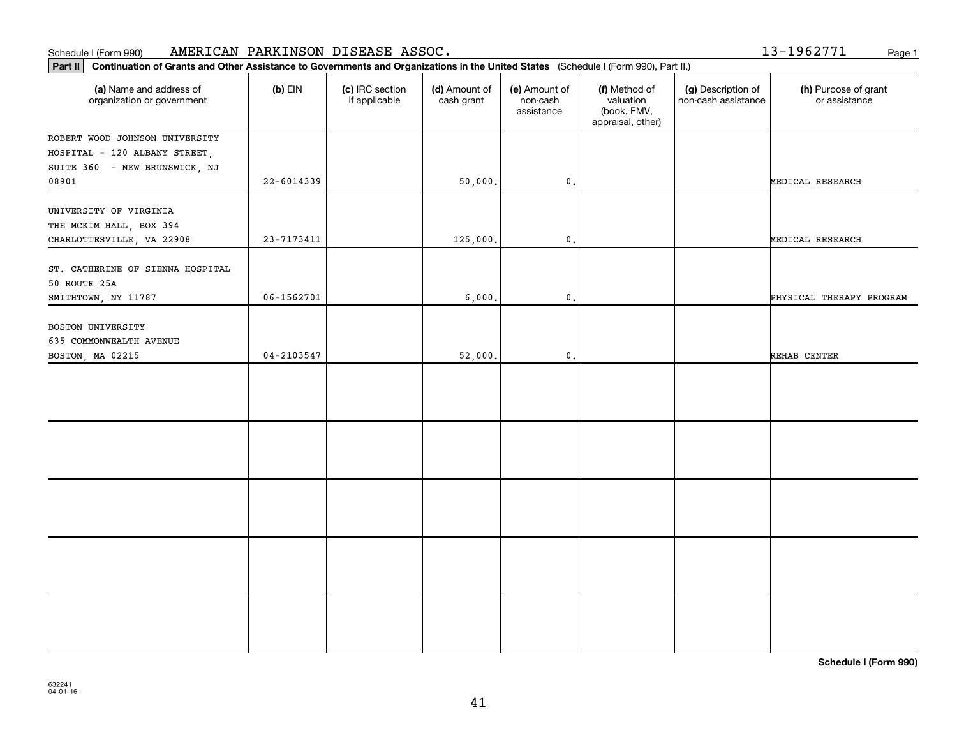#### **Part III Continuation of Grants and Other Assistance Continuation of Grants and Other Assistance Continuation** Schedule I (Form 990) Page 1 AMERICAN PARKINSON DISEASE ASSOC.

13-1962771

| Part II<br>Continuation of Grants and Other Assistance to Governments and Organizations in the United States (Schedule I (Form 990), Part II.) |                |                                  |                             |                                         |                                                                |                                           |                                       |
|------------------------------------------------------------------------------------------------------------------------------------------------|----------------|----------------------------------|-----------------------------|-----------------------------------------|----------------------------------------------------------------|-------------------------------------------|---------------------------------------|
| (a) Name and address of<br>organization or government                                                                                          | $(b)$ EIN      | (c) IRC section<br>if applicable | (d) Amount of<br>cash grant | (e) Amount of<br>non-cash<br>assistance | (f) Method of<br>valuation<br>(book, FMV,<br>appraisal, other) | (g) Description of<br>non-cash assistance | (h) Purpose of grant<br>or assistance |
| ROBERT WOOD JOHNSON UNIVERSITY<br>HOSPITAL - 120 ALBANY STREET,<br>SUITE 360 - NEW BRUNSWICK, NJ                                               |                |                                  |                             |                                         |                                                                |                                           |                                       |
| 08901                                                                                                                                          | $22 - 6014339$ |                                  | 50,000.                     | $\mathfrak o$ .                         |                                                                |                                           | MEDICAL RESEARCH                      |
| UNIVERSITY OF VIRGINIA<br>THE MCKIM HALL, BOX 394<br>CHARLOTTESVILLE, VA 22908                                                                 | $23 - 7173411$ |                                  | 125,000.                    | $\mathsf{0}$ .                          |                                                                |                                           | MEDICAL RESEARCH                      |
| ST. CATHERINE OF SIENNA HOSPITAL<br>50 ROUTE 25A                                                                                               |                |                                  |                             |                                         |                                                                |                                           |                                       |
| SMITHTOWN, NY 11787                                                                                                                            | $06 - 1562701$ |                                  | 6,000.                      | $\mathbf{0}$ .                          |                                                                |                                           | PHYSICAL THERAPY PROGRAM              |
| BOSTON UNIVERSITY<br>635 COMMONWEALTH AVENUE<br>BOSTON, MA 02215                                                                               | $04 - 2103547$ |                                  | 52,000.                     | $\mathbf 0$ .                           |                                                                |                                           | REHAB CENTER                          |
|                                                                                                                                                |                |                                  |                             |                                         |                                                                |                                           |                                       |
|                                                                                                                                                |                |                                  |                             |                                         |                                                                |                                           |                                       |
|                                                                                                                                                |                |                                  |                             |                                         |                                                                |                                           |                                       |
|                                                                                                                                                |                |                                  |                             |                                         |                                                                |                                           |                                       |
|                                                                                                                                                |                |                                  |                             |                                         |                                                                |                                           |                                       |
|                                                                                                                                                |                |                                  |                             |                                         |                                                                |                                           |                                       |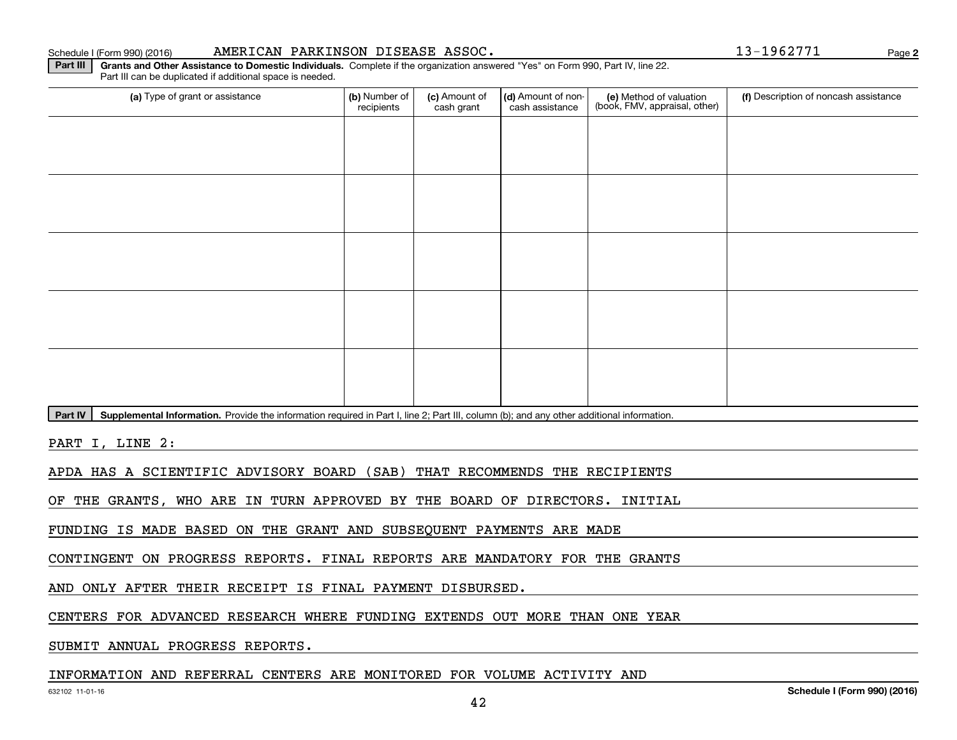#### Schedule I (Form 990) (2016) **AMERICAN PARKINSON DISEASE ASSOC .** Page

**2**

**Part III | Grants and Other Assistance to Domestic Individuals. Complete if the organization answered "Yes" on Form 990, Part IV, line 22.** Part III can be duplicated if additional space is needed.

| (a) Type of grant or assistance | (b) Number of<br>recipients | (c) Amount of<br>cash grant | (d) Amount of non-<br>cash assistance | (e) Method of valuation<br>(book, FMV, appraisal, other) | (f) Description of noncash assistance |
|---------------------------------|-----------------------------|-----------------------------|---------------------------------------|----------------------------------------------------------|---------------------------------------|
|                                 |                             |                             |                                       |                                                          |                                       |
|                                 |                             |                             |                                       |                                                          |                                       |
|                                 |                             |                             |                                       |                                                          |                                       |
|                                 |                             |                             |                                       |                                                          |                                       |
|                                 |                             |                             |                                       |                                                          |                                       |
|                                 |                             |                             |                                       |                                                          |                                       |
|                                 |                             |                             |                                       |                                                          |                                       |
|                                 |                             |                             |                                       |                                                          |                                       |
|                                 |                             |                             |                                       |                                                          |                                       |
|                                 |                             |                             |                                       |                                                          |                                       |

Part IV | Supplemental Information. Provide the information required in Part I, line 2; Part III, column (b); and any other additional information.

PART I, LINE 2:

APDA HAS A SCIENTIFIC ADVISORY BOARD (SAB) THAT RECOMMENDS THE RECIPIENTS

OF THE GRANTS, WHO ARE IN TURN APPROVED BY THE BOARD OF DIRECTORS. INITIAL

FUNDING IS MADE BASED ON THE GRANT AND SUBSEQUENT PAYMENTS ARE MADE

CONTINGENT ON PROGRESS REPORTS. FINAL REPORTS ARE MANDATORY FOR THE GRANTS

AND ONLY AFTER THEIR RECEIPT IS FINAL PAYMENT DISBURSED.

CENTERS FOR ADVANCED RESEARCH WHERE FUNDING EXTENDS OUT MORE THAN ONE YEAR

SUBMIT ANNUAL PROGRESS REPORTS.

#### INFORMATION AND REFERRAL CENTERS ARE MONITORED FOR VOLUME ACTIVITY AND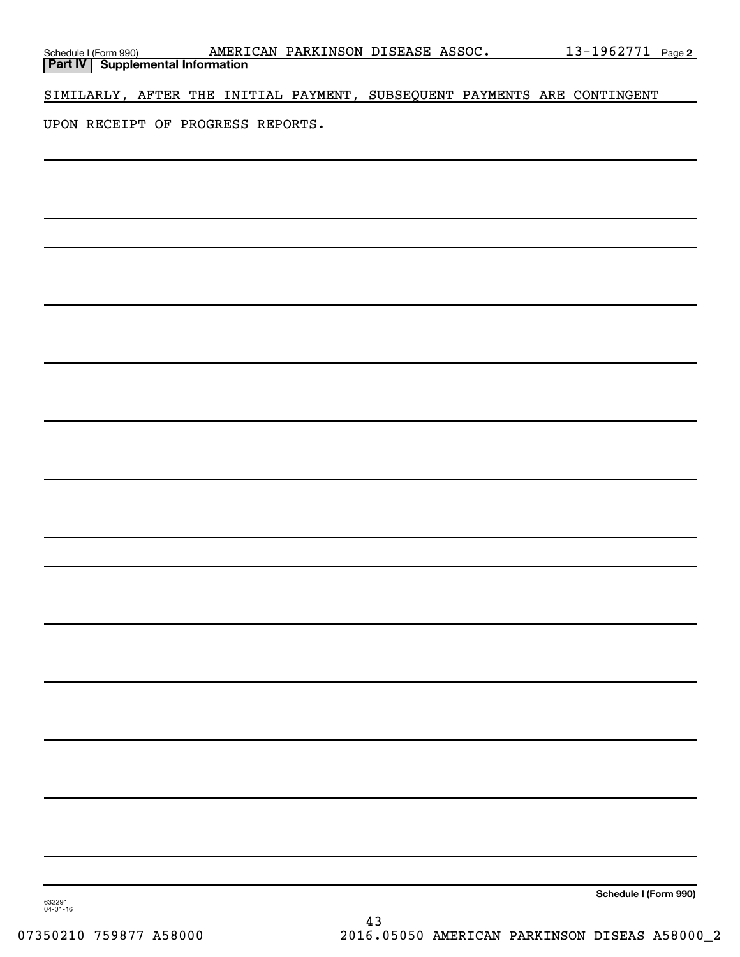| Schedule I (Form 990) <b>AMERI</b><br><b>Part IV</b> Supplemental Information |  |  | AMERICAN PARKINSON DISEASE ASSOC. | <u>13-1962771 Page 2</u>                                                 |
|-------------------------------------------------------------------------------|--|--|-----------------------------------|--------------------------------------------------------------------------|
|                                                                               |  |  |                                   |                                                                          |
|                                                                               |  |  |                                   | SIMILARLY, AFTER THE INITIAL PAYMENT, SUBSEQUENT PAYMENTS ARE CONTINGENT |
|                                                                               |  |  |                                   |                                                                          |
| UPON RECEIPT OF PROGRESS REPORTS.                                             |  |  |                                   |                                                                          |
|                                                                               |  |  |                                   |                                                                          |
|                                                                               |  |  |                                   |                                                                          |
|                                                                               |  |  |                                   |                                                                          |
|                                                                               |  |  |                                   |                                                                          |
|                                                                               |  |  |                                   |                                                                          |
|                                                                               |  |  |                                   |                                                                          |
|                                                                               |  |  |                                   |                                                                          |
|                                                                               |  |  |                                   |                                                                          |
|                                                                               |  |  |                                   |                                                                          |
|                                                                               |  |  |                                   |                                                                          |
|                                                                               |  |  |                                   |                                                                          |
|                                                                               |  |  |                                   |                                                                          |
|                                                                               |  |  |                                   |                                                                          |
|                                                                               |  |  |                                   |                                                                          |
|                                                                               |  |  |                                   |                                                                          |
|                                                                               |  |  |                                   |                                                                          |
|                                                                               |  |  |                                   |                                                                          |
|                                                                               |  |  |                                   |                                                                          |
|                                                                               |  |  |                                   |                                                                          |
|                                                                               |  |  |                                   |                                                                          |
|                                                                               |  |  |                                   |                                                                          |
|                                                                               |  |  |                                   |                                                                          |
|                                                                               |  |  |                                   |                                                                          |
|                                                                               |  |  |                                   |                                                                          |
|                                                                               |  |  |                                   |                                                                          |
|                                                                               |  |  |                                   |                                                                          |
|                                                                               |  |  |                                   |                                                                          |
|                                                                               |  |  |                                   |                                                                          |
|                                                                               |  |  |                                   |                                                                          |
|                                                                               |  |  |                                   |                                                                          |
|                                                                               |  |  |                                   |                                                                          |
|                                                                               |  |  |                                   |                                                                          |
|                                                                               |  |  |                                   |                                                                          |
|                                                                               |  |  |                                   |                                                                          |
|                                                                               |  |  |                                   |                                                                          |
|                                                                               |  |  |                                   |                                                                          |
|                                                                               |  |  |                                   |                                                                          |
|                                                                               |  |  |                                   | Schedule I (Form 990)                                                    |

632291 04-01-16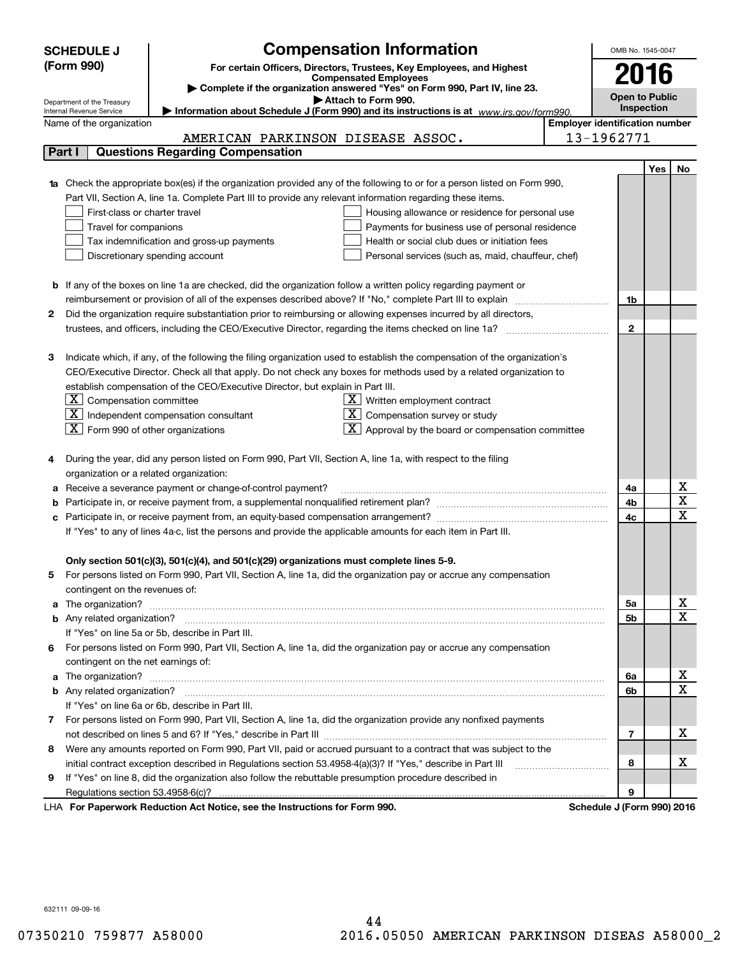|        | <b>SCHEDULE J</b>                                                                                                                                                        |                                                                                                                           | <b>Compensation Information</b>                                       |                                       | OMB No. 1545-0047     |     |    |
|--------|--------------------------------------------------------------------------------------------------------------------------------------------------------------------------|---------------------------------------------------------------------------------------------------------------------------|-----------------------------------------------------------------------|---------------------------------------|-----------------------|-----|----|
|        | (Form 990)                                                                                                                                                               |                                                                                                                           | For certain Officers, Directors, Trustees, Key Employees, and Highest |                                       |                       |     |    |
|        |                                                                                                                                                                          |                                                                                                                           | <b>Compensated Employees</b>                                          |                                       | 2016                  |     |    |
|        |                                                                                                                                                                          | Complete if the organization answered "Yes" on Form 990, Part IV, line 23.                                                |                                                                       |                                       | <b>Open to Public</b> |     |    |
|        | Attach to Form 990.<br>Department of the Treasury<br>Information about Schedule J (Form 990) and its instructions is at www.irs.gov/form990.<br>Internal Revenue Service |                                                                                                                           |                                                                       |                                       |                       |     |    |
|        | Name of the organization                                                                                                                                                 |                                                                                                                           |                                                                       | <b>Employer identification number</b> |                       |     |    |
|        |                                                                                                                                                                          | AMERICAN PARKINSON DISEASE ASSOC.                                                                                         |                                                                       | 13-1962771                            |                       |     |    |
| Part I |                                                                                                                                                                          | <b>Questions Regarding Compensation</b>                                                                                   |                                                                       |                                       |                       |     |    |
|        |                                                                                                                                                                          |                                                                                                                           |                                                                       |                                       |                       | Yes | No |
|        |                                                                                                                                                                          | Check the appropriate box(es) if the organization provided any of the following to or for a person listed on Form 990,    |                                                                       |                                       |                       |     |    |
|        |                                                                                                                                                                          | Part VII, Section A, line 1a. Complete Part III to provide any relevant information regarding these items.                |                                                                       |                                       |                       |     |    |
|        | First-class or charter travel                                                                                                                                            |                                                                                                                           | Housing allowance or residence for personal use                       |                                       |                       |     |    |
|        | Travel for companions                                                                                                                                                    |                                                                                                                           | Payments for business use of personal residence                       |                                       |                       |     |    |
|        |                                                                                                                                                                          | Tax indemnification and gross-up payments                                                                                 | Health or social club dues or initiation fees                         |                                       |                       |     |    |
|        |                                                                                                                                                                          | Discretionary spending account                                                                                            | Personal services (such as, maid, chauffeur, chef)                    |                                       |                       |     |    |
|        |                                                                                                                                                                          |                                                                                                                           |                                                                       |                                       |                       |     |    |
|        |                                                                                                                                                                          | <b>b</b> If any of the boxes on line 1a are checked, did the organization follow a written policy regarding payment or    |                                                                       |                                       |                       |     |    |
|        |                                                                                                                                                                          |                                                                                                                           |                                                                       |                                       | 1b                    |     |    |
| 2      |                                                                                                                                                                          | Did the organization require substantiation prior to reimbursing or allowing expenses incurred by all directors,          |                                                                       |                                       |                       |     |    |
|        |                                                                                                                                                                          |                                                                                                                           |                                                                       |                                       | $\mathbf{2}$          |     |    |
|        |                                                                                                                                                                          |                                                                                                                           |                                                                       |                                       |                       |     |    |
| з      |                                                                                                                                                                          | Indicate which, if any, of the following the filing organization used to establish the compensation of the organization's |                                                                       |                                       |                       |     |    |
|        |                                                                                                                                                                          | CEO/Executive Director. Check all that apply. Do not check any boxes for methods used by a related organization to        |                                                                       |                                       |                       |     |    |
|        |                                                                                                                                                                          | establish compensation of the CEO/Executive Director, but explain in Part III.                                            |                                                                       |                                       |                       |     |    |
|        | $X$ Compensation committee                                                                                                                                               |                                                                                                                           | $\underline{\mathbf{X}}$ Written employment contract                  |                                       |                       |     |    |
|        |                                                                                                                                                                          | $\boxed{\text{X}}$ Independent compensation consultant                                                                    | $\overline{X}$ Compensation survey or study                           |                                       |                       |     |    |
|        | $ \mathbf{X} $ Form 990 of other organizations                                                                                                                           |                                                                                                                           | $\boxed{\text{X}}$ Approval by the board or compensation committee    |                                       |                       |     |    |
|        |                                                                                                                                                                          |                                                                                                                           |                                                                       |                                       |                       |     |    |
|        |                                                                                                                                                                          | During the year, did any person listed on Form 990, Part VII, Section A, line 1a, with respect to the filing              |                                                                       |                                       |                       |     |    |
|        | organization or a related organization:                                                                                                                                  |                                                                                                                           |                                                                       |                                       |                       |     |    |
| а      |                                                                                                                                                                          | Receive a severance payment or change-of-control payment?                                                                 |                                                                       |                                       | 4a                    |     | х  |
| b      |                                                                                                                                                                          |                                                                                                                           |                                                                       |                                       | 4b                    |     | X  |
|        |                                                                                                                                                                          |                                                                                                                           |                                                                       |                                       | 4c                    |     | х  |
|        |                                                                                                                                                                          | If "Yes" to any of lines 4a-c, list the persons and provide the applicable amounts for each item in Part III.             |                                                                       |                                       |                       |     |    |
|        |                                                                                                                                                                          |                                                                                                                           |                                                                       |                                       |                       |     |    |
|        |                                                                                                                                                                          | Only section 501(c)(3), 501(c)(4), and 501(c)(29) organizations must complete lines 5-9.                                  |                                                                       |                                       |                       |     |    |
| 5      |                                                                                                                                                                          | For persons listed on Form 990, Part VII, Section A, line 1a, did the organization pay or accrue any compensation         |                                                                       |                                       |                       |     |    |
|        | contingent on the revenues of:                                                                                                                                           |                                                                                                                           |                                                                       |                                       |                       |     |    |
| a      |                                                                                                                                                                          |                                                                                                                           |                                                                       |                                       | 5a                    |     | х  |
|        |                                                                                                                                                                          |                                                                                                                           |                                                                       |                                       | 5b                    |     | х  |
|        |                                                                                                                                                                          | If "Yes" on line 5a or 5b, describe in Part III.                                                                          |                                                                       |                                       |                       |     |    |
|        |                                                                                                                                                                          | 6 For persons listed on Form 990, Part VII, Section A, line 1a, did the organization pay or accrue any compensation       |                                                                       |                                       |                       |     |    |
|        | contingent on the net earnings of:                                                                                                                                       |                                                                                                                           |                                                                       |                                       |                       |     |    |
| a      |                                                                                                                                                                          |                                                                                                                           |                                                                       |                                       | 6a                    |     | х  |
|        |                                                                                                                                                                          |                                                                                                                           |                                                                       |                                       | 6b                    |     | Х  |
|        |                                                                                                                                                                          | If "Yes" on line 6a or 6b, describe in Part III.                                                                          |                                                                       |                                       |                       |     |    |
|        |                                                                                                                                                                          | 7 For persons listed on Form 990, Part VII, Section A, line 1a, did the organization provide any nonfixed payments        |                                                                       |                                       |                       |     |    |
|        |                                                                                                                                                                          |                                                                                                                           |                                                                       |                                       | 7                     |     | х  |
| 8      |                                                                                                                                                                          | Were any amounts reported on Form 990, Part VII, paid or accrued pursuant to a contract that was subject to the           |                                                                       |                                       |                       |     |    |
|        |                                                                                                                                                                          | initial contract exception described in Regulations section 53.4958-4(a)(3)? If "Yes," describe in Part III               |                                                                       |                                       | 8                     |     | х  |
| 9      |                                                                                                                                                                          | If "Yes" on line 8, did the organization also follow the rebuttable presumption procedure described in                    |                                                                       |                                       |                       |     |    |
|        |                                                                                                                                                                          |                                                                                                                           |                                                                       |                                       | 9                     |     |    |
|        |                                                                                                                                                                          | LHA For Paperwork Reduction Act Notice, see the Instructions for Form 990.                                                |                                                                       | Schedule J (Form 990) 2016            |                       |     |    |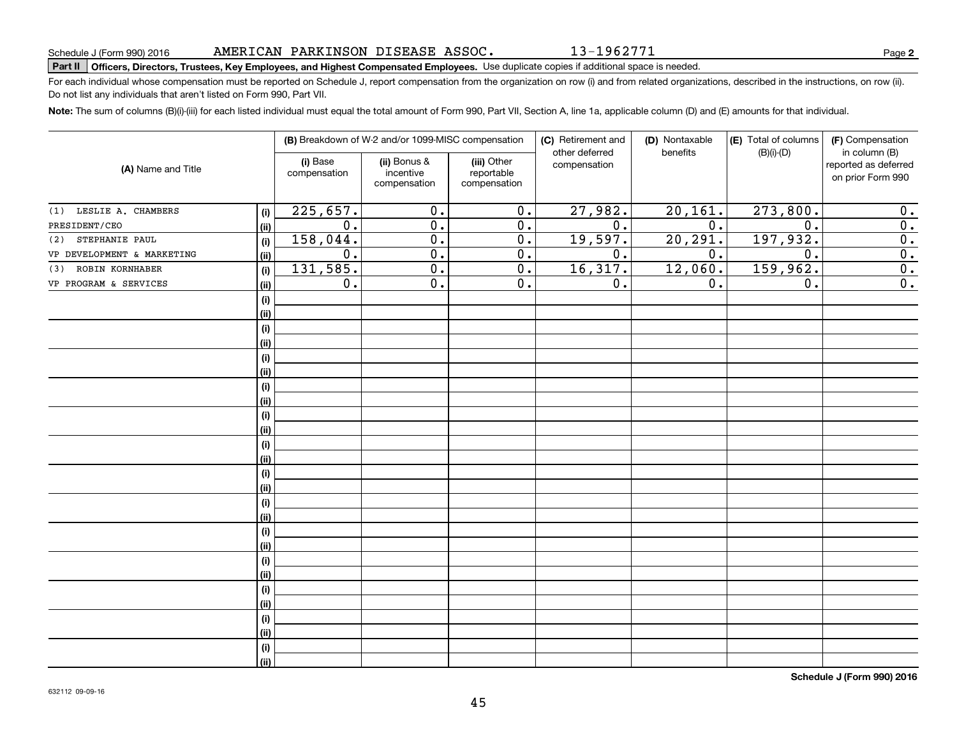13-1962771

**2**

# Schedule J (Form 990) 2016 AMERICAN PARKINSON DISEASE ASSOC • I 3 – I 9 6 2 7 7 L<br>Part II | Officers, Directors, Trustees, Key Employees, and Highest Compensated Employees. Use duplicat

For each individual whose compensation must be reported on Schedule J, report compensation from the organization on row (i) and from related organizations, described in the instructions, on row (ii). Do not list any individuals that aren't listed on Form 990, Part VII.

**Note:**  The sum of columns (B)(i)-(iii) for each listed individual must equal the total amount of Form 990, Part VII, Section A, line 1a, applicable column (D) and (E) amounts for that individual.

|                            |       |                          | (B) Breakdown of W-2 and/or 1099-MISC compensation |                                           | (C) Retirement and<br>other deferred | (D) Nontaxable<br>benefits | (E) Total of columns<br>$(B)(i)-(D)$ | (F) Compensation<br>in column (B)         |
|----------------------------|-------|--------------------------|----------------------------------------------------|-------------------------------------------|--------------------------------------|----------------------------|--------------------------------------|-------------------------------------------|
| (A) Name and Title         |       | (i) Base<br>compensation | (ii) Bonus &<br>incentive<br>compensation          | (iii) Other<br>reportable<br>compensation | compensation                         |                            |                                      | reported as deferred<br>on prior Form 990 |
| LESLIE A. CHAMBERS<br>(1)  | (i)   | 225,657.                 | $\overline{0}$ .                                   | $\overline{0}$ .                          | 27,982.                              | 20, 161.                   | 273,800.                             | 0.                                        |
| PRESIDENT/CEO              | (ii)  | $\overline{0}$ .         | $\overline{0}$ .                                   | $\overline{0}$ .                          | $\overline{0}$ .                     | $\overline{0}$ .           | $\overline{0}$ .                     | $\overline{0}$ .                          |
| STEPHANIE PAUL<br>(2)      | (i)   | 158,044.                 | $\overline{0}$ .                                   | $\overline{0}$ .                          | 19,597.                              | 20, 291.                   | 197,932.                             | $\overline{0}$ .                          |
| VP DEVELOPMENT & MARKETING | (ii)  | $\overline{0}$ .         | $\overline{0}$ .                                   | $\overline{0}$ .                          | $\overline{0}$ .                     | 0.                         | $\overline{0}$ .                     | $\overline{0}$ .                          |
| ROBIN KORNHABER<br>(3)     | (i)   | 131,585.                 | $\overline{0}$ .                                   | $\overline{0}$ .                          | 16,317.                              | 12,060.                    | 159,962.                             | $\overline{0}$ .                          |
| VP PROGRAM & SERVICES      | (ii)  | $\overline{0}$ .         | $\overline{0}$ .                                   | $\overline{0}$ .                          | 0.                                   | 0.                         | $\overline{0}$ .                     | 0.                                        |
|                            | (i)   |                          |                                                    |                                           |                                      |                            |                                      |                                           |
|                            | (ii)  |                          |                                                    |                                           |                                      |                            |                                      |                                           |
|                            | (i)   |                          |                                                    |                                           |                                      |                            |                                      |                                           |
|                            | (ii)  |                          |                                                    |                                           |                                      |                            |                                      |                                           |
|                            | (i)   |                          |                                                    |                                           |                                      |                            |                                      |                                           |
|                            | (ii)  |                          |                                                    |                                           |                                      |                            |                                      |                                           |
|                            | (i)   |                          |                                                    |                                           |                                      |                            |                                      |                                           |
|                            | (ii)  |                          |                                                    |                                           |                                      |                            |                                      |                                           |
|                            | (i)   |                          |                                                    |                                           |                                      |                            |                                      |                                           |
|                            | (ii)  |                          |                                                    |                                           |                                      |                            |                                      |                                           |
|                            | (i)   |                          |                                                    |                                           |                                      |                            |                                      |                                           |
|                            | (ii)  |                          |                                                    |                                           |                                      |                            |                                      |                                           |
|                            | (i)   |                          |                                                    |                                           |                                      |                            |                                      |                                           |
|                            | (ii)  |                          |                                                    |                                           |                                      |                            |                                      |                                           |
|                            | (i)   |                          |                                                    |                                           |                                      |                            |                                      |                                           |
|                            | (ii)  |                          |                                                    |                                           |                                      |                            |                                      |                                           |
|                            | (i)   |                          |                                                    |                                           |                                      |                            |                                      |                                           |
|                            | (ii)  |                          |                                                    |                                           |                                      |                            |                                      |                                           |
|                            | (i)   |                          |                                                    |                                           |                                      |                            |                                      |                                           |
|                            | (ii)  |                          |                                                    |                                           |                                      |                            |                                      |                                           |
|                            | (i)   |                          |                                                    |                                           |                                      |                            |                                      |                                           |
|                            | (ii)  |                          |                                                    |                                           |                                      |                            |                                      |                                           |
|                            | (i)   |                          |                                                    |                                           |                                      |                            |                                      |                                           |
|                            | (ii)  |                          |                                                    |                                           |                                      |                            |                                      |                                           |
|                            | (i)   |                          |                                                    |                                           |                                      |                            |                                      |                                           |
|                            | (iii) |                          |                                                    |                                           |                                      |                            |                                      |                                           |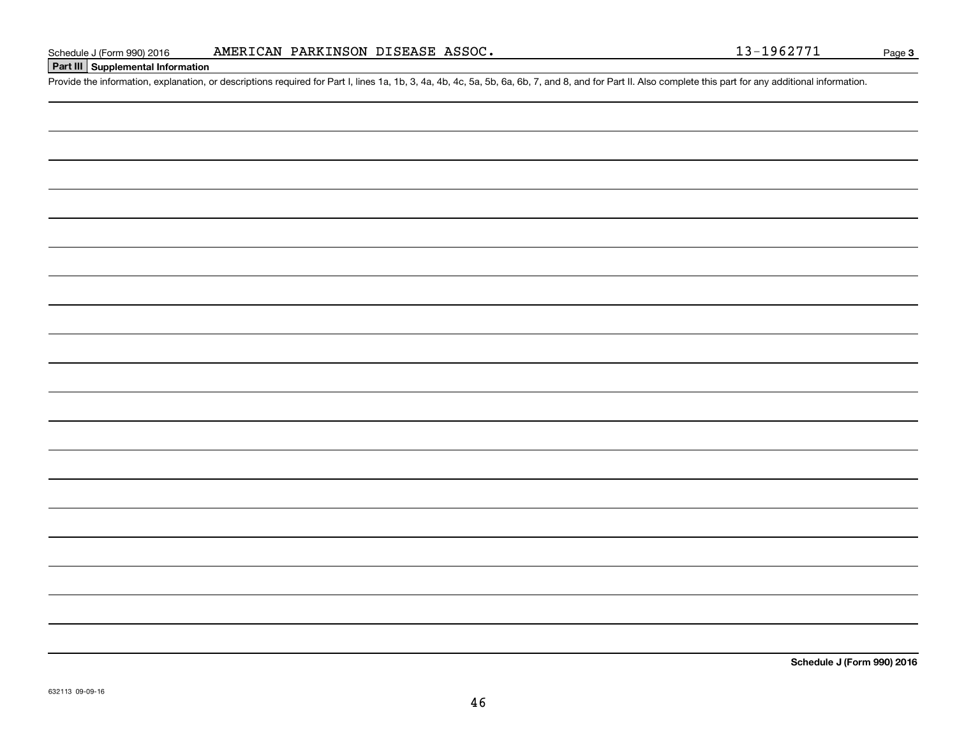# **Part III Supplemental Information**

Schedule J (Form 990) 2016 **AMERICAN PARKINSON DISEASE ASSOC.** 13-1962771<br>Part III Supplemental Information<br>Provide the information, explanation, or descriptions required for Part I, lines 1a, 1b, 3, 4a, 4b, 4c, 5a, 5b, 6a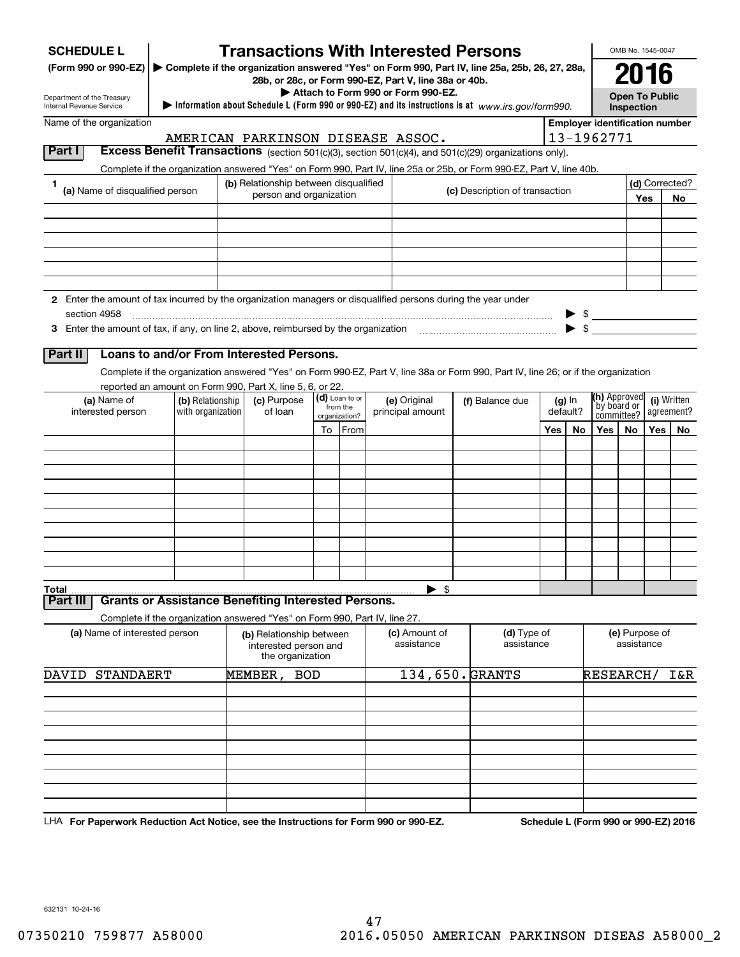| <b>SCHEDULE L</b><br>(Form 990 or 990-EZ)   ► Complete if the organization answered "Yes" on Form 990, Part IV, line 25a, 25b, 26, 27, 28a,<br>Department of the Treasury<br>Internal Revenue Service |                                       | 28b, or 28c, or Form 990-EZ, Part V, line 38a or 40b.                 |    |                           | Attach to Form 990 or Form 990-EZ. | <b>Transactions With Interested Persons</b><br>Information about Schedule L (Form 990 or 990-EZ) and its instructions is at www.irs.gov/form990. |                           |                      |                                                | OMB No. 1545-0047<br>2016<br><b>Open To Public</b><br>Inspection |     |                |
|-------------------------------------------------------------------------------------------------------------------------------------------------------------------------------------------------------|---------------------------------------|-----------------------------------------------------------------------|----|---------------------------|------------------------------------|--------------------------------------------------------------------------------------------------------------------------------------------------|---------------------------|----------------------|------------------------------------------------|------------------------------------------------------------------|-----|----------------|
| Name of the organization                                                                                                                                                                              |                                       |                                                                       |    |                           |                                    |                                                                                                                                                  |                           |                      | <b>Employer identification number</b>          |                                                                  |     |                |
|                                                                                                                                                                                                       |                                       | AMERICAN PARKINSON DISEASE ASSOC.                                     |    |                           |                                    |                                                                                                                                                  |                           |                      | 13-1962771                                     |                                                                  |     |                |
| Part I                                                                                                                                                                                                |                                       |                                                                       |    |                           |                                    | Excess Benefit Transactions (section 501(c)(3), section 501(c)(4), and 501(c)(29) organizations only).                                           |                           |                      |                                                |                                                                  |     |                |
| 1                                                                                                                                                                                                     |                                       | (b) Relationship between disqualified                                 |    |                           |                                    | Complete if the organization answered "Yes" on Form 990, Part IV, line 25a or 25b, or Form 990-EZ, Part V, line 40b.                             |                           |                      |                                                |                                                                  |     | (d) Corrected? |
| (a) Name of disqualified person                                                                                                                                                                       |                                       | person and organization                                               |    |                           |                                    | (c) Description of transaction                                                                                                                   |                           |                      |                                                |                                                                  | Yes | No             |
|                                                                                                                                                                                                       |                                       |                                                                       |    |                           |                                    |                                                                                                                                                  |                           |                      |                                                |                                                                  |     |                |
|                                                                                                                                                                                                       |                                       |                                                                       |    |                           |                                    |                                                                                                                                                  |                           |                      |                                                |                                                                  |     |                |
|                                                                                                                                                                                                       |                                       |                                                                       |    |                           |                                    |                                                                                                                                                  |                           |                      |                                                |                                                                  |     |                |
|                                                                                                                                                                                                       |                                       |                                                                       |    |                           |                                    |                                                                                                                                                  |                           |                      |                                                |                                                                  |     |                |
|                                                                                                                                                                                                       |                                       |                                                                       |    |                           |                                    |                                                                                                                                                  |                           |                      |                                                |                                                                  |     |                |
| 2 Enter the amount of tax incurred by the organization managers or disqualified persons during the year under                                                                                         |                                       |                                                                       |    |                           |                                    |                                                                                                                                                  |                           |                      |                                                |                                                                  |     |                |
| section 4958                                                                                                                                                                                          |                                       |                                                                       |    |                           |                                    |                                                                                                                                                  |                           |                      | $\triangleright$ \$ $\underline{\hspace{1cm}}$ |                                                                  |     |                |
|                                                                                                                                                                                                       |                                       |                                                                       |    |                           |                                    |                                                                                                                                                  |                           |                      |                                                |                                                                  |     |                |
| Loans to and/or From Interested Persons.<br>Part II                                                                                                                                                   |                                       |                                                                       |    |                           |                                    |                                                                                                                                                  |                           |                      |                                                |                                                                  |     |                |
|                                                                                                                                                                                                       |                                       |                                                                       |    |                           |                                    | Complete if the organization answered "Yes" on Form 990-EZ, Part V, line 38a or Form 990, Part IV, line 26; or if the organization               |                           |                      |                                                |                                                                  |     |                |
| reported an amount on Form 990, Part X, line 5, 6, or 22.                                                                                                                                             |                                       |                                                                       |    | (d) Loan to or            |                                    |                                                                                                                                                  |                           |                      |                                                | (h) Approved                                                     |     |                |
| (a) Name of<br>interested person                                                                                                                                                                      | (b) Relationship<br>with organization | (c) Purpose<br>of loan                                                |    | from the<br>organization? | (e) Original<br>principal amount   | (f) Balance due                                                                                                                                  |                           | $(g)$ In<br>default? |                                                | by board or<br>agreement?<br>committee?                          |     | (i) Written    |
|                                                                                                                                                                                                       |                                       |                                                                       | To | From                      |                                    |                                                                                                                                                  | Yes                       | No                   | Yes                                            | No.                                                              | Yes | No             |
|                                                                                                                                                                                                       |                                       |                                                                       |    |                           |                                    |                                                                                                                                                  |                           |                      |                                                |                                                                  |     |                |
|                                                                                                                                                                                                       |                                       |                                                                       |    |                           |                                    |                                                                                                                                                  |                           |                      |                                                |                                                                  |     |                |
|                                                                                                                                                                                                       |                                       |                                                                       |    |                           |                                    |                                                                                                                                                  |                           |                      |                                                |                                                                  |     |                |
|                                                                                                                                                                                                       |                                       |                                                                       |    |                           |                                    |                                                                                                                                                  |                           |                      |                                                |                                                                  |     |                |
|                                                                                                                                                                                                       |                                       |                                                                       |    |                           |                                    |                                                                                                                                                  |                           |                      |                                                |                                                                  |     |                |
|                                                                                                                                                                                                       |                                       |                                                                       |    |                           |                                    |                                                                                                                                                  |                           |                      |                                                |                                                                  |     |                |
|                                                                                                                                                                                                       |                                       |                                                                       |    |                           |                                    |                                                                                                                                                  |                           |                      |                                                |                                                                  |     |                |
|                                                                                                                                                                                                       |                                       |                                                                       |    |                           |                                    |                                                                                                                                                  |                           |                      |                                                |                                                                  |     |                |
| Total                                                                                                                                                                                                 |                                       |                                                                       |    |                           | \$                                 |                                                                                                                                                  |                           |                      |                                                |                                                                  |     |                |
| <b>Grants or Assistance Benefiting Interested Persons.</b><br>Part II                                                                                                                                 |                                       |                                                                       |    |                           |                                    |                                                                                                                                                  |                           |                      |                                                |                                                                  |     |                |
| Complete if the organization answered "Yes" on Form 990, Part IV, line 27.                                                                                                                            |                                       |                                                                       |    |                           |                                    |                                                                                                                                                  |                           |                      |                                                |                                                                  |     |                |
| (a) Name of interested person                                                                                                                                                                         |                                       | (b) Relationship between<br>interested person and<br>the organization |    |                           | (c) Amount of<br>assistance        |                                                                                                                                                  | (d) Type of<br>assistance |                      |                                                | (e) Purpose of<br>assistance                                     |     |                |
| <b>STANDAERT</b><br>DAVID                                                                                                                                                                             |                                       | MEMBER, BOD                                                           |    |                           |                                    | 134,650. GRANTS                                                                                                                                  |                           |                      | RESEARCH/                                      |                                                                  |     | I&R            |
|                                                                                                                                                                                                       |                                       |                                                                       |    |                           |                                    |                                                                                                                                                  |                           |                      |                                                |                                                                  |     |                |
|                                                                                                                                                                                                       |                                       |                                                                       |    |                           |                                    |                                                                                                                                                  |                           |                      |                                                |                                                                  |     |                |
|                                                                                                                                                                                                       |                                       |                                                                       |    |                           |                                    |                                                                                                                                                  |                           |                      |                                                |                                                                  |     |                |
|                                                                                                                                                                                                       |                                       |                                                                       |    |                           |                                    |                                                                                                                                                  |                           |                      |                                                |                                                                  |     |                |
|                                                                                                                                                                                                       |                                       |                                                                       |    |                           |                                    |                                                                                                                                                  |                           |                      |                                                |                                                                  |     |                |
|                                                                                                                                                                                                       |                                       |                                                                       |    |                           |                                    |                                                                                                                                                  |                           |                      |                                                |                                                                  |     |                |
|                                                                                                                                                                                                       |                                       |                                                                       |    |                           |                                    |                                                                                                                                                  |                           |                      |                                                |                                                                  |     |                |
|                                                                                                                                                                                                       |                                       |                                                                       |    |                           |                                    |                                                                                                                                                  |                           |                      |                                                |                                                                  |     |                |

LHA For Paperwork Reduction Act Notice, see the Instructions for Form 990 or 990-EZ. Schedule L (Form 990 or 990-EZ) 2016

632131 10-24-16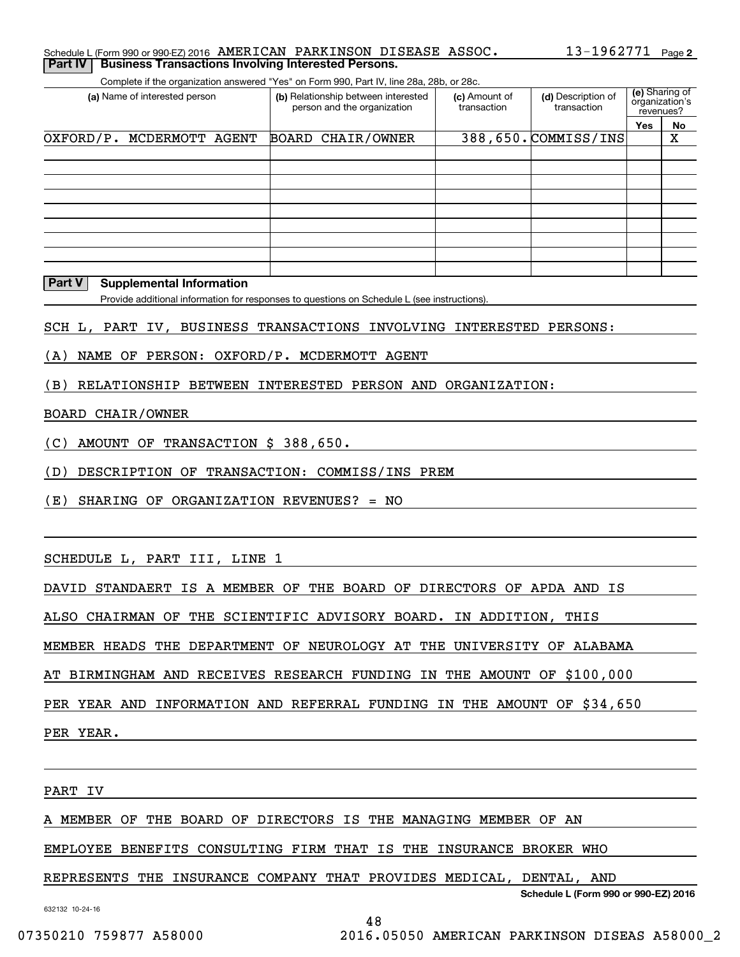#### **2**Schedule L (Form 990 or 990-EZ) 2016 Page 13-1962771 AMERICAN PARKINSON DISEASE ASSOC. **Part IV** | Business Transactions Involving Interested Persons.

Complete if the organization answered "Yes" on Form 990, Part IV, line 28a, 28b, or 28c.

| (a) Name of interested person | (b) Relationship between interested<br>person and the organization | (c) Amount of<br>transaction | (d) Description of<br>transaction | (e) Sharing of<br>organization's<br>revenues? |    |
|-------------------------------|--------------------------------------------------------------------|------------------------------|-----------------------------------|-----------------------------------------------|----|
|                               |                                                                    |                              |                                   | Yes                                           | No |
| OXFORD/P. MCDERMOTT AGENT     | BOARD CHAIR/OWNER                                                  |                              | 388,650. COMMISS/INS              |                                               | х  |
|                               |                                                                    |                              |                                   |                                               |    |
|                               |                                                                    |                              |                                   |                                               |    |
|                               |                                                                    |                              |                                   |                                               |    |
|                               |                                                                    |                              |                                   |                                               |    |
|                               |                                                                    |                              |                                   |                                               |    |
|                               |                                                                    |                              |                                   |                                               |    |
|                               |                                                                    |                              |                                   |                                               |    |
|                               |                                                                    |                              |                                   |                                               |    |
|                               |                                                                    |                              |                                   |                                               |    |

#### **Part V Supplemental Information**

Provide additional information for responses to questions on Schedule L (see instructions).

SCH L, PART IV, BUSINESS TRANSACTIONS INVOLVING INTERESTED PERSONS:

(A) NAME OF PERSON: OXFORD/P. MCDERMOTT AGENT

(B) RELATIONSHIP BETWEEN INTERESTED PERSON AND ORGANIZATION:

#### BOARD CHAIR/OWNER

(C) AMOUNT OF TRANSACTION \$ 388,650.

(D) DESCRIPTION OF TRANSACTION: COMMISS/INS PREM

(E) SHARING OF ORGANIZATION REVENUES? = NO

SCHEDULE L, PART III, LINE 1

DAVID STANDAERT IS A MEMBER OF THE BOARD OF DIRECTORS OF APDA AND IS

ALSO CHAIRMAN OF THE SCIENTIFIC ADVISORY BOARD. IN ADDITION, THIS

MEMBER HEADS THE DEPARTMENT OF NEUROLOGY AT THE UNIVERSITY OF ALABAMA

AT BIRMINGHAM AND RECEIVES RESEARCH FUNDING IN THE AMOUNT OF \$100,000

PER YEAR AND INFORMATION AND REFERRAL FUNDING IN THE AMOUNT OF \$34,650

PER YEAR.

PART IV

A MEMBER OF THE BOARD OF DIRECTORS IS THE MANAGING MEMBER OF AN

EMPLOYEE BENEFITS CONSULTING FIRM THAT IS THE INSURANCE BROKER WHO

### REPRESENTS THE INSURANCE COMPANY THAT PROVIDES MEDICAL, DENTAL, AND

**Schedule L (Form 990 or 990-EZ) 2016**

48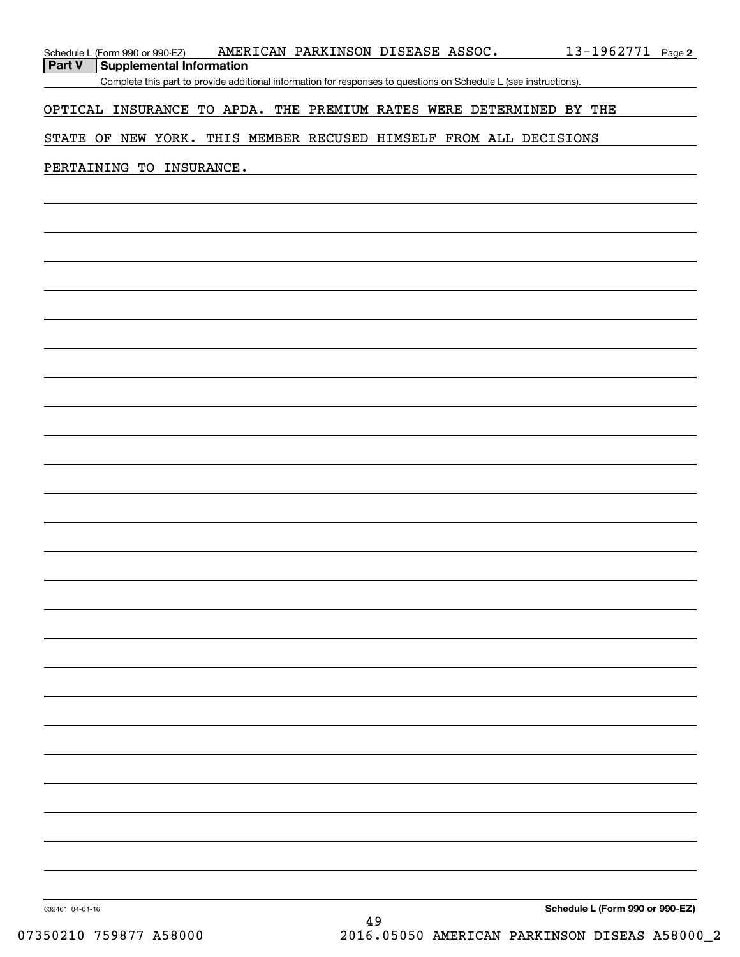| Schedule L (Form 990 or 990-EZ)                                     | AMERICAN PARKINSON DISEASE ASSOC.                                                                                 |    |  | <u>13-1962771</u>               | Page 2 |
|---------------------------------------------------------------------|-------------------------------------------------------------------------------------------------------------------|----|--|---------------------------------|--------|
| Part V<br><b>Supplemental Information</b>                           |                                                                                                                   |    |  |                                 |        |
|                                                                     | Complete this part to provide additional information for responses to questions on Schedule L (see instructions). |    |  |                                 |        |
| OPTICAL INSURANCE TO APDA. THE PREMIUM RATES WERE DETERMINED BY THE |                                                                                                                   |    |  |                                 |        |
|                                                                     |                                                                                                                   |    |  |                                 |        |
| STATE OF NEW YORK. THIS MEMBER RECUSED HIMSELF FROM ALL DECISIONS   |                                                                                                                   |    |  |                                 |        |
|                                                                     |                                                                                                                   |    |  |                                 |        |
| PERTAINING TO INSURANCE.                                            |                                                                                                                   |    |  |                                 |        |
|                                                                     |                                                                                                                   |    |  |                                 |        |
|                                                                     |                                                                                                                   |    |  |                                 |        |
|                                                                     |                                                                                                                   |    |  |                                 |        |
|                                                                     |                                                                                                                   |    |  |                                 |        |
|                                                                     |                                                                                                                   |    |  |                                 |        |
|                                                                     |                                                                                                                   |    |  |                                 |        |
|                                                                     |                                                                                                                   |    |  |                                 |        |
|                                                                     |                                                                                                                   |    |  |                                 |        |
|                                                                     |                                                                                                                   |    |  |                                 |        |
|                                                                     |                                                                                                                   |    |  |                                 |        |
|                                                                     |                                                                                                                   |    |  |                                 |        |
|                                                                     |                                                                                                                   |    |  |                                 |        |
|                                                                     |                                                                                                                   |    |  |                                 |        |
|                                                                     |                                                                                                                   |    |  |                                 |        |
|                                                                     |                                                                                                                   |    |  |                                 |        |
|                                                                     |                                                                                                                   |    |  |                                 |        |
|                                                                     |                                                                                                                   |    |  |                                 |        |
|                                                                     |                                                                                                                   |    |  |                                 |        |
|                                                                     |                                                                                                                   |    |  |                                 |        |
|                                                                     |                                                                                                                   |    |  |                                 |        |
|                                                                     |                                                                                                                   |    |  |                                 |        |
|                                                                     |                                                                                                                   |    |  |                                 |        |
|                                                                     |                                                                                                                   |    |  |                                 |        |
|                                                                     |                                                                                                                   |    |  |                                 |        |
|                                                                     |                                                                                                                   |    |  |                                 |        |
|                                                                     |                                                                                                                   |    |  |                                 |        |
|                                                                     |                                                                                                                   |    |  |                                 |        |
|                                                                     |                                                                                                                   |    |  |                                 |        |
|                                                                     |                                                                                                                   |    |  |                                 |        |
|                                                                     |                                                                                                                   |    |  |                                 |        |
|                                                                     |                                                                                                                   |    |  |                                 |        |
|                                                                     |                                                                                                                   |    |  |                                 |        |
|                                                                     |                                                                                                                   |    |  |                                 |        |
|                                                                     |                                                                                                                   |    |  |                                 |        |
|                                                                     |                                                                                                                   |    |  |                                 |        |
|                                                                     |                                                                                                                   |    |  |                                 |        |
|                                                                     |                                                                                                                   |    |  |                                 |        |
|                                                                     |                                                                                                                   |    |  |                                 |        |
|                                                                     |                                                                                                                   |    |  |                                 |        |
|                                                                     |                                                                                                                   |    |  |                                 |        |
|                                                                     |                                                                                                                   |    |  |                                 |        |
|                                                                     |                                                                                                                   |    |  |                                 |        |
|                                                                     |                                                                                                                   |    |  |                                 |        |
| 632461 04-01-16                                                     |                                                                                                                   | 49 |  | Schedule L (Form 990 or 990-EZ) |        |
|                                                                     |                                                                                                                   |    |  |                                 |        |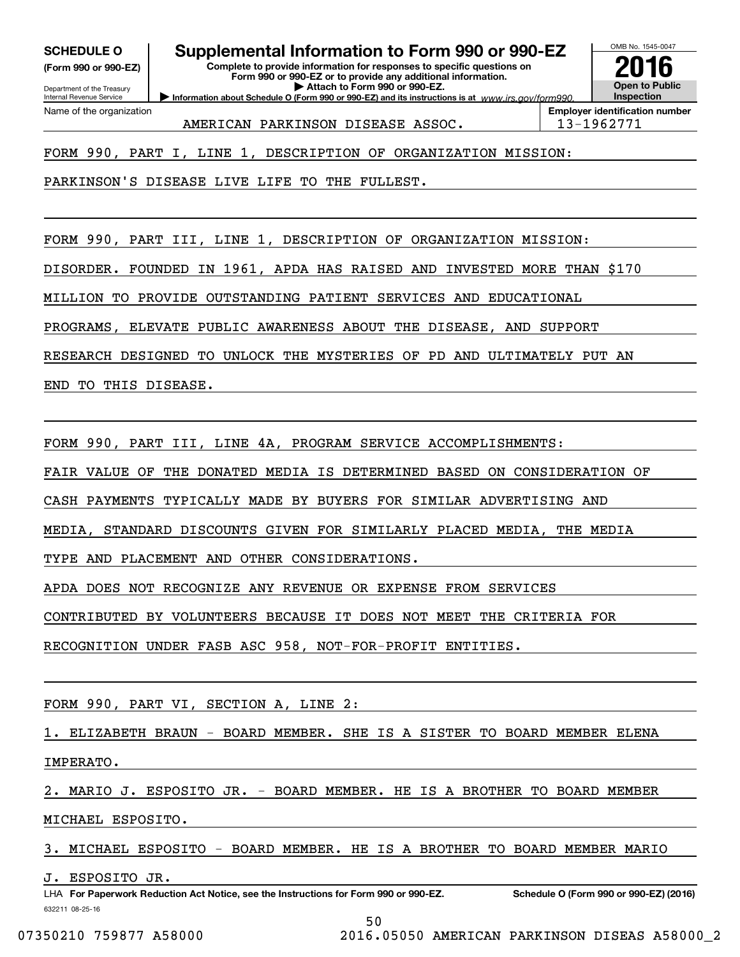**(Form 990 or 990-EZ)**

Department of the Treasury Internal Revenue Service Name of the organization

### **SCHEDULE O Supplemental Information to Form 990 or 990-EZ**

**Information about Schedule O (Form 990 or 990-EZ) and its instructions is at**  $www.irs.gov/form990.$ **Complete to provide information for responses to specific questions on Form 990 or 990-EZ or to provide any additional information. | Attach to Form 990 or 990-EZ.**



AMERICAN PARKINSON DISEASE ASSOC. 13-1962771

FORM 990, PART I, LINE 1, DESCRIPTION OF ORGANIZATION MISSION:

PARKINSON'S DISEASE LIVE LIFE TO THE FULLEST.

FORM 990, PART III, LINE 1, DESCRIPTION OF ORGANIZATION MISSION:

DISORDER. FOUNDED IN 1961, APDA HAS RAISED AND INVESTED MORE THAN \$170

MILLION TO PROVIDE OUTSTANDING PATIENT SERVICES AND EDUCATIONAL

PROGRAMS, ELEVATE PUBLIC AWARENESS ABOUT THE DISEASE, AND SUPPORT

RESEARCH DESIGNED TO UNLOCK THE MYSTERIES OF PD AND ULTIMATELY PUT AN

END TO THIS DISEASE.

FORM 990, PART III, LINE 4A, PROGRAM SERVICE ACCOMPLISHMENTS:

FAIR VALUE OF THE DONATED MEDIA IS DETERMINED BASED ON CONSIDERATION OF

CASH PAYMENTS TYPICALLY MADE BY BUYERS FOR SIMILAR ADVERTISING AND

MEDIA, STANDARD DISCOUNTS GIVEN FOR SIMILARLY PLACED MEDIA, THE MEDIA

TYPE AND PLACEMENT AND OTHER CONSIDERATIONS.

APDA DOES NOT RECOGNIZE ANY REVENUE OR EXPENSE FROM SERVICES

CONTRIBUTED BY VOLUNTEERS BECAUSE IT DOES NOT MEET THE CRITERIA FOR

RECOGNITION UNDER FASB ASC 958, NOT-FOR-PROFIT ENTITIES.

FORM 990, PART VI, SECTION A, LINE 2:

1. ELIZABETH BRAUN - BOARD MEMBER. SHE IS A SISTER TO BOARD MEMBER ELENA

IMPERATO.

2. MARIO J. ESPOSITO JR. - BOARD MEMBER. HE IS A BROTHER TO BOARD MEMBER

MICHAEL ESPOSITO.

3. MICHAEL ESPOSITO - BOARD MEMBER. HE IS A BROTHER TO BOARD MEMBER MARIO

J. ESPOSITO JR.

50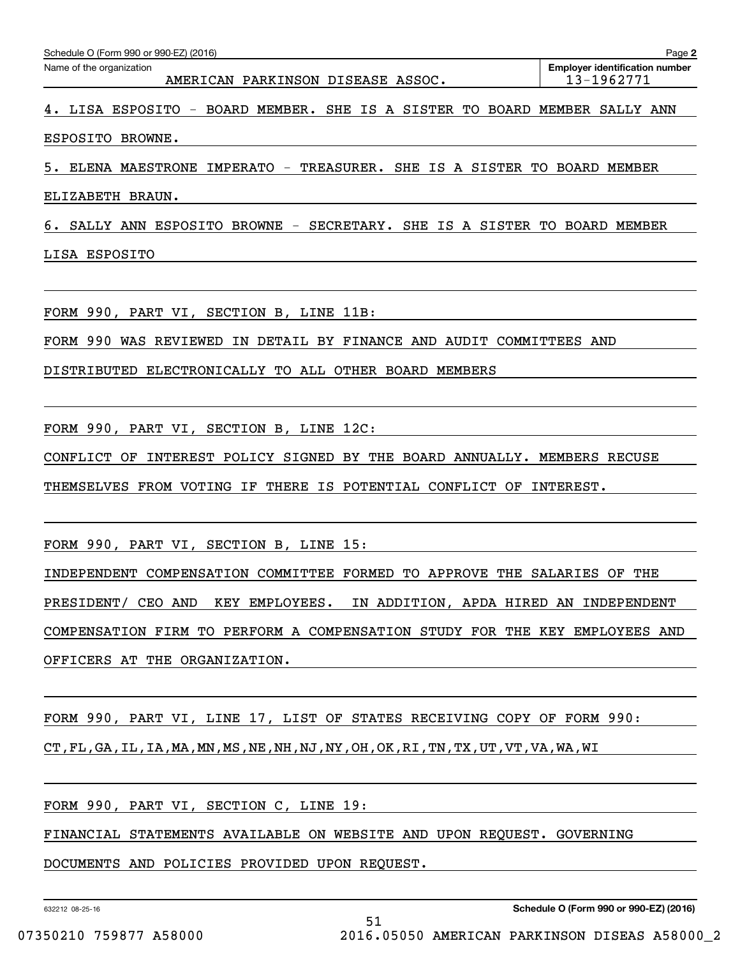| Schedule O (Form 990 or 990-EZ) (2016)                                     | Page 2                                              |
|----------------------------------------------------------------------------|-----------------------------------------------------|
| Name of the organization<br>AMERICAN PARKINSON DISEASE ASSOC.              | <b>Employer identification number</b><br>13-1962771 |
| 4. LISA ESPOSITO - BOARD MEMBER. SHE IS A SISTER TO BOARD MEMBER SALLY ANN |                                                     |
| ESPOSITO BROWNE.                                                           |                                                     |
| TREASURER. SHE IS A SISTER TO<br>ELENA MAESTRONE IMPERATO -<br>5.          | BOARD MEMBER                                        |

ELIZABETH BRAUN.

6. SALLY ANN ESPOSITO BROWNE - SECRETARY. SHE IS A SISTER TO BOARD MEMBER

LISA ESPOSITO

FORM 990, PART VI, SECTION B, LINE 11B:

FORM 990 WAS REVIEWED IN DETAIL BY FINANCE AND AUDIT COMMITTEES AND

DISTRIBUTED ELECTRONICALLY TO ALL OTHER BOARD MEMBERS

FORM 990, PART VI, SECTION B, LINE 12C:

CONFLICT OF INTEREST POLICY SIGNED BY THE BOARD ANNUALLY. MEMBERS RECUSE

THEMSELVES FROM VOTING IF THERE IS POTENTIAL CONFLICT OF INTEREST.

FORM 990, PART VI, SECTION B, LINE 15:

INDEPENDENT COMPENSATION COMMITTEE FORMED TO APPROVE THE SALARIES OF THE PRESIDENT/ CEO AND KEY EMPLOYEES. IN ADDITION, APDA HIRED AN INDEPENDENT COMPENSATION FIRM TO PERFORM A COMPENSATION STUDY FOR THE KEY EMPLOYEES AND OFFICERS AT THE ORGANIZATION.

FORM 990, PART VI, LINE 17, LIST OF STATES RECEIVING COPY OF FORM 990: CT,FL,GA,IL,IA,MA,MN,MS,NE,NH,NJ,NY,OH,OK,RI,TN,TX,UT,VT,VA,WA,WI

FORM 990, PART VI, SECTION C, LINE 19:

FINANCIAL STATEMENTS AVAILABLE ON WEBSITE AND UPON REQUEST. GOVERNING

DOCUMENTS AND POLICIES PROVIDED UPON REQUEST.

632212 08-25-16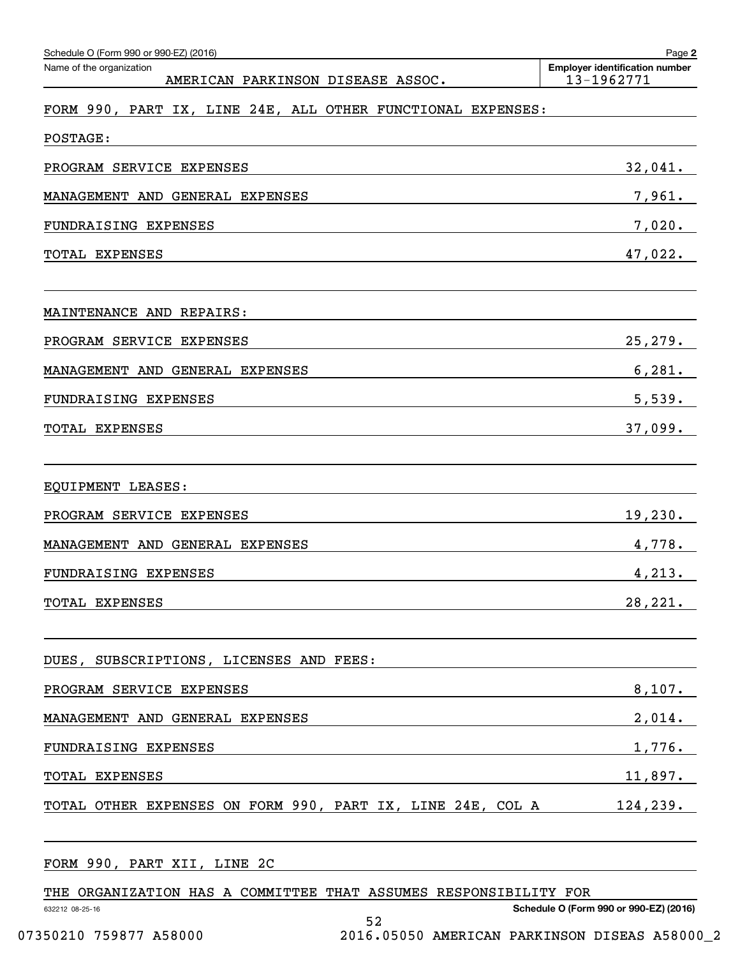| Schedule O (Form 990 or 990-EZ) (2016)<br>Name of the organization | Page 2<br><b>Employer identification number</b> |
|--------------------------------------------------------------------|-------------------------------------------------|
| AMERICAN PARKINSON DISEASE ASSOC.                                  | 13-1962771                                      |
| FORM 990, PART IX, LINE 24E, ALL OTHER FUNCTIONAL EXPENSES:        |                                                 |
| POSTAGE:                                                           |                                                 |
| PROGRAM SERVICE EXPENSES                                           | 32,041.                                         |
| MANAGEMENT AND GENERAL EXPENSES                                    | 7,961.                                          |
| FUNDRAISING EXPENSES                                               | 7,020.                                          |
| TOTAL EXPENSES                                                     | 47,022.                                         |
| MAINTENANCE AND REPAIRS:                                           |                                                 |
| PROGRAM SERVICE EXPENSES                                           | 25, 279.                                        |
| MANAGEMENT AND GENERAL EXPENSES                                    | 6,281.                                          |
| FUNDRAISING EXPENSES                                               | 5,539.                                          |
| TOTAL EXPENSES                                                     | 37,099.                                         |
| EQUIPMENT LEASES:                                                  |                                                 |
| PROGRAM SERVICE EXPENSES                                           | 19,230.                                         |
| MANAGEMENT AND GENERAL EXPENSES                                    | 4,778.                                          |
| FUNDRAISING EXPENSES                                               | 4,213.                                          |
| TOTAL EXPENSES                                                     | 28,221.                                         |
| DUES, SUBSCRIPTIONS, LICENSES AND FEES:                            |                                                 |
| PROGRAM SERVICE EXPENSES                                           | 8,107.                                          |
| MANAGEMENT AND GENERAL EXPENSES                                    | 2,014.                                          |
| FUNDRAISING EXPENSES                                               | 1,776.                                          |
| TOTAL EXPENSES                                                     | 11,897.                                         |
| TOTAL OTHER EXPENSES ON FORM 990, PART IX, LINE 24E, COL A         | 124,239.                                        |
| FORM 990, PART XII, LINE 2C                                        |                                                 |

THE ORGANIZATION HAS A COMMITTEE THAT ASSUMES RESPONSIBILITY FOR

52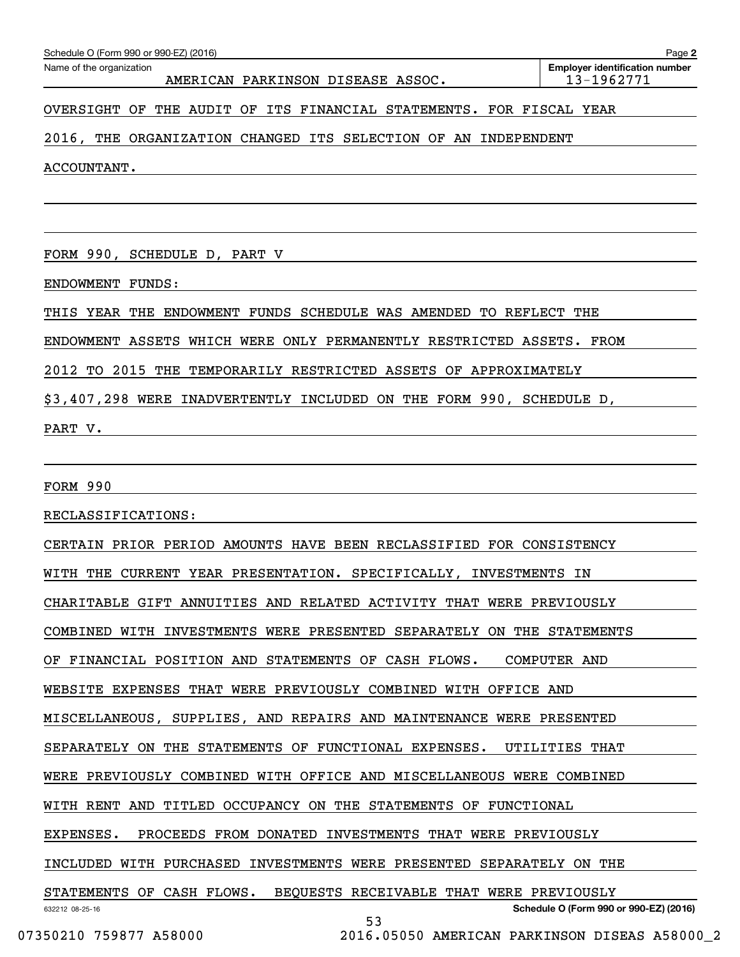| Schedule O (Form 990 or 990-EZ) (2016)                                | Page 2                                              |
|-----------------------------------------------------------------------|-----------------------------------------------------|
| Name of the organization<br>AMERICAN PARKINSON DISEASE ASSOC.         | <b>Employer identification number</b><br>13-1962771 |
| OVERSIGHT OF THE AUDIT OF ITS FINANCIAL STATEMENTS. FOR FISCAL YEAR   |                                                     |
| 2016, THE ORGANIZATION CHANGED ITS SELECTION OF AN INDEPENDENT        |                                                     |
| ACCOUNTANT.                                                           |                                                     |
|                                                                       |                                                     |
|                                                                       |                                                     |
| FORM 990, SCHEDULE D, PART V                                          |                                                     |
| ENDOWMENT FUNDS:                                                      |                                                     |
| THIS YEAR THE ENDOWMENT FUNDS SCHEDULE WAS AMENDED TO REFLECT THE     |                                                     |
| ENDOWMENT ASSETS WHICH WERE ONLY PERMANENTLY RESTRICTED ASSETS. FROM  |                                                     |
| 2012 TO 2015 THE TEMPORARILY RESTRICTED ASSETS OF APPROXIMATELY       |                                                     |
| \$3,407,298 WERE INADVERTENTLY INCLUDED ON THE FORM 990, SCHEDULE D,  |                                                     |
| PART V.                                                               |                                                     |
|                                                                       |                                                     |
| <b>FORM 990</b>                                                       |                                                     |
| RECLASSIFICATIONS:                                                    |                                                     |
| CERTAIN PRIOR PERIOD AMOUNTS HAVE BEEN RECLASSIFIED FOR CONSISTENCY   |                                                     |
| WITH THE CURRENT YEAR PRESENTATION. SPECIFICALLY, INVESTMENTS IN      |                                                     |
| CHARITABLE GIFT ANNUITIES AND RELATED ACTIVITY THAT WERE PREVIOUSLY   |                                                     |
| COMBINED WITH INVESTMENTS WERE PRESENTED SEPARATELY ON THE STATEMENTS |                                                     |
| OF FINANCIAL POSITION AND STATEMENTS OF CASH FLOWS.                   | COMPUTER AND                                        |
| WEBSITE EXPENSES THAT WERE PREVIOUSLY COMBINED WITH OFFICE AND        |                                                     |
| MISCELLANEOUS, SUPPLIES, AND REPAIRS AND MAINTENANCE WERE PRESENTED   |                                                     |
| SEPARATELY ON THE STATEMENTS OF FUNCTIONAL EXPENSES.                  | UTILITIES THAT                                      |
| WERE PREVIOUSLY COMBINED WITH OFFICE AND MISCELLANEOUS WERE COMBINED  |                                                     |
| WITH RENT AND TITLED OCCUPANCY ON THE STATEMENTS OF FUNCTIONAL        |                                                     |
| PROCEEDS FROM DONATED INVESTMENTS THAT WERE PREVIOUSLY<br>EXPENSES.   |                                                     |
| INCLUDED WITH PURCHASED INVESTMENTS WERE PRESENTED SEPARATELY ON THE  |                                                     |
| STATEMENTS OF CASH FLOWS. BEQUESTS RECEIVABLE THAT WERE PREVIOUSLY    |                                                     |
| 632212 08-25-16                                                       | Schedule O (Form 990 or 990-EZ) (2016)              |

53

**2**